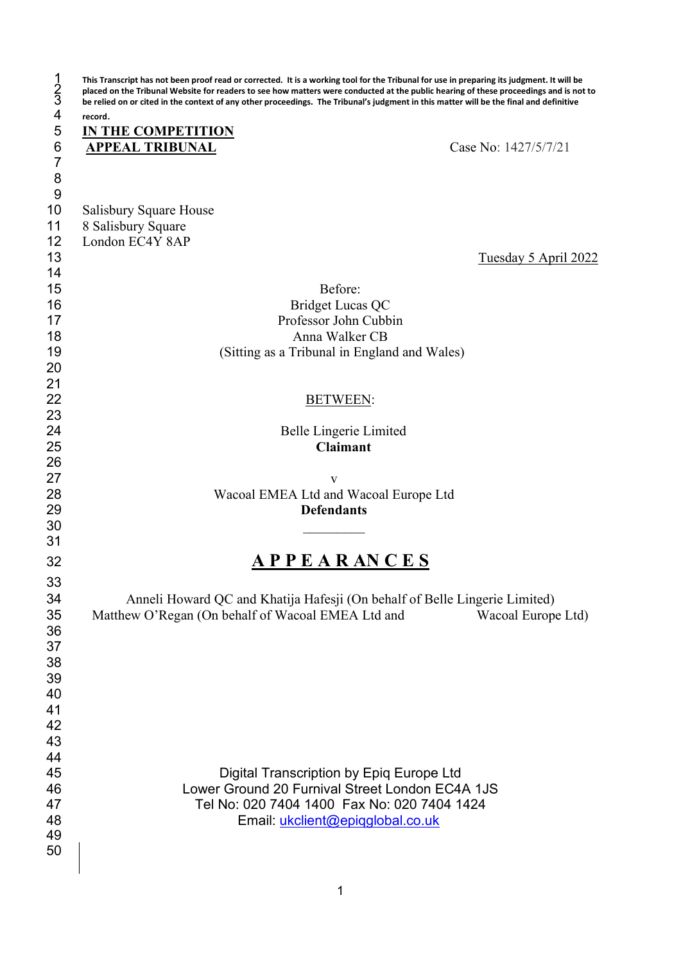| $\frac{1}{2}$<br>4                    | This Transcript has not been proof read or corrected. It is a working tool for the Tribunal for use in preparing its judgment. It will be<br>placed on the Tribunal Website for readers to see how matters were conducted at the public hearing of these proceedings and is not to<br>be relied on or cited in the context of any other proceedings. The Tribunal's judgment in this matter will be the final and definitive |
|---------------------------------------|------------------------------------------------------------------------------------------------------------------------------------------------------------------------------------------------------------------------------------------------------------------------------------------------------------------------------------------------------------------------------------------------------------------------------|
|                                       | record.                                                                                                                                                                                                                                                                                                                                                                                                                      |
| 5                                     | <b>IN THE COMPETITION</b>                                                                                                                                                                                                                                                                                                                                                                                                    |
| $\frac{6}{7}$                         | Case No: 1427/5/7/21<br><b>APPEAL TRIBUNAL</b>                                                                                                                                                                                                                                                                                                                                                                               |
|                                       |                                                                                                                                                                                                                                                                                                                                                                                                                              |
| $\begin{array}{c} 8 \\ 9 \end{array}$ |                                                                                                                                                                                                                                                                                                                                                                                                                              |
|                                       |                                                                                                                                                                                                                                                                                                                                                                                                                              |
| 10                                    | Salisbury Square House                                                                                                                                                                                                                                                                                                                                                                                                       |
| 11<br>12                              | 8 Salisbury Square<br>London EC4Y 8AP                                                                                                                                                                                                                                                                                                                                                                                        |
| 13                                    | Tuesday 5 April 2022                                                                                                                                                                                                                                                                                                                                                                                                         |
| 14                                    |                                                                                                                                                                                                                                                                                                                                                                                                                              |
| 15                                    | Before:                                                                                                                                                                                                                                                                                                                                                                                                                      |
| 16                                    | <b>Bridget Lucas QC</b>                                                                                                                                                                                                                                                                                                                                                                                                      |
| 17                                    | Professor John Cubbin                                                                                                                                                                                                                                                                                                                                                                                                        |
| 18                                    | Anna Walker CB                                                                                                                                                                                                                                                                                                                                                                                                               |
| 19                                    | (Sitting as a Tribunal in England and Wales)                                                                                                                                                                                                                                                                                                                                                                                 |
| 20                                    |                                                                                                                                                                                                                                                                                                                                                                                                                              |
| 21                                    |                                                                                                                                                                                                                                                                                                                                                                                                                              |
| 22                                    | <b>BETWEEN:</b>                                                                                                                                                                                                                                                                                                                                                                                                              |
| 23                                    |                                                                                                                                                                                                                                                                                                                                                                                                                              |
| 24                                    | Belle Lingerie Limited                                                                                                                                                                                                                                                                                                                                                                                                       |
| 25                                    | <b>Claimant</b>                                                                                                                                                                                                                                                                                                                                                                                                              |
| 26                                    |                                                                                                                                                                                                                                                                                                                                                                                                                              |
| 27                                    | v                                                                                                                                                                                                                                                                                                                                                                                                                            |
| 28                                    | Wacoal EMEA Ltd and Wacoal Europe Ltd                                                                                                                                                                                                                                                                                                                                                                                        |
| 29                                    | <b>Defendants</b>                                                                                                                                                                                                                                                                                                                                                                                                            |
| 30<br>31                              |                                                                                                                                                                                                                                                                                                                                                                                                                              |
|                                       |                                                                                                                                                                                                                                                                                                                                                                                                                              |
| 32                                    | <b>APPEARANCES</b>                                                                                                                                                                                                                                                                                                                                                                                                           |
| 33                                    |                                                                                                                                                                                                                                                                                                                                                                                                                              |
| 34                                    | Anneli Howard QC and Khatija Hafesji (On behalf of Belle Lingerie Limited)                                                                                                                                                                                                                                                                                                                                                   |
| 35                                    | Matthew O'Regan (On behalf of Wacoal EMEA Ltd and<br>Wacoal Europe Ltd)                                                                                                                                                                                                                                                                                                                                                      |
| 36                                    |                                                                                                                                                                                                                                                                                                                                                                                                                              |
| 37                                    |                                                                                                                                                                                                                                                                                                                                                                                                                              |
| 38                                    |                                                                                                                                                                                                                                                                                                                                                                                                                              |
| 39                                    |                                                                                                                                                                                                                                                                                                                                                                                                                              |
| 40                                    |                                                                                                                                                                                                                                                                                                                                                                                                                              |
| 41<br>42                              |                                                                                                                                                                                                                                                                                                                                                                                                                              |
| 43                                    |                                                                                                                                                                                                                                                                                                                                                                                                                              |
| 44                                    |                                                                                                                                                                                                                                                                                                                                                                                                                              |
| 45                                    | Digital Transcription by Epiq Europe Ltd                                                                                                                                                                                                                                                                                                                                                                                     |
| 46                                    | Lower Ground 20 Furnival Street London EC4A 1JS                                                                                                                                                                                                                                                                                                                                                                              |
| 47                                    | Tel No: 020 7404 1400 Fax No: 020 7404 1424                                                                                                                                                                                                                                                                                                                                                                                  |
| 48                                    | Email: ukclient@epiqglobal.co.uk                                                                                                                                                                                                                                                                                                                                                                                             |
| 49                                    |                                                                                                                                                                                                                                                                                                                                                                                                                              |
| 50                                    |                                                                                                                                                                                                                                                                                                                                                                                                                              |
|                                       |                                                                                                                                                                                                                                                                                                                                                                                                                              |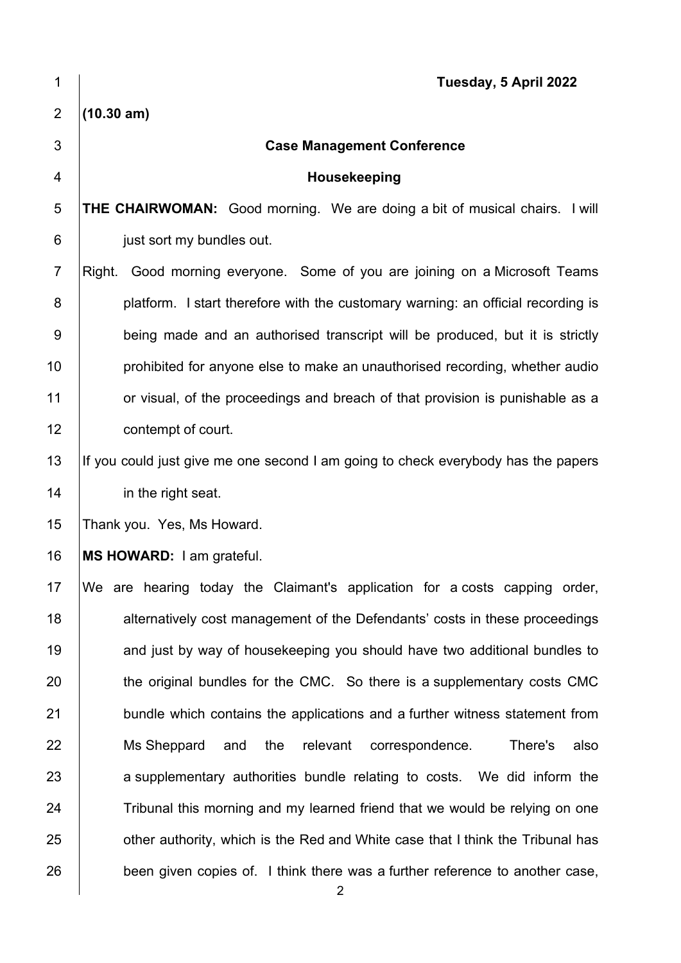| 1              | Tuesday, 5 April 2022                                                                          |
|----------------|------------------------------------------------------------------------------------------------|
| $\overline{2}$ | (10.30 am)                                                                                     |
| $\mathfrak{S}$ | <b>Case Management Conference</b>                                                              |
| $\overline{4}$ | Housekeeping                                                                                   |
| $\sqrt{5}$     | THE CHAIRWOMAN: Good morning. We are doing a bit of musical chairs. I will                     |
| $\,6$          | just sort my bundles out.                                                                      |
| $\overline{7}$ | Right. Good morning everyone. Some of you are joining on a Microsoft Teams                     |
| 8              | platform. I start therefore with the customary warning: an official recording is               |
| 9              | being made and an authorised transcript will be produced, but it is strictly                   |
| 10             | prohibited for anyone else to make an unauthorised recording, whether audio                    |
| 11             | or visual, of the proceedings and breach of that provision is punishable as a                  |
| 12             | contempt of court.                                                                             |
| 13             | If you could just give me one second I am going to check everybody has the papers              |
| 14             | in the right seat.                                                                             |
| 15             | Thank you. Yes, Ms Howard.                                                                     |
| 16             | MS HOWARD: I am grateful.                                                                      |
| 17             | We are hearing today the Claimant's application for a costs capping order,                     |
| 18             | alternatively cost management of the Defendants' costs in these proceedings                    |
| 19             | and just by way of housekeeping you should have two additional bundles to                      |
| 20             | the original bundles for the CMC. So there is a supplementary costs CMC                        |
| 21             | bundle which contains the applications and a further witness statement from                    |
| 22             | Ms Sheppard<br>and the<br>relevant<br>correspondence.<br>There's<br>also                       |
| 23             | a supplementary authorities bundle relating to costs. We did inform the                        |
| 24             | Tribunal this morning and my learned friend that we would be relying on one                    |
| 25             | other authority, which is the Red and White case that I think the Tribunal has                 |
| 26             | been given copies of. I think there was a further reference to another case,<br>$\overline{2}$ |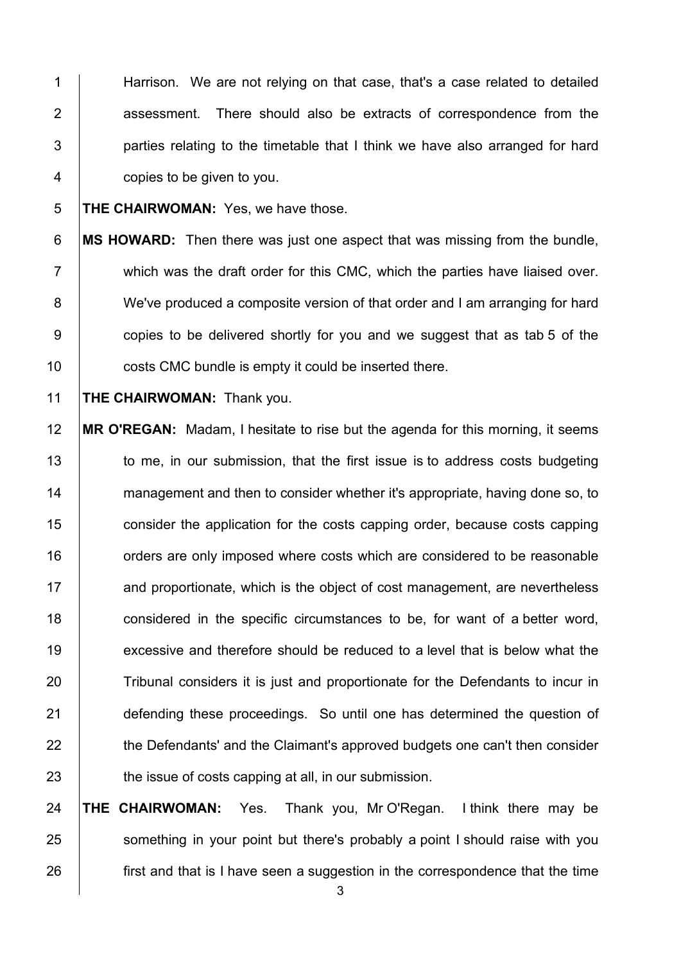1 Harrison. We are not relying on that case, that's a case related to detailed 2 **assessment.** There should also be extracts of correspondence from the  $3$  | parties relating to the timetable that I think we have also arranged for hard 4 copies to be given to you.

5 **THE CHAIRWOMAN:** Yes, we have those.

6 **MS HOWARD:** Then there was just one aspect that was missing from the bundle,  $7$   $\parallel$  which was the draft order for this CMC, which the parties have liaised over. 8 We've produced a composite version of that order and I am arranging for hard 9 copies to be delivered shortly for you and we suggest that as tab 5 of the 10 **costs CMC** bundle is empty it could be inserted there.

11 **THE CHAIRWOMAN:** Thank you.

12 **MR O'REGAN:** Madam, I hesitate to rise but the agenda for this morning, it seems 13 | to me, in our submission, that the first issue is to address costs budgeting 14 management and then to consider whether it's appropriate, having done so, to 15 **consider the application for the costs capping order, because costs capping** 16 **16** orders are only imposed where costs which are considered to be reasonable 17 **and proportionate, which is the object of cost management, are nevertheless** 18 **considered in the specific circumstances to be, for want of a better word,** 19 excessive and therefore should be reduced to a level that is below what the 20 Tribunal considers it is just and proportionate for the Defendants to incur in 21 **defending these proceedings.** So until one has determined the question of 22 the Defendants' and the Claimant's approved budgets one can't then consider 23 the issue of costs capping at all, in our submission.

24 **THE CHAIRWOMAN:** Yes. Thank you, Mr O'Regan. I think there may be 25 Something in your point but there's probably a point I should raise with you 26 **first and that is I have seen a suggestion in the correspondence that the time**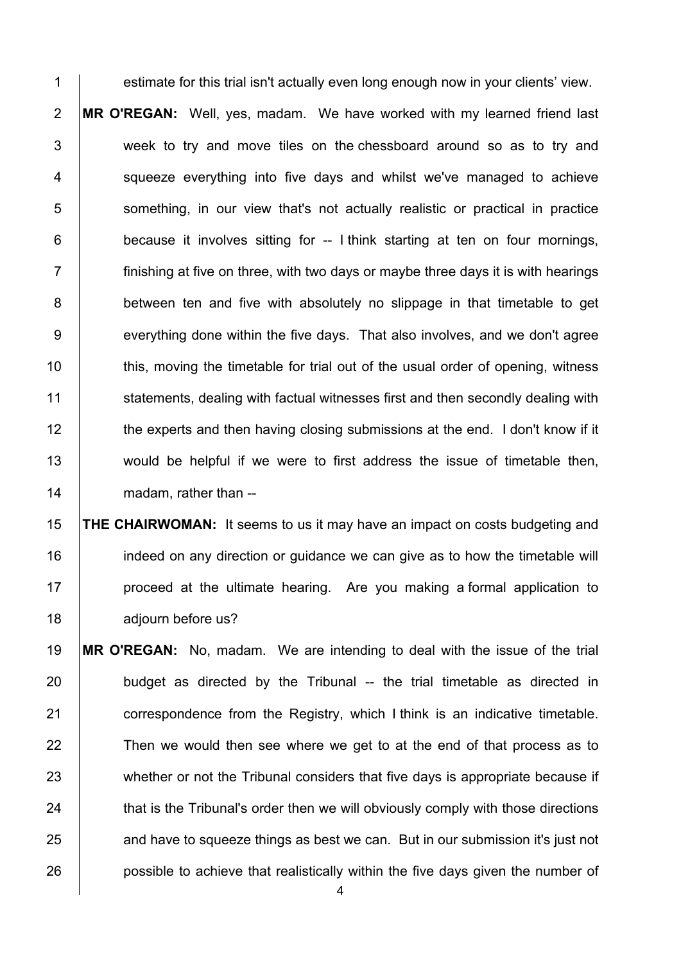estimate for this trial isn't actually even long enough now in your clients' view. **MR O'REGAN:** Well, yes, madam. We have worked with my learned friend last 3 week to try and move tiles on the chessboard around so as to try and | squeeze everything into five days and whilst we've managed to achieve **S** something, in our view that's not actually realistic or practical in practice

 $6$  | because it involves sitting for -- I think starting at ten on four mornings,

 $7 \mid$  finishing at five on three, with two days or maybe three days it is with hearings 8 **between ten and five with absolutely no slippage in that timetable to get** 9 everything done within the five days. That also involves, and we don't agree 10 this, moving the timetable for trial out of the usual order of opening, witness 11 Statements, dealing with factual witnesses first and then secondly dealing with 12 the experts and then having closing submissions at the end. I don't know if it 13 would be helpful if we were to first address the issue of timetable then, 14 madam, rather than --

 **THE CHAIRWOMAN:** It seems to us it may have an impact on costs budgeting and **indeed on any direction or guidance we can give as to how the timetable will proceed at the ultimate hearing.** Are you making a formal application to **diourn before us?** 

19 **MR O'REGAN:** No, madam. We are intending to deal with the issue of the trial 20 budget as directed by the Tribunal -- the trial timetable as directed in 21 **correspondence from the Registry, which I think is an indicative timetable.** 22 Then we would then see where we get to at the end of that process as to 23 whether or not the Tribunal considers that five days is appropriate because if 24 that is the Tribunal's order then we will obviously comply with those directions 25 and have to squeeze things as best we can. But in our submission it's just not 26 **possible to achieve that realistically within the five days given the number of**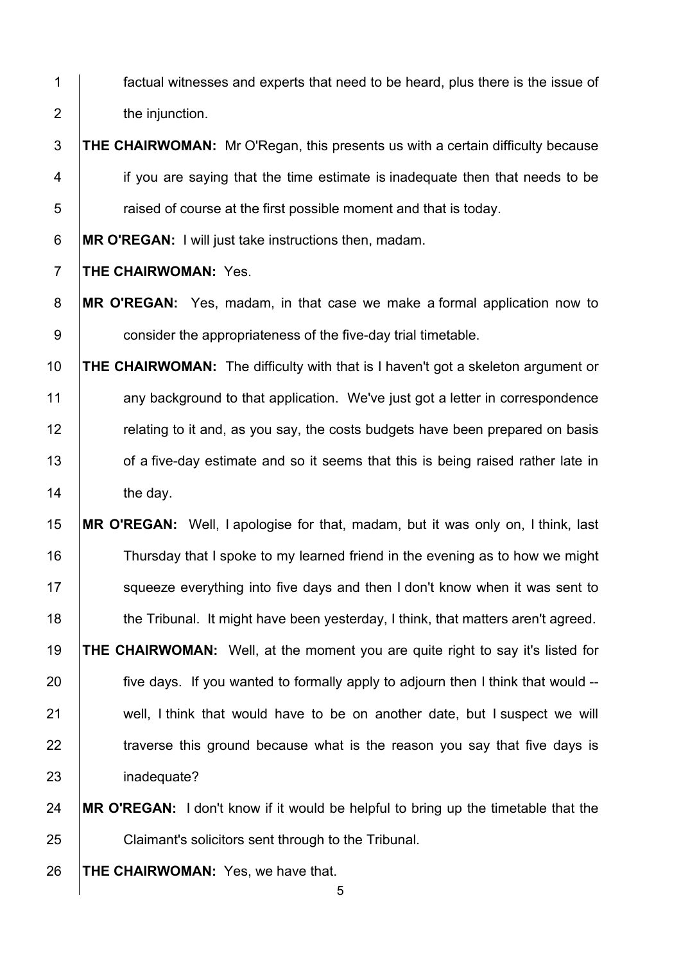- 1 factual witnesses and experts that need to be heard, plus there is the issue of **the injunction.**
- **THE CHAIRWOMAN:** Mr O'Regan, this presents us with a certain difficulty because 4 if you are saying that the time estimate is inadequate then that needs to be  $\overline{5}$  | raised of course at the first possible moment and that is today.
- **MR O'REGAN:** I will just take instructions then, madam.
- **THE CHAIRWOMAN:** Yes.
- **MR O'REGAN:** Yes, madam, in that case we make a formal application now to **consider the appropriateness of the five-day trial timetable.**
- **THE CHAIRWOMAN:** The difficulty with that is I haven't got a skeleton argument or 11 any background to that application. We've just got a letter in correspondence **Fig.** relating to it and, as you say, the costs budgets have been prepared on basis 13 of a five-day estimate and so it seems that this is being raised rather late in 14 the day.
- **MR O'REGAN:** Well, I apologise for that, madam, but it was only on, I think, last Thursday that I spoke to my learned friend in the evening as to how we might 17 Squeeze everything into five days and then I don't know when it was sent to 18 the Tribunal. It might have been yesterday, I think, that matters aren't agreed. **THE CHAIRWOMAN:** Well, at the moment you are quite right to say it's listed for five days. If you wanted to formally apply to adjourn then I think that would --21 well, I think that would have to be on another date, but I suspect we will  $\parallel$  traverse this ground because what is the reason you say that five days is 23 | inadequate?
- **MR O'REGAN:** I don't know if it would be helpful to bring up the timetable that the Claimant's solicitors sent through to the Tribunal.
- **THE CHAIRWOMAN:** Yes, we have that.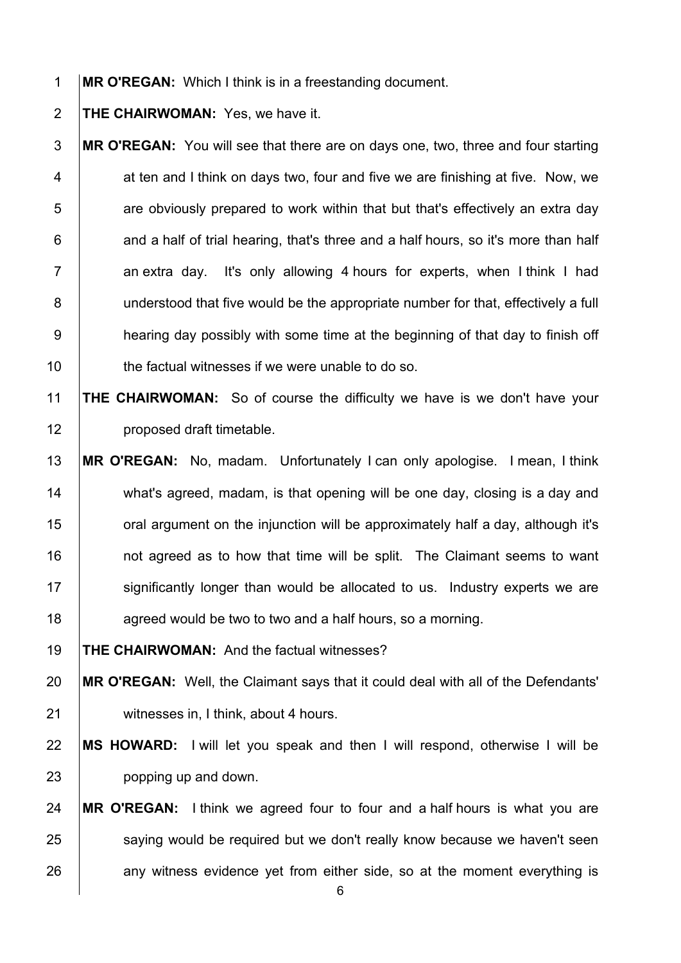**MR O'REGAN:** Which I think is in a freestanding document.

**THE CHAIRWOMAN:** Yes, we have it.

**MR O'REGAN:** You will see that there are on days one, two, three and four starting 4 at ten and I think on days two, four and five we are finishing at five. Now, we are obviously prepared to work within that but that's effectively an extra day | and a half of trial hearing, that's three and a half hours, so it's more than half an extra day. It's only allowing 4 hours for experts, when I think I had 8 understood that five would be the appropriate number for that, effectively a full **hearing day possibly with some time at the beginning of that day to finish off the factual witnesses if we were unable to do so.** 

### **THE CHAIRWOMAN:** So of course the difficulty we have is we don't have your 12 | proposed draft timetable.

 **MR O'REGAN:** No, madam. Unfortunately I can only apologise. I mean, I think 14 what's agreed, madam, is that opening will be one day, closing is a day and **oral argument on the injunction will be approximately half a day, although it's not agreed as to how that time will be split.** The Claimant seems to want 17 Significantly longer than would be allocated to us. Industry experts we are **agreed would be two to two and a half hours, so a morning.** 

**THE CHAIRWOMAN:** And the factual witnesses?

 **MR O'REGAN:** Well, the Claimant says that it could deal with all of the Defendants' 21 | witnesses in, I think, about 4 hours.

 **MS HOWARD:** I will let you speak and then I will respond, otherwise I will be **popping up and down.** 

# **MR O'REGAN:** I think we agreed four to four and a half hours is what you are 25 saying would be required but we don't really know because we haven't seen 26 any witness evidence yet from either side, so at the moment everything is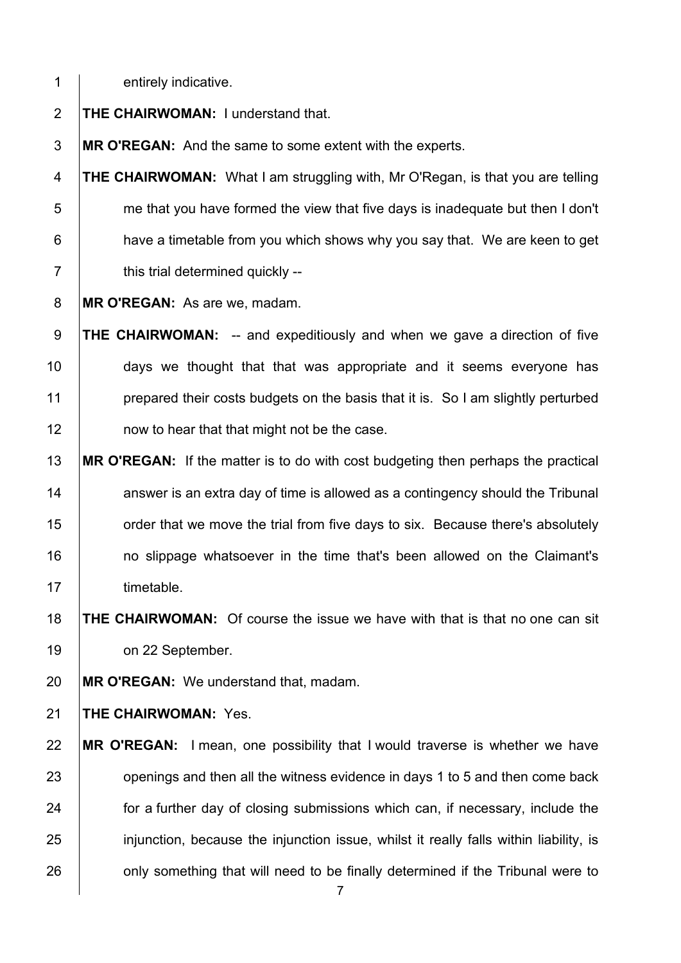1 entirely indicative.

**THE CHAIRWOMAN:** I understand that.

**MR O'REGAN:** And the same to some extent with the experts.

**THE CHAIRWOMAN:** What I am struggling with, Mr O'Regan, is that you are telling | me that you have formed the view that five days is inadequate but then I don't **have a timetable from you which shows why you say that. We are keen to get**  $7 \mid$  this trial determined quickly --

**MR O'REGAN:** As are we, madam.

**THE CHAIRWOMAN:** -- and expeditiously and when we gave a direction of five **days** we thought that that was appropriate and it seems everyone has **prepared their costs budgets on the basis that it is. So I am slightly perturbed now to hear that that might not be the case.** 

 **MR O'REGAN:** If the matter is to do with cost budgeting then perhaps the practical answer is an extra day of time is allowed as a contingency should the Tribunal **order that we move the trial from five days to six. Because there's absolutely no slippage whatsoever in the time that's been allowed on the Claimant's** 17 | timetable.

 **THE CHAIRWOMAN:** Of course the issue we have with that is that no one can sit **on 22 September.** 

**MR O'REGAN:** We understand that, madam.

**THE CHAIRWOMAN:** Yes.

 **MR O'REGAN:** I mean, one possibility that I would traverse is whether we have **openings and then all the witness evidence in days 1 to 5 and then come back for a further day of closing submissions which can, if necessary, include the** 25 injunction, because the injunction issue, whilst it really falls within liability, is **only something that will need to be finally determined if the Tribunal were to**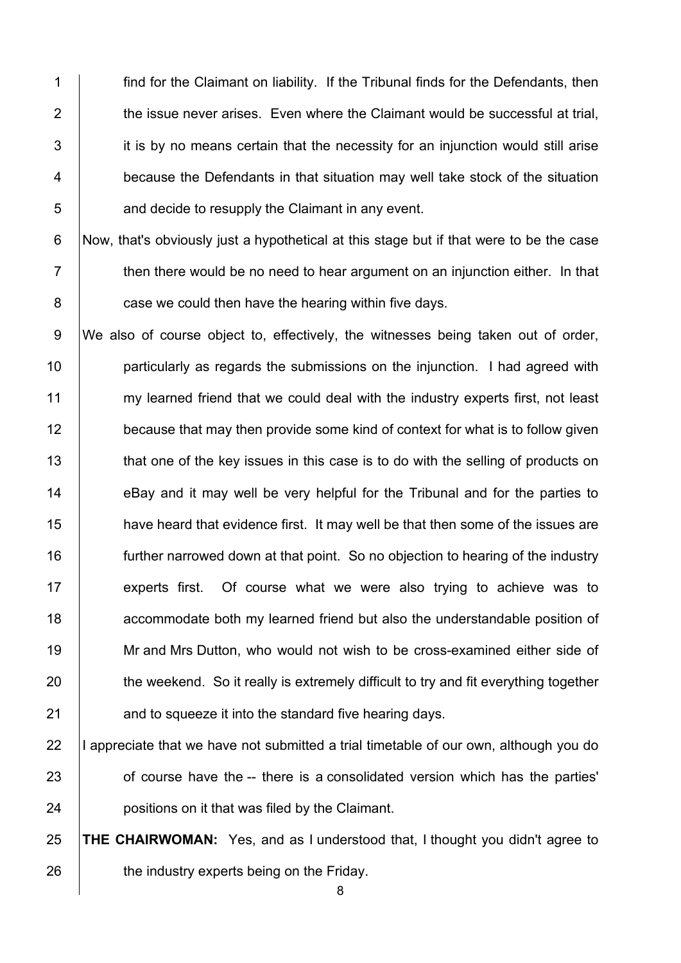**find for the Claimant on liability.** If the Tribunal finds for the Defendants, then  $\parallel$  the issue never arises. Even where the Claimant would be successful at trial, it is by no means certain that the necessity for an iniunction would still arise **because the Defendants in that situation may well take stock of the situation b** and decide to resupply the Claimant in any event.

6 Now, that's obviously just a hypothetical at this stage but if that were to be the case  $7 \mid$  then there would be no need to hear argument on an injunction either. In that 8 **case we could then have the hearing within five days.** 

9 We also of course object to, effectively, the witnesses being taken out of order, 10 **particularly as regards the submissions on the injunction.** I had agreed with 11 my learned friend that we could deal with the industry experts first, not least 12 because that may then provide some kind of context for what is to follow given 13 that one of the key issues in this case is to do with the selling of products on 14 eBay and it may well be very helpful for the Tribunal and for the parties to 15 **have heard that evidence first.** It may well be that then some of the issues are 16 | further narrowed down at that point. So no objection to hearing of the industry 17 experts first. Of course what we were also trying to achieve was to 18 **18** accommodate both my learned friend but also the understandable position of 19 Mr and Mrs Dutton, who would not wish to be cross-examined either side of 20 the weekend. So it really is extremely difficult to try and fit everything together 21 **and to squeeze it into the standard five hearing days.** 

22  $\parallel$  appreciate that we have not submitted a trial timetable of our own, although you do 23 of course have the -- there is a consolidated version which has the parties' 24 **positions on it that was filed by the Claimant.** 

25 **THE CHAIRWOMAN:** Yes, and as I understood that, I thought you didn't agree to 26 **the industry experts being on the Friday.**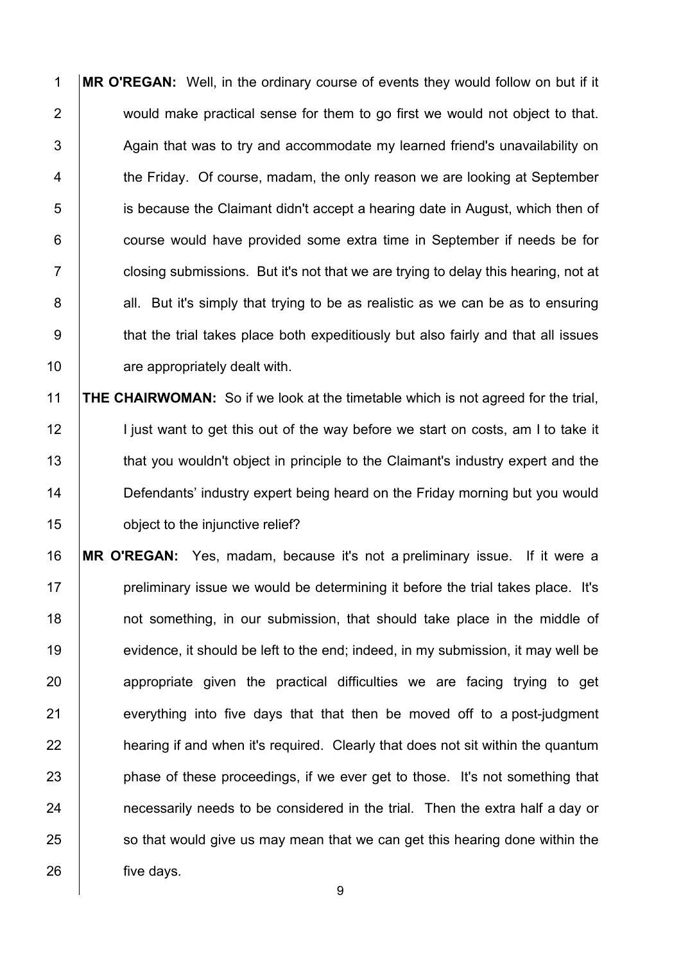**MR O'REGAN:** Well, in the ordinary course of events they would follow on but if it 2 would make practical sense for them to go first we would not object to that.  $\vert$  Again that was to try and accommodate my learned friend's unavailability on 4 the Friday. Of course, madam, the only reason we are looking at September 5 is because the Claimant didn't accept a hearing date in August, which then of **course would have provided some extra time in September if needs be for**  $7 \mid$  closing submissions. But it's not that we are trying to delay this hearing, not at 8 all. But it's simply that trying to be as realistic as we can be as to ensuring 9 | that the trial takes place both expeditiously but also fairly and that all issues **are appropriately dealt with.** 

 **THE CHAIRWOMAN:** So if we look at the timetable which is not agreed for the trial, 12 | I just want to get this out of the way before we start on costs, am I to take it 13 that you wouldn't object in principle to the Claimant's industry expert and the **Defendants' industry expert being heard on the Friday morning but you would biect to the injunctive relief?** 

 **MR O'REGAN:** Yes, madam, because it's not a preliminary issue. If it were a | preliminary issue we would be determining it before the trial takes place. It's **not something, in our submission, that should take place in the middle of** 19 evidence, it should be left to the end; indeed, in my submission, it may well be **appropriate** given the practical difficulties we are facing trying to get everything into five days that that then be moved off to a post-judgment **hearing if and when it's required. Clearly that does not sit within the quantum phase of these proceedings, if we ever get to those. It's not something that necessarily needs to be considered in the trial.** Then the extra half a day or so that would give us may mean that we can get this hearing done within the **five days.**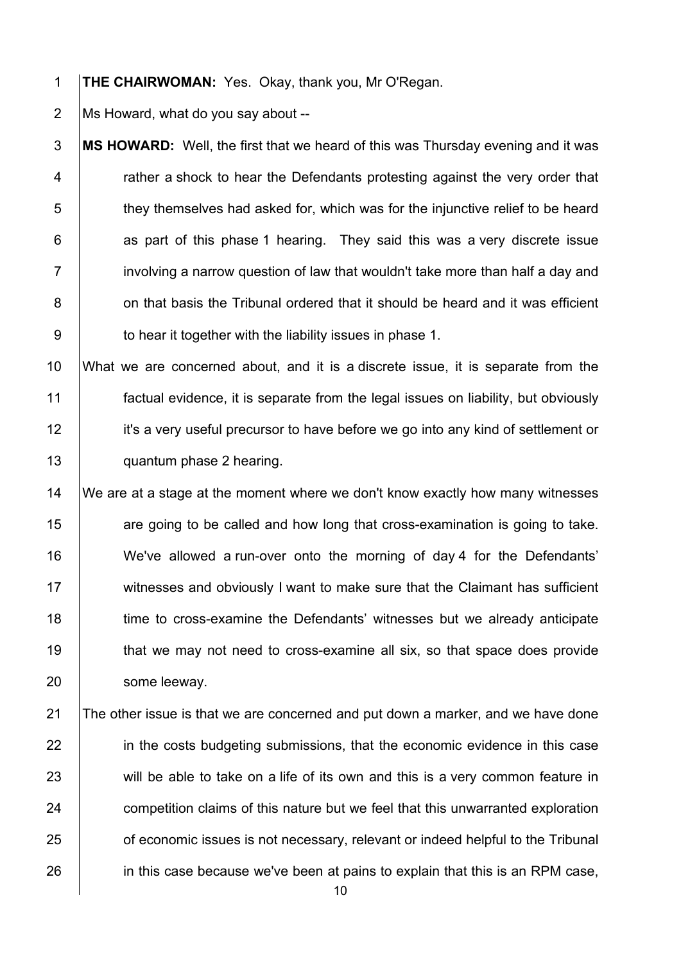1 **THE CHAIRWOMAN:** Yes. Okay, thank you, Mr O'Regan.

2  $\vert$  Ms Howard, what do you say about --

**MS HOWARD:** Well, the first that we heard of this was Thursday evening and it was  $\vert$  rather a shock to hear the Defendants protesting against the very order that  $\vert$  they themselves had asked for, which was for the injunctive relief to be heard | as part of this phase 1 hearing. They said this was a very discrete issue  $7 \mid$  involving a narrow question of law that wouldn't take more than half a day and **on that basis the Tribunal ordered that it should be heard and it was efficient b** to hear it together with the liability issues in phase 1.

 What we are concerned about, and it is a discrete issue, it is separate from the factual evidence, it is separate from the legal issues on liability, but obviously 12 it's a very useful precursor to have before we go into any kind of settlement or **quantum phase 2 hearing.** 

14 We are at a stage at the moment where we don't know exactly how many witnesses 15 **are going to be called and how long that cross-examination is going to take.** 16 We've allowed a run-over onto the morning of day 4 for the Defendants' 17 Witnesses and obviously I want to make sure that the Claimant has sufficient 18 time to cross-examine the Defendants' witnesses but we already anticipate 19 that we may not need to cross-examine all six, so that space does provide 20 | some leeway.

21 The other issue is that we are concerned and put down a marker, and we have done 22 in the costs budgeting submissions, that the economic evidence in this case 23 will be able to take on a life of its own and this is a very common feature in 24 competition claims of this nature but we feel that this unwarranted exploration 25 **of economic issues is not necessary, relevant or indeed helpful to the Tribunal** 26 in this case because we've been at pains to explain that this is an RPM case,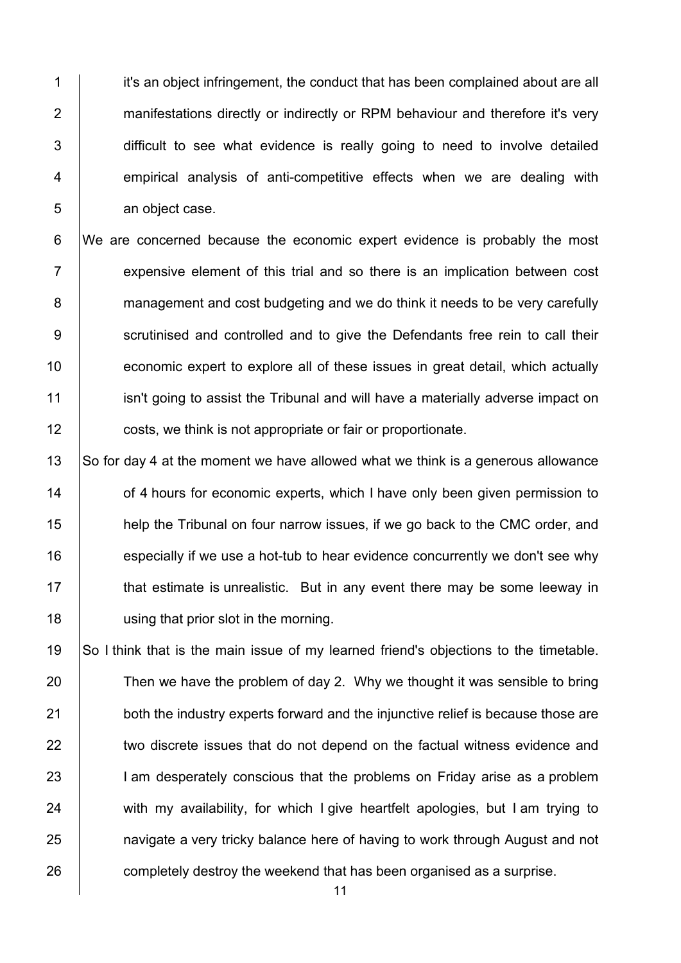1 **it's an object infringement, the conduct that has been complained about are all** 2 **manifestations directly or indirectly or RPM behaviour and therefore it's very** 3 difficult to see what evidence is really going to need to involve detailed 4 empirical analysis of anti-competitive effects when we are dealing with 5 an object case.

6 We are concerned because the economic expert evidence is probably the most  $7$  | expensive element of this trial and so there is an implication between cost 8 management and cost budgeting and we do think it needs to be very carefully 9 Scrutinised and controlled and to give the Defendants free rein to call their 10 **economic expert to explore all of these issues in great detail, which actually** 11 isn't going to assist the Tribunal and will have a materially adverse impact on 12 **costs, we think is not appropriate or fair or proportionate.** 

 $\vert$  So for day 4 at the moment we have allowed what we think is a generous allowance **14** of 4 hours for economic experts, which I have only been given permission to **help the Tribunal on four narrow issues, if we go back to the CMC order, and especially if we use a hot-tub to hear evidence concurrently we don't see why that estimate is unrealistic.** But in any event there may be some leeway in **using that prior slot in the morning.** 

19 So I think that is the main issue of my learned friend's objections to the timetable. 20 Then we have the problem of day 2. Why we thought it was sensible to bring 21 both the industry experts forward and the injunctive relief is because those are 22 witwo discrete issues that do not depend on the factual witness evidence and 23 I am desperately conscious that the problems on Friday arise as a problem 24 with my availability, for which I give heartfelt apologies, but I am trying to 25 **had invertigate a very tricky balance here of having to work through August and not** 26 **completely destroy the weekend that has been organised as a surprise.**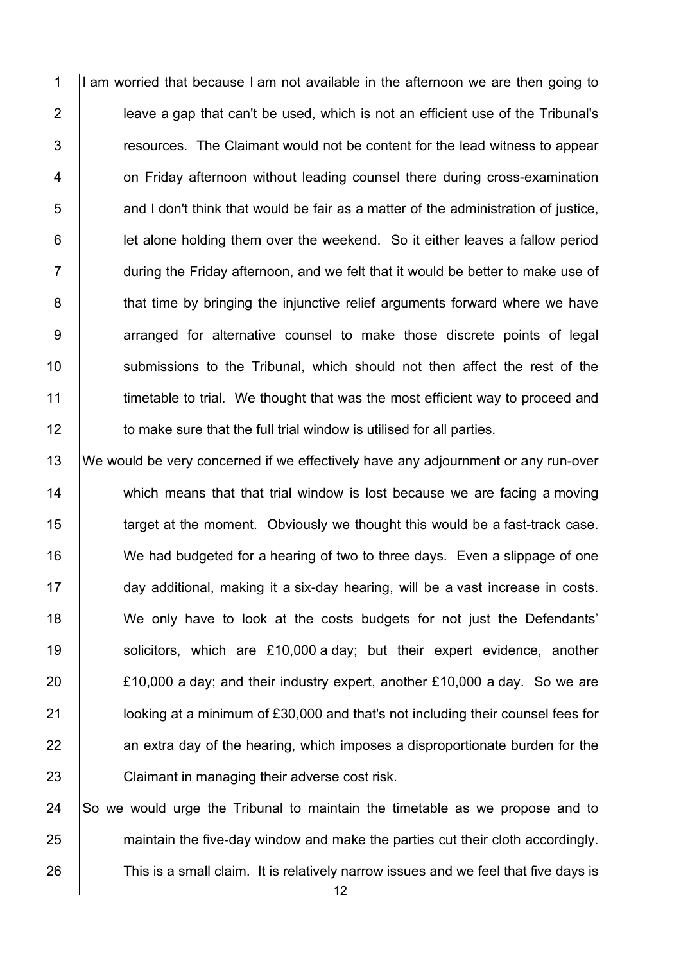1 I am worried that because I am not available in the afternoon we are then going to 2 **leave a gap that can't be used, which is not an efficient use of the Tribunal's** 3 T resources. The Claimant would not be content for the lead witness to appear 4 **1** on Friday afternoon without leading counsel there during cross-examination  $5$  and I don't think that would be fair as a matter of the administration of justice, 6 **let alone holding them over the weekend.** So it either leaves a fallow period 7 during the Friday afternoon, and we felt that it would be better to make use of 8 **that time by bringing the injunctive relief arguments forward where we have** 9 | arranged for alternative counsel to make those discrete points of legal 10 Submissions to the Tribunal, which should not then affect the rest of the 11 timetable to trial. We thought that was the most efficient way to proceed and 12 **to make sure that the full trial window is utilised for all parties.** 

 We would be very concerned if we effectively have any adjournment or any run-over 14 which means that that trial window is lost because we are facing a moving target at the moment. Obviously we thought this would be a fast-track case. 16 We had budgeted for a hearing of two to three days. Even a slippage of one day additional, making it a six-day hearing, will be a vast increase in costs. 18 We only have to look at the costs budgets for not just the Defendants' 19 Solicitors, which are £10,000 a day; but their expert evidence, another  $\vert$  £10,000 a day; and their industry expert, another £10,000 a day. So we are **letch** looking at a minimum of £30,000 and that's not including their counsel fees for an extra day of the hearing, which imposes a disproportionate burden for the **Claimant in managing their adverse cost risk.** 

24  $\vert$  So we would urge the Tribunal to maintain the timetable as we propose and to 25 maintain the five-day window and make the parties cut their cloth accordingly. 26 This is a small claim. It is relatively narrow issues and we feel that five days is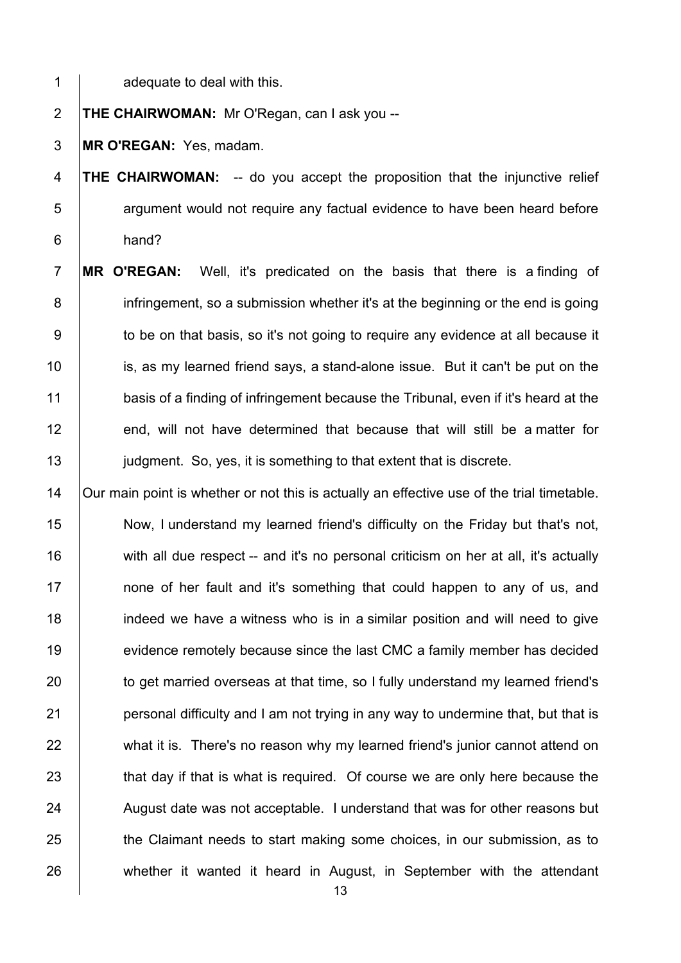1 adequate to deal with this.

2 **THE CHAIRWOMAN:** Mr O'Regan, can I ask you --

3 **MR O'REGAN:** Yes, madam.

4 **THE CHAIRWOMAN:** -- do you accept the proposition that the injunctive relief 5 **Fig.** argument would not require any factual evidence to have been heard before 6 hand?

7 **MR O'REGAN:** Well, it's predicated on the basis that there is a finding of 8 infringement, so a submission whether it's at the beginning or the end is going 9 to be on that basis, so it's not going to require any evidence at all because it 10 **is, as my learned friend says, a stand-alone issue.** But it can't be put on the 11 basis of a finding of infringement because the Tribunal, even if it's heard at the 12 end, will not have determined that because that will still be a matter for 13 **judgment.** So, yes, it is something to that extent that is discrete.

14 | Our main point is whether or not this is actually an effective use of the trial timetable. 15 Now, I understand my learned friend's difficulty on the Friday but that's not,  $16$  with all due respect -- and it's no personal criticism on her at all, it's actually 17 **none of her fault and it's something that could happen to any of us, and** 18 **indeed we have a witness who is in a similar position and will need to give** 19 evidence remotely because since the last CMC a family member has decided 20 to get married overseas at that time, so I fully understand my learned friend's 21 **personal difficulty and I am not trying in any way to undermine that, but that is** 22 what it is. There's no reason why my learned friend's junior cannot attend on 23 that day if that is what is required. Of course we are only here because the 24 August date was not acceptable. I understand that was for other reasons but 25 the Claimant needs to start making some choices, in our submission, as to 26 whether it wanted it heard in August, in September with the attendant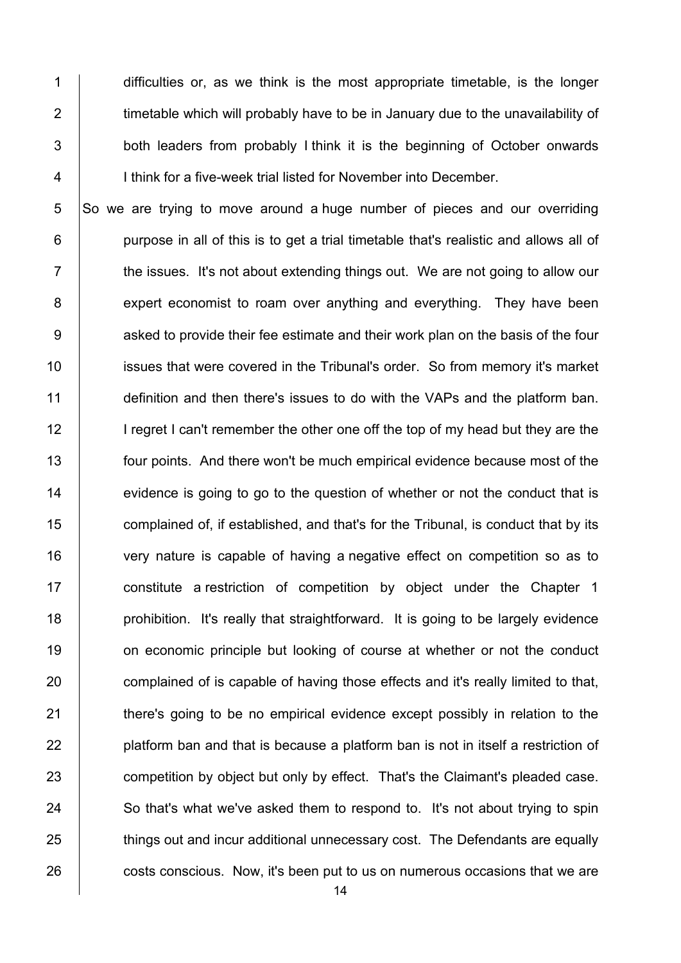1 difficulties or, as we think is the most appropriate timetable, is the longer 2  $\parallel$  timetable which will probably have to be in January due to the unavailability of 3 **both leaders from probably I think it is the beginning of October onwards** 4 | I think for a five-week trial listed for November into December.

 So we are trying to move around a huge number of pieces and our overriding **purpose in all of this is to get a trial timetable that's realistic and allows all of**   $\parallel$  the issues. It's not about extending things out. We are not going to allow our 8 expert economist to roam over anything and everything. They have been 9 <br>9 asked to provide their fee estimate and their work plan on the basis of the four **ignor** issues that were covered in the Tribunal's order. So from memory it's market definition and then there's issues to do with the VAPs and the platform ban. 12 I regret I can't remember the other one off the top of my head but they are the **four points.** And there won't be much empirical evidence because most of the 14 evidence is going to go to the question of whether or not the conduct that is **complained of, if established, and that's for the Tribunal, is conduct that by its** 16 very nature is capable of having a negative effect on competition so as to **constitute a restriction of competition by object under the Chapter 1 prohibition.** It's really that straightforward. It is going to be largely evidence 19 on economic principle but looking of course at whether or not the conduct 20 complained of is capable of having those effects and it's really limited to that, **there's going to be no empirical evidence except possibly in relation to the platform ban and that is because a platform ban is not in itself a restriction of competition by object but only by effect.** That's the Claimant's pleaded case. 24 So that's what we've asked them to respond to. It's not about trying to spin **things out and incur additional unnecessary cost. The Defendants are equally costs conscious.** Now, it's been put to us on numerous occasions that we are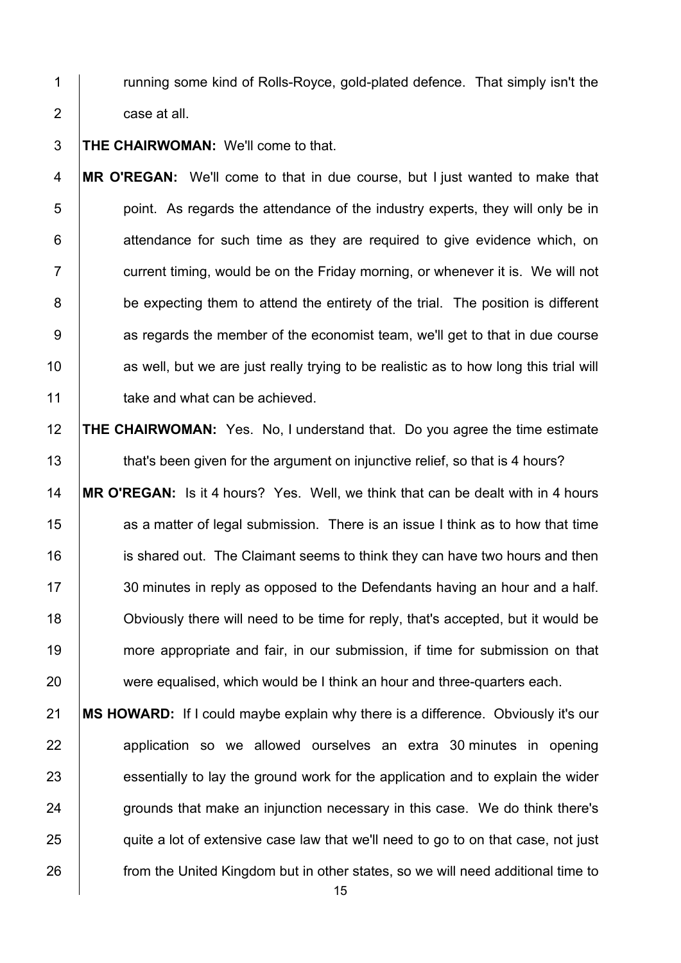1 Tunning some kind of Rolls-Royce, gold-plated defence. That simply isn't the 2 **case at all.** 

3 **THE CHAIRWOMAN:** We'll come to that.

4 **MR O'REGAN:** We'll come to that in due course, but I just wanted to make that 5 **b** point. As regards the attendance of the industry experts, they will only be in  $6$  | attendance for such time as they are required to give evidence which, on  $7 \mid$  current timing, would be on the Friday morning, or whenever it is. We will not 8 be expecting them to attend the entirety of the trial. The position is different 9 <br>9 as regards the member of the economist team, we'll get to that in due course 10 as well, but we are just really trying to be realistic as to how long this trial will 11 **take and what can be achieved.** 

 **THE CHAIRWOMAN:** Yes. No, I understand that. Do you agree the time estimate **that's been given for the argument on injunctive relief, so that is 4 hours? MR O'REGAN:** Is it 4 hours? Yes. Well, we think that can be dealt with in 4 hours **as a matter of legal submission.** There is an issue I think as to how that time **igns** is shared out. The Claimant seems to think they can have two hours and then 17 30 minutes in reply as opposed to the Defendants having an hour and a half. Obviously there will need to be time for reply, that's accepted, but it would be 19 more appropriate and fair, in our submission, if time for submission on that 20 were equalised, which would be I think an hour and three-quarters each.

21 **MS HOWARD:** If I could maybe explain why there is a difference. Obviously it's our 22 | application so we allowed ourselves an extra 30 minutes in opening 23 essentially to lay the ground work for the application and to explain the wider 24 grounds that make an injunction necessary in this case. We do think there's 25 quite a lot of extensive case law that we'll need to go to on that case, not just 26 **from the United Kingdom but in other states, so we will need additional time to**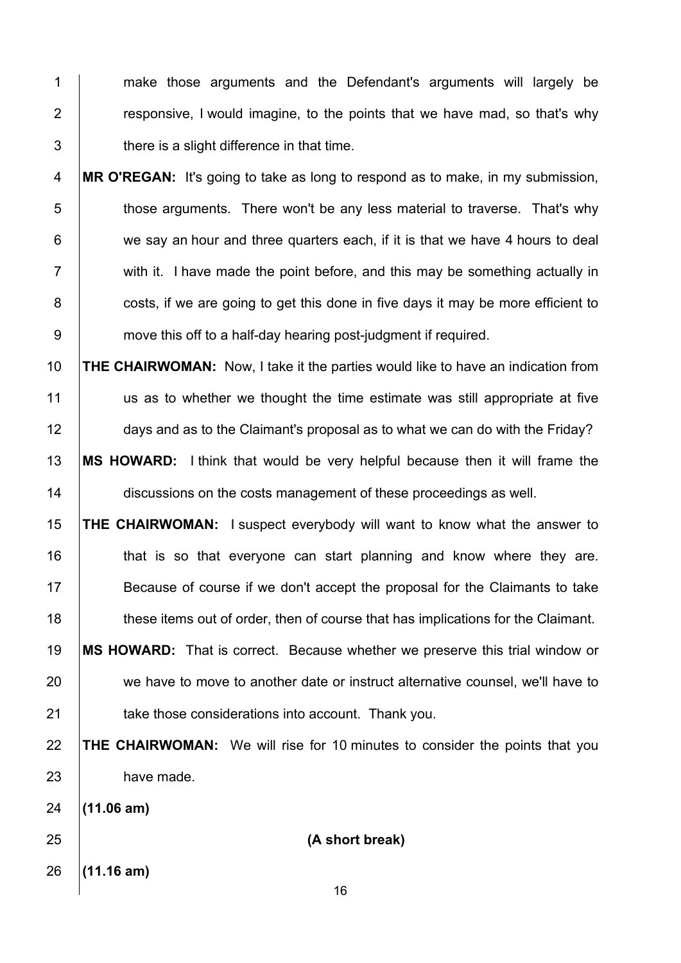1 make those arguments and the Defendant's arguments will largely be **Fig.** 7 responsive, I would imagine, to the points that we have mad, so that's why  $3 \mid$  there is a slight difference in that time.

**MR O'REGAN:** It's going to take as long to respond as to make, in my submission, 5 those arguments. There won't be any less material to traverse. That's why 6 we say an hour and three quarters each, if it is that we have 4 hours to deal  $7 \mid$  with it. I have made the point before, and this may be something actually in **costs, if we are going to get this done in five days it may be more efficient to move this off to a half-day hearing post-judgment if required.** 

 **THE CHAIRWOMAN:** Now, I take it the parties would like to have an indication from us as to whether we thought the time estimate was still appropriate at five 12 days and as to the Claimant's proposal as to what we can do with the Friday? **MS HOWARD:** I think that would be very helpful because then it will frame the **discussions on the costs management of these proceedings as well.** 

 **THE CHAIRWOMAN:** I suspect everybody will want to know what the answer to **that is so that everyone can start planning and know where they are.**  Because of course if we don't accept the proposal for the Claimants to take 18 these items out of order, then of course that has implications for the Claimant.

 **MS HOWARD:** That is correct. Because whether we preserve this trial window or 20 we have to move to another date or instruct alternative counsel, we'll have to **take those considerations into account.** Thank you.

 **THE CHAIRWOMAN:** We will rise for 10 minutes to consider the points that you 23 have made.

**(11.06 am)**

 **(A short break)** 

**(11.16 am)**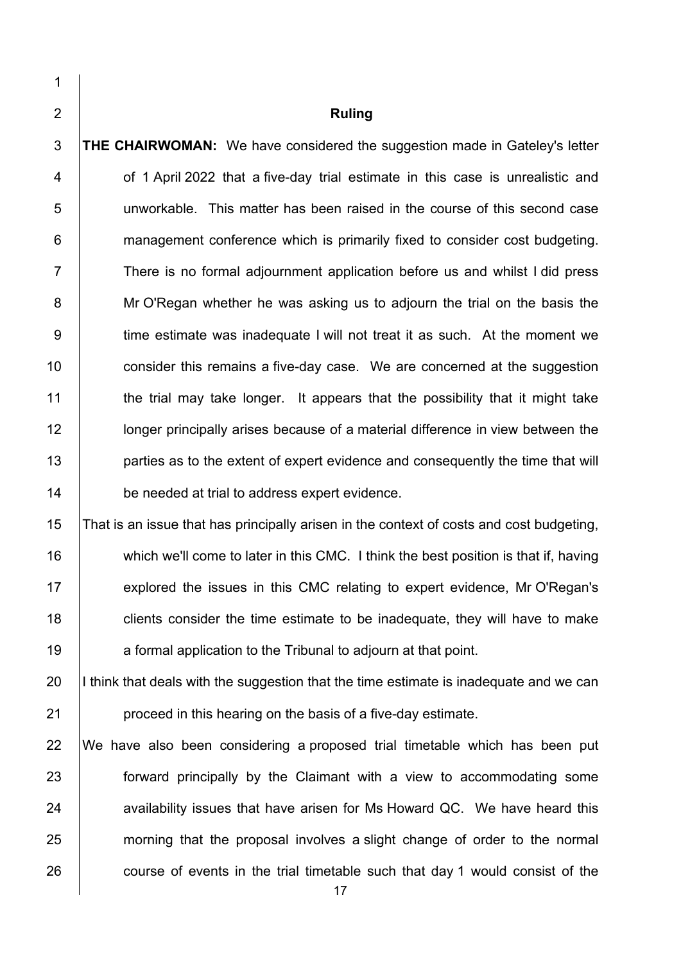**Ruling THE CHAIRWOMAN:** We have considered the suggestion made in Gateley's letter **6 1 April 2022 that a five-day trial estimate in this case is unrealistic and** 5 unworkable. This matter has been raised in the course of this second case **6** management conference which is primarily fixed to consider cost budgeting. 7 There is no formal adiournment application before us and whilst I did press 8 Mr O'Regan whether he was asking us to adjourn the trial on the basis the 9 time estimate was inadequate I will not treat it as such. At the moment we **consider this remains a five-day case.** We are concerned at the suggestion  $\parallel$  the trial may take longer. It appears that the possibility that it might take **lups** longer principally arises because of a material difference in view between the **parties as to the extent of expert evidence and consequently the time that will be needed at trial to address expert evidence.** 

 That is an issue that has principally arisen in the context of costs and cost budgeting, 16 which we'll come to later in this CMC. I think the best position is that if, having 17 explored the issues in this CMC relating to expert evidence, Mr O'Regan's **clients consider the time estimate to be inadequate, they will have to make a** formal application to the Tribunal to adjourn at that point.

20 I think that deals with the suggestion that the time estimate is inadequate and we can **proceed in this hearing on the basis of a five-day estimate.** 

 We have also been considering a proposed trial timetable which has been put **forward principally by the Claimant with a view to accommodating some**  availability issues that have arisen for Ms Howard QC. We have heard this 25 morning that the proposal involves a slight change of order to the normal 26 course of events in the trial timetable such that day 1 would consist of the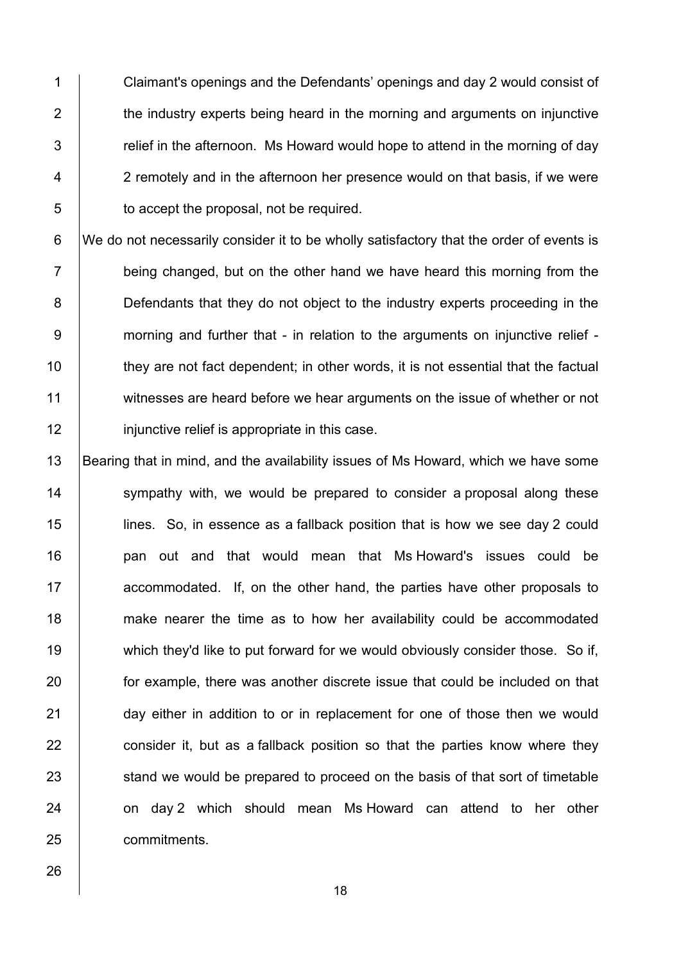1 Claimant's openings and the Defendants' openings and day 2 would consist of 2 the industry experts being heard in the morning and arguments on injunctive  $3$   $\parallel$  relief in the afternoon. Ms Howard would hope to attend in the morning of day 4 2 remotely and in the afternoon her presence would on that basis, if we were 5 **to accept the proposal, not be required.** 

6 We do not necessarily consider it to be wholly satisfactory that the order of events is  $7$  being changed, but on the other hand we have heard this morning from the 8 **Defendants that they do not object to the industry experts proceeding in the** 9 morning and further that - in relation to the arguments on injunctive relief - $10$  they are not fact dependent; in other words, it is not essential that the factual 11 witnesses are heard before we hear arguments on the issue of whether or not 12 **injunctive relief is appropriate in this case.** 

13 Bearing that in mind, and the availability issues of Ms Howard, which we have some 14 Sympathy with, we would be prepared to consider a proposal along these 15 lines. So, in essence as a fallback position that is how we see day 2 could 16 | pan out and that would mean that Ms Howard's issues could be  $17$  accommodated. If, on the other hand, the parties have other proposals to 18 make nearer the time as to how her availability could be accommodated 19 which they'd like to put forward for we would obviously consider those. So if, 20 **for example, there was another discrete issue that could be included on that** 21 day either in addition to or in replacement for one of those then we would 22  $\parallel$  consider it, but as a fallback position so that the parties know where they 23 Stand we would be prepared to proceed on the basis of that sort of timetable 24 | on day 2 which should mean Ms Howard can attend to her other 25 commitments.

26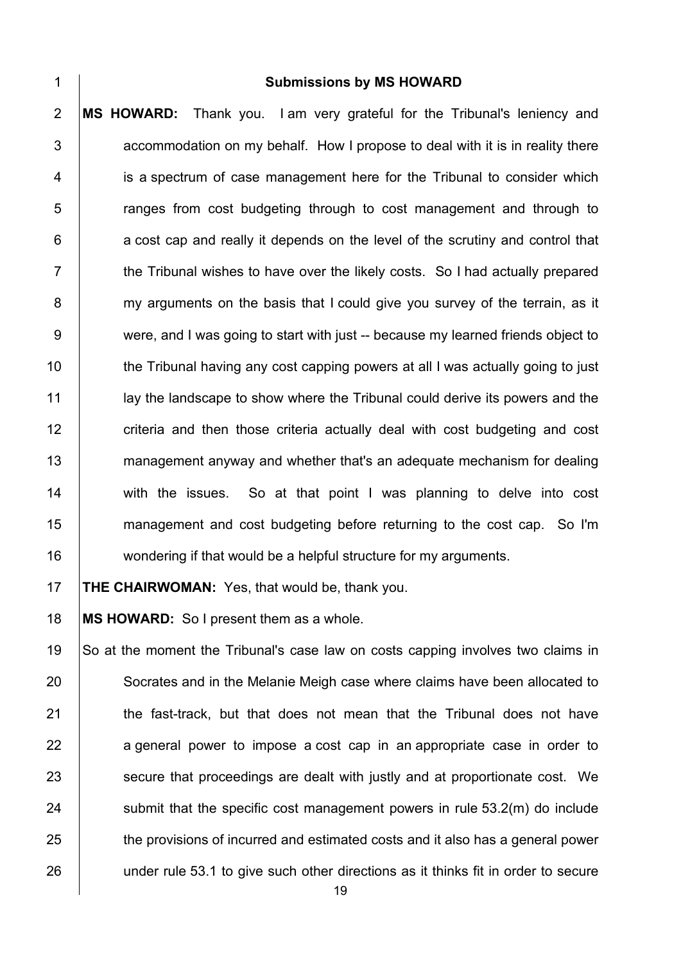1 **Submissions by MS HOWARD** 2 **MS HOWARD:** Thank you. I am very grateful for the Tribunal's leniency and  $3$   $\vert$  accommodation on my behalf. How I propose to deal with it is in reality there 4 is a spectrum of case management here for the Tribunal to consider which 5 **Fig.** Franges from cost budgeting through to cost management and through to  $6$  | a cost cap and really it depends on the level of the scrutiny and control that 7 T the Tribunal wishes to have over the likely costs. So I had actually prepared 8 my arguments on the basis that I could give you survey of the terrain, as it 9 were, and I was going to start with just -- because my learned friends object to 10 the Tribunal having any cost capping powers at all I was actually going to just 11 above the land of the show where the Tribunal could derive its powers and the 12 **Fig.** criteria and then those criteria actually deal with cost budgeting and cost 13 management anyway and whether that's an adequate mechanism for dealing 14 with the issues. So at that point I was planning to delve into cost 15 management and cost budgeting before returning to the cost cap. So I'm 16 wondering if that would be a helpful structure for my arguments.

17 **THE CHAIRWOMAN:** Yes, that would be, thank you.

18 **MS HOWARD:** So I present them as a whole.

19 So at the moment the Tribunal's case law on costs capping involves two claims in 20 Socrates and in the Melanie Meigh case where claims have been allocated to 21 **the fast-track, but that does not mean that the Tribunal does not have** 22 ageneral power to impose a cost cap in an appropriate case in order to 23 **Secure that proceedings are dealt with justly and at proportionate cost.** We 24  $\vert$  submit that the specific cost management powers in rule 53.2(m) do include 25 the provisions of incurred and estimated costs and it also has a general power 26 under rule 53.1 to give such other directions as it thinks fit in order to secure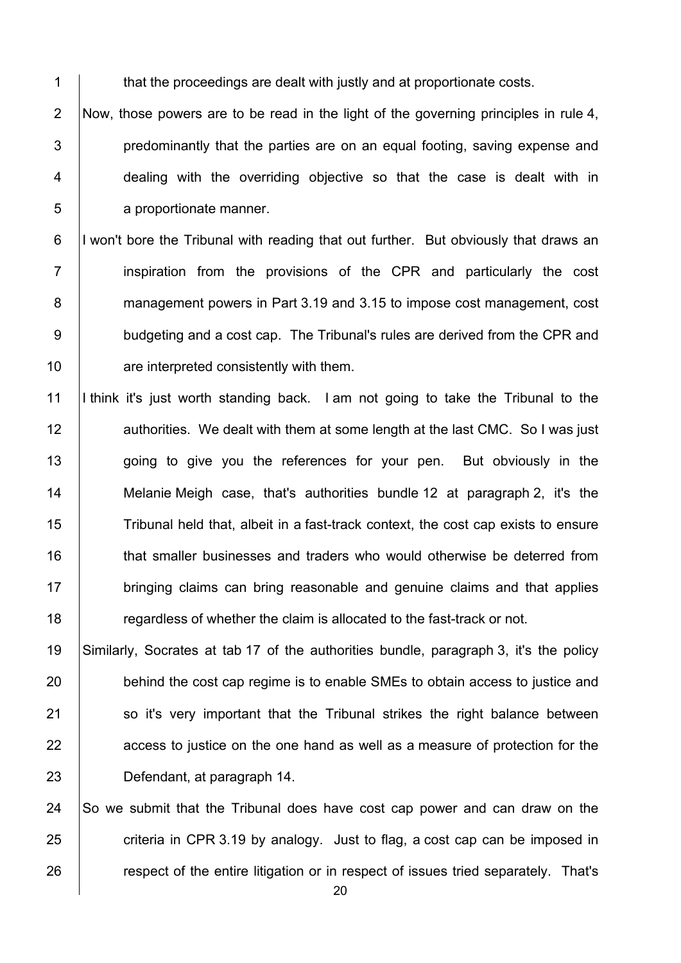1 that the proceedings are dealt with justly and at proportionate costs.

2 Now, those powers are to be read in the light of the governing principles in rule 4, | predominantly that the parties are on an equal footing, saving expense and 4 dealing with the overriding objective so that the case is dealt with in **a** proportionate manner.

6 I won't bore the Tribunal with reading that out further. But obviously that draws an 7 | inspiration from the provisions of the CPR and particularly the cost **Management powers in Part 3.19 and 3.15 to impose cost management, cost** 9 budgeting and a cost cap. The Tribunal's rules are derived from the CPR and **Fig.** are interpreted consistently with them.

 I think it's just worth standing back. I am not going to take the Tribunal to the **authorities.** We dealt with them at some length at the last CMC. So I was just 13 going to give you the references for your pen. But obviously in the **Melanie Meigh case, that's authorities bundle 12 at paragraph 2, it's the** 15 Tribunal held that, albeit in a fast-track context, the cost cap exists to ensure **that smaller businesses and traders who would otherwise be deterred from bringing claims can bring reasonable and genuine claims and that applies The Stepardless of whether the claim is allocated to the fast-track or not.** 

 Similarly, Socrates at tab 17 of the authorities bundle, paragraph 3, it's the policy 20 behind the cost cap regime is to enable SMEs to obtain access to justice and **So** it's very important that the Tribunal strikes the right balance between **a**ccess to justice on the one hand as well as a measure of protection for the Defendant, at paragraph 14.

24  $\vert$  So we submit that the Tribunal does have cost cap power and can draw on the criteria in CPR 3.19 by analogy. Just to flag, a cost cap can be imposed in **respect of the entire litigation or in respect of issues tried separately. That's**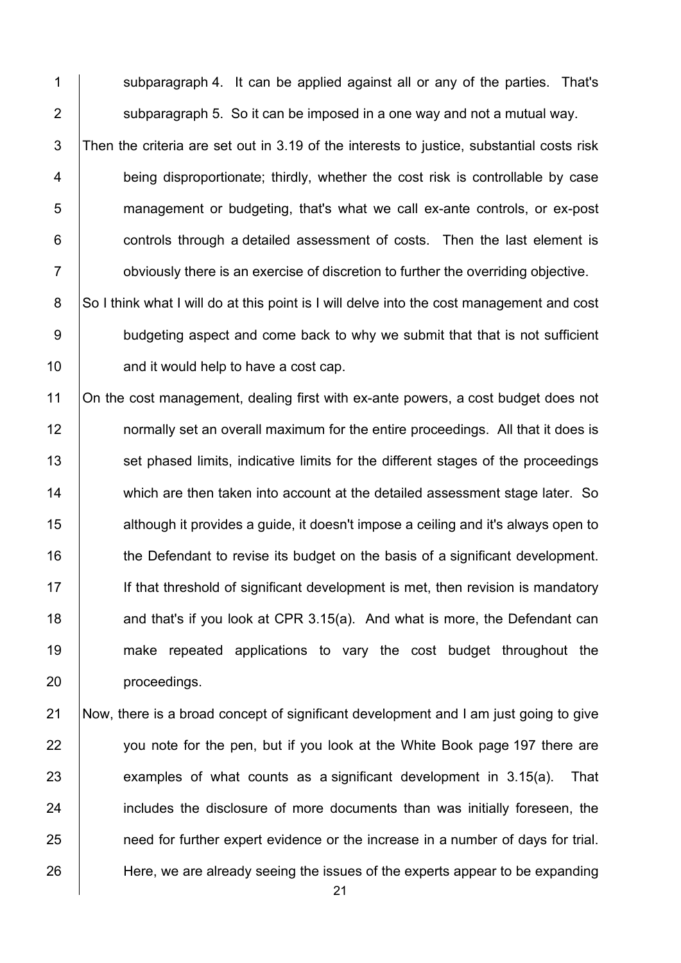1 Subparagraph 4. It can be applied against all or any of the parties. That's 2  $\vert$  subparagraph 5. So it can be imposed in a one way and not a mutual way. 3 Then the criteria are set out in 3.19 of the interests to justice, substantial costs risk 4 being disproportionate; thirdly, whether the cost risk is controllable by case 5 management or budgeting, that's what we call ex-ante controls, or ex-post 6 **controls through a detailed assessment of costs.** Then the last element is 7 **budge 1** obviously there is an exercise of discretion to further the overriding objective. 8 So I think what I will do at this point is I will delve into the cost management and cost 9 budgeting aspect and come back to why we submit that that is not sufficient

 $10$  and it would help to have a cost cap.

11 On the cost management, dealing first with ex-ante powers, a cost budget does not **normally set an overall maximum for the entire proceedings.** All that it does is 13 Set phased limits, indicative limits for the different stages of the proceedings 14 which are then taken into account at the detailed assessment stage later. So **decived 15** although it provides a guide, it doesn't impose a ceiling and it's always open to **the Defendant to revise its budget on the basis of a significant development.**  If that threshold of significant development is met, then revision is mandatory  $\parallel$  and that's if you look at CPR 3.15(a). And what is more, the Defendant can make repeated applications to vary the cost budget throughout the **proceedings**.

 Now, there is a broad concept of significant development and I am just going to give 22 you note for the pen, but if you look at the White Book page 197 there are examples of what counts as a significant development in 3.15(a). That **includes the disclosure of more documents than was initially foreseen, the need for further expert evidence or the increase in a number of days for trial.** Here, we are already seeing the issues of the experts appear to be expanding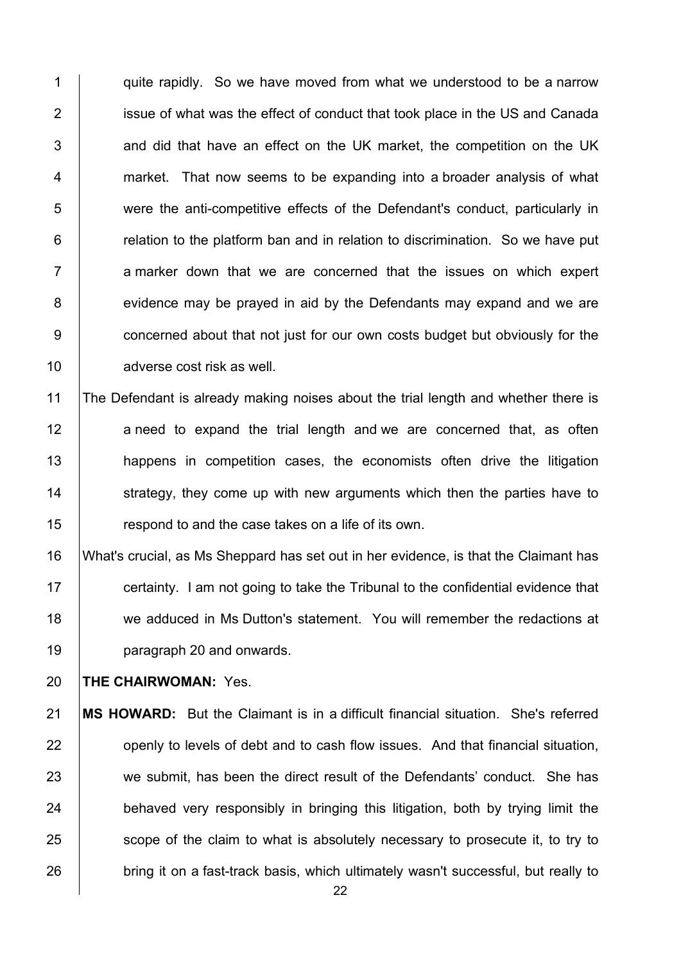1  $\vert$  quite rapidly. So we have moved from what we understood to be a narrow 2 **i** issue of what was the effect of conduct that took place in the US and Canada  $3$   $\vert$  and did that have an effect on the UK market, the competition on the UK 4 market. That now seems to be expanding into a broader analysis of what 5 were the anti-competitive effects of the Defendant's conduct, particularly in 6 **Fig.** relation to the platform ban and in relation to discrimination. So we have put  $7$   $\vert$  a marker down that we are concerned that the issues on which expert 8 evidence may be prayed in aid by the Defendants may expand and we are 9 **concerned about that not just for our own costs budget but obviously for the** 10 adverse cost risk as well.

11 The Defendant is already making noises about the trial length and whether there is 12 aneed to expand the trial length and we are concerned that, as often 13 **happens** in competition cases, the economists often drive the litigation 14 Strategy, they come up with new arguments which then the parties have to 15 **Fig.** respond to and the case takes on a life of its own.

 What's crucial, as Ms Sheppard has set out in her evidence, is that the Claimant has **certainty.** I am not going to take the Tribunal to the confidential evidence that 18 we adduced in Ms Dutton's statement. You will remember the redactions at **paragraph 20 and onwards.** 

20 **THE CHAIRWOMAN:** Yes.

21 **MS HOWARD:** But the Claimant is in a difficult financial situation. She's referred 22 openly to levels of debt and to cash flow issues. And that financial situation, 23 we submit, has been the direct result of the Defendants' conduct. She has  $24$  behaved very responsibly in bringing this litigation, both by trying limit the 25 scope of the claim to what is absolutely necessary to prosecute it, to try to 26 bring it on a fast-track basis, which ultimately wasn't successful, but really to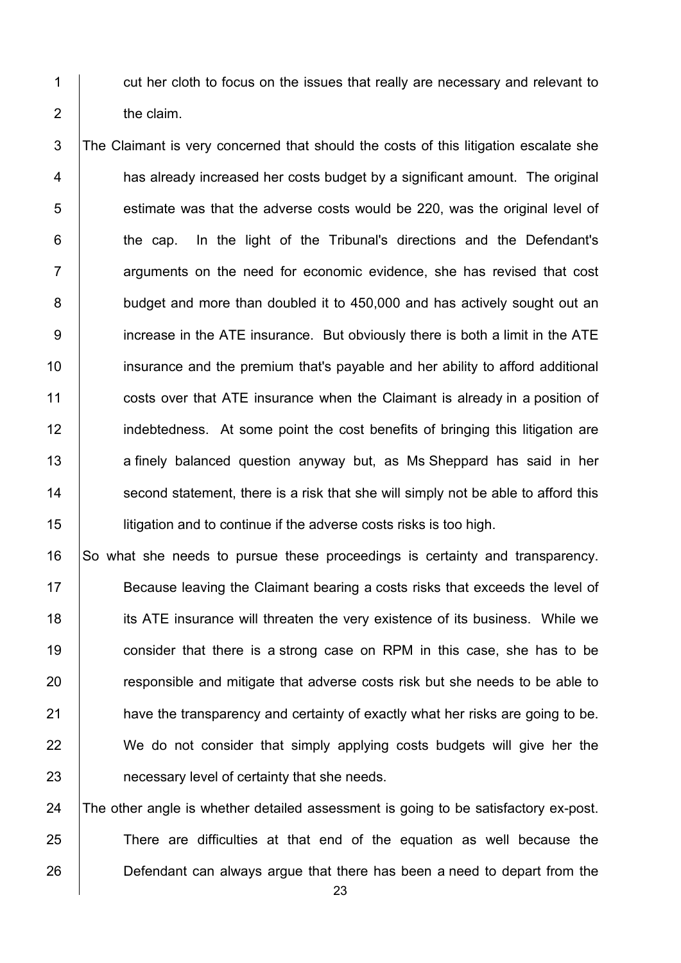1 cut her cloth to focus on the issues that really are necessary and relevant to 2 the claim.

3 The Claimant is very concerned that should the costs of this litigation escalate she 4 | has already increased her costs budget by a significant amount. The original  $5$  | estimate was that the adverse costs would be 220, was the original level of  $6$   $\vert$  the cap. In the light of the Tribunal's directions and the Defendant's 7 **Fig.** arguments on the need for economic evidence, she has revised that cost 8 budget and more than doubled it to 450,000 and has actively sought out an 9 increase in the ATE insurance. But obviously there is both a limit in the ATE 10 **insurance and the premium that's payable and her ability to afford additional** 11 **costs over that ATE insurance when the Claimant is already in a position of** 12 indebtedness. At some point the cost benefits of bringing this litigation are 13 a finely balanced question anyway but, as Ms Sheppard has said in her 14 Second statement, there is a risk that she will simply not be able to afford this 15 **I** litigation and to continue if the adverse costs risks is too high.

16 So what she needs to pursue these proceedings is certainty and transparency. Because leaving the Claimant bearing a costs risks that exceeds the level of **its ATE** insurance will threaten the very existence of its business. While we 19 consider that there is a strong case on RPM in this case, she has to be **Fig.** responsible and mitigate that adverse costs risk but she needs to be able to **have the transparency and certainty of exactly what her risks are going to be.** 22 We do not consider that simply applying costs budgets will give her the **helong interest 23** necessary level of certainty that she needs.

24 The other angle is whether detailed assessment is going to be satisfactory ex-post. 25 There are difficulties at that end of the equation as well because the 26 Defendant can always argue that there has been a need to depart from the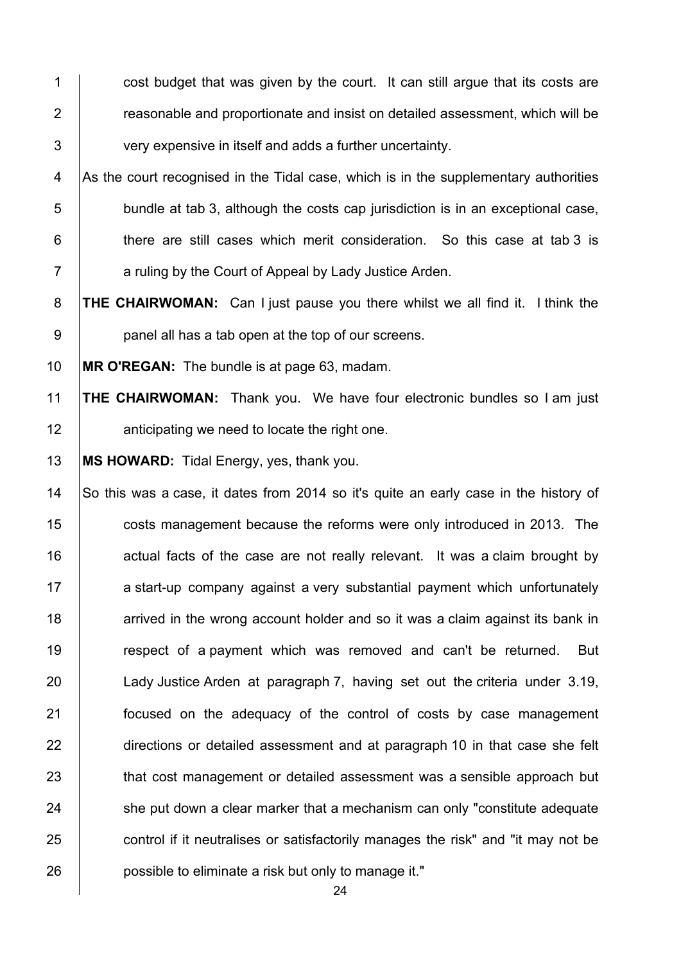1 cost budget that was given by the court. It can still argue that its costs are **Fig. 2** reasonable and proportionate and insist on detailed assessment, which will be 3 very expensive in itself and adds a further uncertainty.

4 As the court recognised in the Tidal case, which is in the supplementary authorities  $\vert$  bundle at tab 3, although the costs cap jurisdiction is in an exceptional case, **there are still cases which merit consideration.** So this case at tab 3 is **Fig. 2** a ruling by the Court of Appeal by Lady Justice Arden.

**THE CHAIRWOMAN:** Can I just pause you there whilst we all find it. I think the **panel all has a tab open at the top of our screens.** 

**MR O'REGAN:** The bundle is at page 63, madam.

 **THE CHAIRWOMAN:** Thank you. We have four electronic bundles so I am just **12 anticipating we need to locate the right one.** 

**MS HOWARD:** Tidal Energy, yes, thank you.

14 So this was a case, it dates from 2014 so it's quite an early case in the history of **costs management because the reforms were only introduced in 2013.** The actual facts of the case are not really relevant. It was a claim brought by 17 a start-up company against a very substantial payment which unfortunately **18** arrived in the wrong account holder and so it was a claim against its bank in **Fig.** respect of a payment which was removed and can't be returned. But Lady Justice Arden at paragraph 7, having set out the criteria under 3.19, **Focused on the adequacy of the control of costs by case management** 22 directions or detailed assessment and at paragraph 10 in that case she felt **that cost management or detailed assessment was a sensible approach but**  she put down a clear marker that a mechanism can only "constitute adequate 25 control if it neutralises or satisfactorily manages the risk" and "it may not be **possible to eliminate a risk but only to manage it."**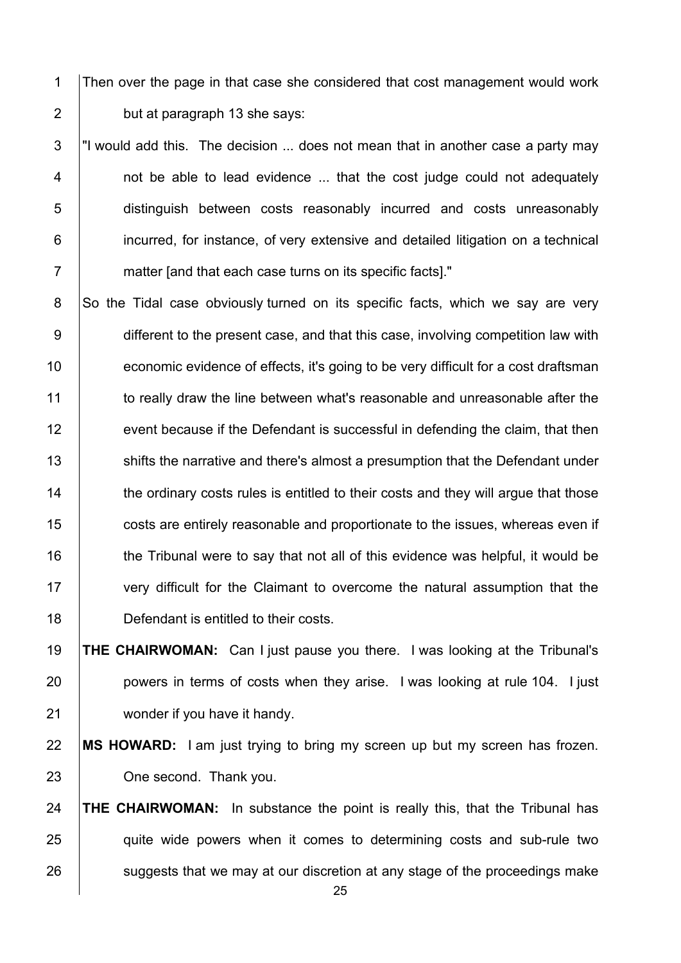1 Then over the page in that case she considered that cost management would work 2 **but at paragraph 13 she says:** 

 $3$   $\vert$ "I would add this. The decision ... does not mean that in another case a party may 4 | not be able to lead evidence ... that the cost judge could not adequately 5 distinguish between costs reasonably incurred and costs unreasonably 6 incurred, for instance, of very extensive and detailed litigation on a technical 7 **Fig. 2** matter land that each case turns on its specific facts]."

 $8$  So the Tidal case obviously turned on its specific facts, which we say are very 9 different to the present case, and that this case, involving competition law with 10 **Fig. 2** economic evidence of effects, it's going to be very difficult for a cost draftsman 11 to really draw the line between what's reasonable and unreasonable after the 12 event because if the Defendant is successful in defending the claim, that then 13 Shifts the narrative and there's almost a presumption that the Defendant under 14 the ordinary costs rules is entitled to their costs and they will argue that those 15 **costs are entirely reasonable and proportionate to the issues, whereas even if** 16 the Tribunal were to say that not all of this evidence was helpful, it would be 17 very difficult for the Claimant to overcome the natural assumption that the 18 **Defendant is entitled to their costs.** 

19 **THE CHAIRWOMAN:** Can I just pause you there. I was looking at the Tribunal's 20 **powers in terms of costs when they arise.** I was looking at rule 104. I just 21 wonder if you have it handy.

22 **MS HOWARD:** I am just trying to bring my screen up but my screen has frozen. 23 **One second.** Thank you.

24 **THE CHAIRWOMAN:** In substance the point is really this, that the Tribunal has 25 quite wide powers when it comes to determining costs and sub-rule two  $26$  suggests that we may at our discretion at any stage of the proceedings make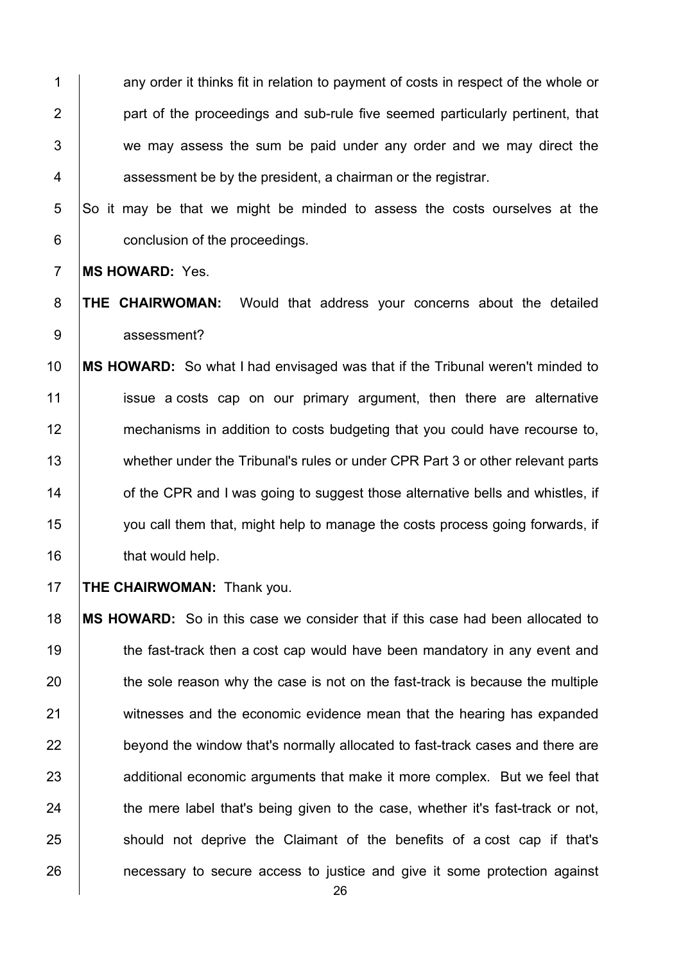1 any order it thinks fit in relation to payment of costs in respect of the whole or 2 **part of the proceedings and sub-rule five seemed particularly pertinent, that** 3 we may assess the sum be paid under any order and we may direct the  $4 \mid$  assessment be by the president, a chairman or the registrar.

 $5$  So it may be that we might be minded to assess the costs ourselves at the 6 **conclusion of the proceedings.** 

7 **MS HOWARD:** Yes.

8 **THE CHAIRWOMAN:** Would that address your concerns about the detailed 9 assessment?

10 **MS HOWARD:** So what I had envisaged was that if the Tribunal weren't minded to 11 issue a costs cap on our primary argument, then there are alternative 12 mechanisms in addition to costs budgeting that you could have recourse to, 13 whether under the Tribunal's rules or under CPR Part 3 or other relevant parts 14 **14** of the CPR and I was going to suggest those alternative bells and whistles, if 15 you call them that, might help to manage the costs process going forwards, if 16 **that would help.** 

17 **THE CHAIRWOMAN:** Thank you.

18 **MS HOWARD:** So in this case we consider that if this case had been allocated to 19 the fast-track then a cost cap would have been mandatory in any event and  $20$  the sole reason why the case is not on the fast-track is because the multiple 21 witnesses and the economic evidence mean that the hearing has expanded 22 **beyond the window that's normally allocated to fast-track cases and there are** 23 additional economic arguments that make it more complex. But we feel that  $24$  the mere label that's being given to the case, whether it's fast-track or not, 25 should not deprive the Claimant of the benefits of a cost cap if that's 26 **necessary to secure access to justice and give it some protection against**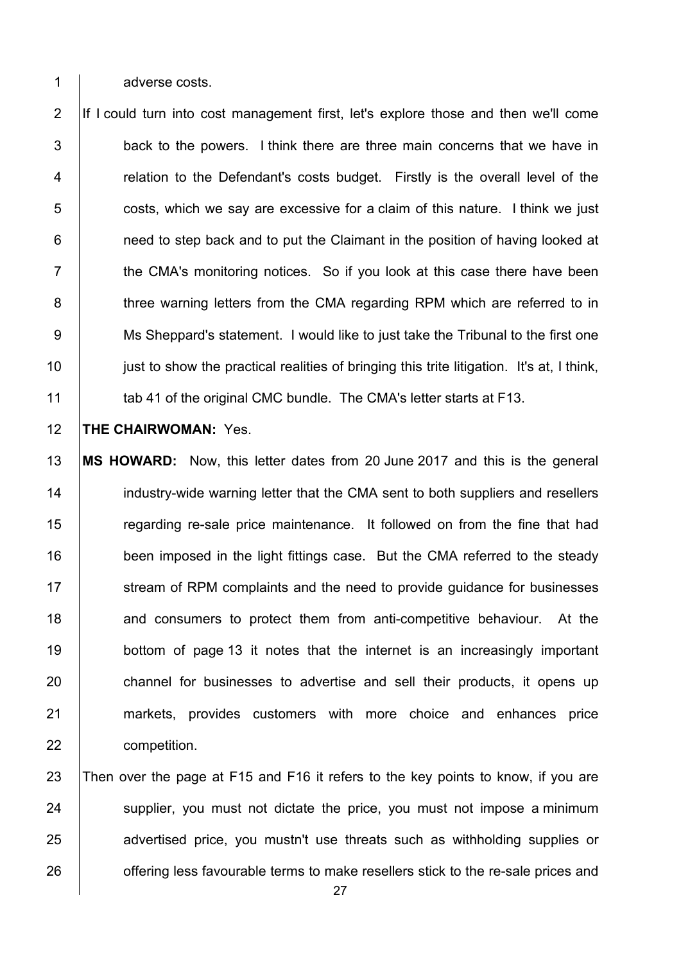1 adverse costs.

2 If I could turn into cost management first, let's explore those and then we'll come  $3$   $\vert$  back to the powers. I think there are three main concerns that we have in 4 The relation to the Defendant's costs budget. Firstly is the overall level of the  $5$   $\vert$  costs, which we say are excessive for a claim of this nature. I think we just 6 **1** need to step back and to put the Claimant in the position of having looked at  $7$   $\parallel$  the CMA's monitoring notices. So if you look at this case there have been 8 The three warning letters from the CMA regarding RPM which are referred to in 9 Ms Sheppard's statement. I would like to just take the Tribunal to the first one 10 **just to show the practical realities of bringing this trite litigation.** It's at, I think, 11 **tab 41 of the original CMC bundle. The CMA's letter starts at F13.** 

12 **THE CHAIRWOMAN:** Yes.

13 **MS HOWARD:** Now, this letter dates from 20 June 2017 and this is the general 14 **industry-wide warning letter that the CMA sent to both suppliers and resellers** 15 The regarding re-sale price maintenance. It followed on from the fine that had 16 | been imposed in the light fittings case. But the CMA referred to the steady 17 Stream of RPM complaints and the need to provide guidance for businesses 18 **18** and consumers to protect them from anti-competitive behaviour. At the 19 **bottom of page 13** it notes that the internet is an increasingly important 20 channel for businesses to advertise and sell their products, it opens up 21 markets, provides customers with more choice and enhances price 22 **competition**.

23 Then over the page at F15 and F16 it refers to the key points to know, if you are 24 supplier, you must not dictate the price, you must not impose a minimum 25 advertised price, you mustn't use threats such as withholding supplies or 26 **Fig.** offering less favourable terms to make resellers stick to the re-sale prices and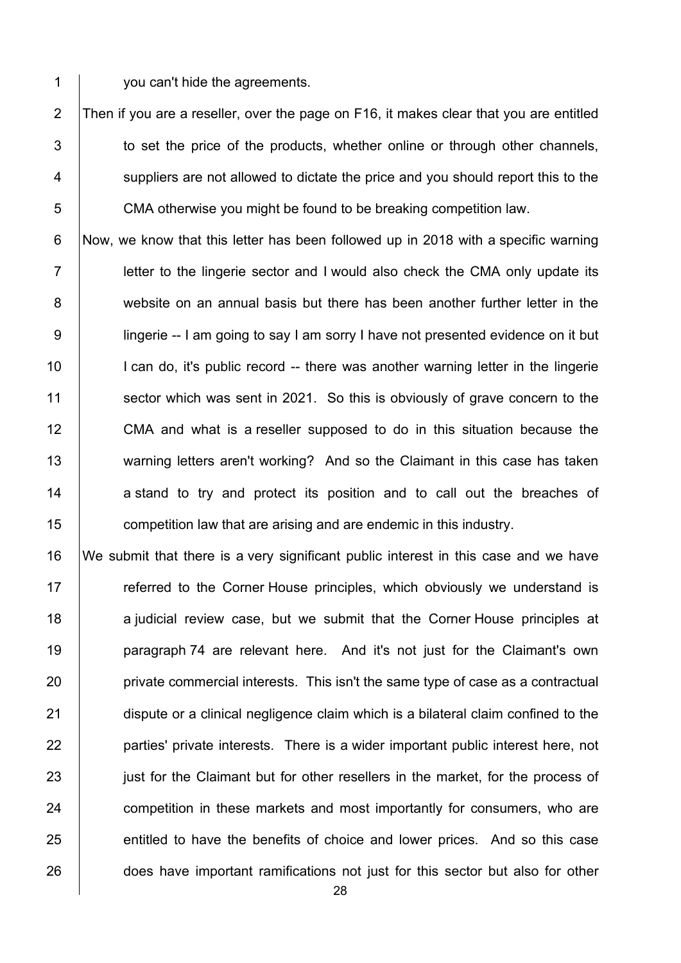1 vou can't hide the agreements.

2 Then if you are a reseller, over the page on F16, it makes clear that you are entitled  $3$   $\vert$  to set the price of the products, whether online or through other channels, 4 Suppliers are not allowed to dictate the price and you should report this to the 5 CMA otherwise you might be found to be breaking competition law.

6 Now, we know that this letter has been followed up in 2018 with a specific warning  $7$  | letter to the lingerie sector and I would also check the CMA only update its 8 website on an annual basis but there has been another further letter in the 9 | lingerie -- I am going to say I am sorry I have not presented evidence on it but 10 | I can do, it's public record -- there was another warning letter in the lingerie 11 Sector which was sent in 2021. So this is obviously of grave concern to the 12 CMA and what is a reseller supposed to do in this situation because the 13 warning letters aren't working? And so the Claimant in this case has taken 14 a stand to try and protect its position and to call out the breaches of 15 **competition law that are arising and are endemic in this industry.** 

16 We submit that there is a very significant public interest in this case and we have 17 The referred to the Corner House principles, which obviously we understand is 18 a judicial review case, but we submit that the Corner House principles at 19 **paragraph 74 are relevant here.** And it's not just for the Claimant's own 20 **private commercial interests. This isn't the same type of case as a contractual** 21 dispute or a clinical negligence claim which is a bilateral claim confined to the 22 **parties'** private interests. There is a wider important public interest here, not 23 just for the Claimant but for other resellers in the market, for the process of 24 **competition in these markets and most importantly for consumers, who are** 25 entitled to have the benefits of choice and lower prices. And so this case 26 does have important ramifications not just for this sector but also for other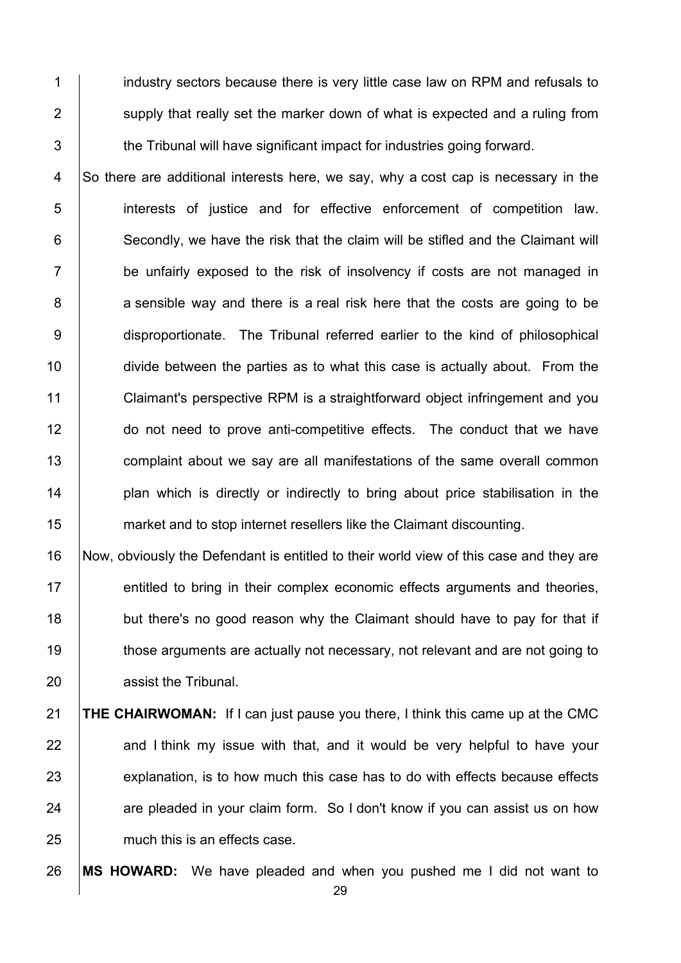1 **i** industry sectors because there is very little case law on RPM and refusals to 2 Supply that really set the marker down of what is expected and a ruling from  $3$   $\parallel$  the Tribunal will have significant impact for industries going forward.

4 So there are additional interests here, we say, why a cost cap is necessary in the 5 interests of justice and for effective enforcement of competition law. 6 Secondly, we have the risk that the claim will be stifled and the Claimant will 7 **be unfairly exposed to the risk of insolvency if costs are not managed in** 8 a sensible way and there is a real risk here that the costs are going to be 9 disproportionate. The Tribunal referred earlier to the kind of philosophical 10 divide between the parties as to what this case is actually about. From the 11 Claimant's perspective RPM is a straightforward object infringement and you 12 do not need to prove anti-competitive effects. The conduct that we have 13 **complaint about we say are all manifestations of the same overall common** 14 **plan which is directly or indirectly to bring about price stabilisation in the** 15 market and to stop internet resellers like the Claimant discounting.

16 Now, obviously the Defendant is entitled to their world view of this case and they are 17 **entitled to bring in their complex economic effects arguments and theories,** 18 but there's no good reason why the Claimant should have to pay for that if 19 those arguments are actually not necessary, not relevant and are not going to 20 **All in assist the Tribunal.** 

21 **THE CHAIRWOMAN:** If I can just pause you there, I think this came up at the CMC  $22$  and I think my issue with that, and it would be very helpful to have your  $23$  explanation, is to how much this case has to do with effects because effects 24 are pleaded in your claim form. So I don't know if you can assist us on how 25 much this is an effects case.

26 **MS HOWARD:** We have pleaded and when you pushed me I did not want to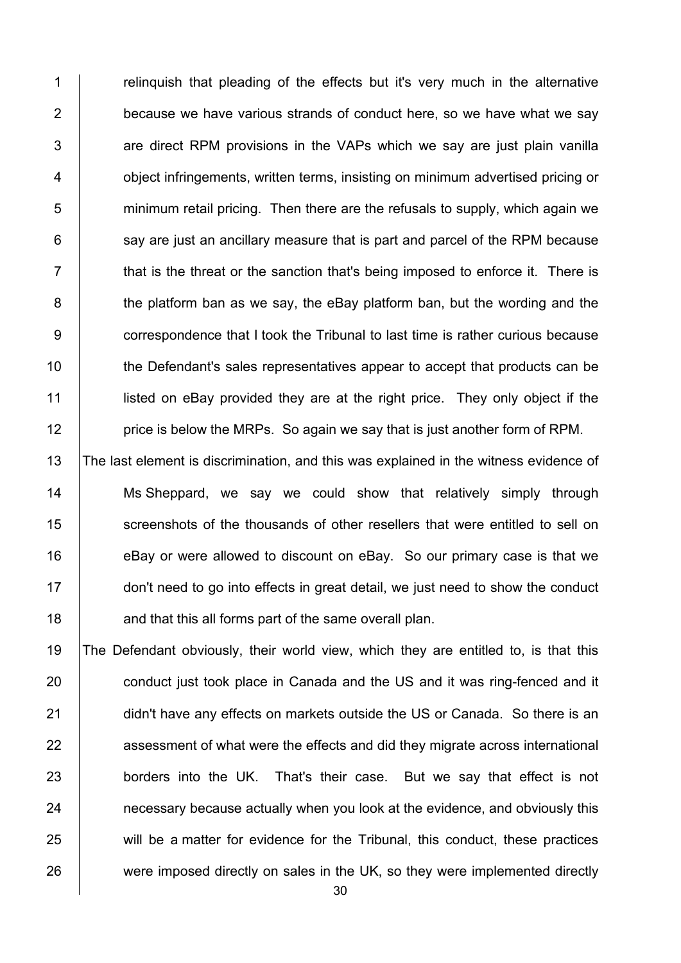1 T relinguish that pleading of the effects but it's very much in the alternative **because we have various strands of conduct here, so we have what we say**   $\vert$  are direct RPM provisions in the VAPs which we say are just plain vanilla **budge object infringements, written terms, insisting on minimum advertised pricing or**  minimum retail pricing. Then there are the refusals to supply, which again we say are just an ancillary measure that is part and parcel of the RPM because  $7 \mid$  that is the threat or the sanction that's being imposed to enforce it. There is 8 the platform ban as we say, the eBay platform ban, but the wording and the **correspondence that I took the Tribunal to last time is rather curious because** 10 the Defendant's sales representatives appear to accept that products can be **lacks** listed on eBay provided they are at the right price. They only object if the **price is below the MRPs.** So again we say that is just another form of RPM.

13 The last element is discrimination, and this was explained in the witness evidence of 14 Ms Sheppard, we say we could show that relatively simply through 15 Screenshots of the thousands of other resellers that were entitled to sell on 16 **eBay or were allowed to discount on eBay.** So our primary case is that we 17 don't need to go into effects in great detail, we just need to show the conduct 18 **and that this all forms part of the same overall plan.** 

19 The Defendant obviously, their world view, which they are entitled to, is that this 20 **conduct just took place in Canada and the US and it was ring-fenced and it** 21 didn't have any effects on markets outside the US or Canada. So there is an 22 assessment of what were the effects and did they migrate across international 23 **borders into the UK.** That's their case. But we say that effect is not 24 **hecessary because actually when you look at the evidence, and obviously this** 25 will be a matter for evidence for the Tribunal, this conduct, these practices 26 were imposed directly on sales in the UK, so they were implemented directly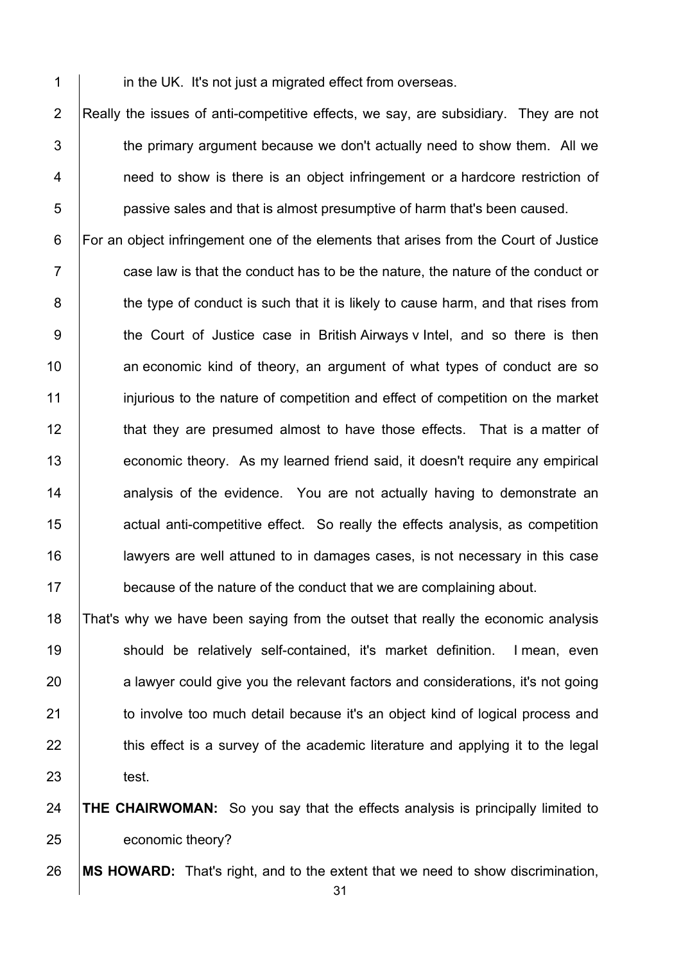**in the UK. It's not just a migrated effect from overseas.** 

2 Really the issues of anti-competitive effects, we say, are subsidiary. They are not  $\parallel$  the primary argument because we don't actually need to show them. All we **1** need to show is there is an object infringement or a hardcore restriction of **b** passive sales and that is almost presumptive of harm that's been caused.

6 For an object infringement one of the elements that arises from the Court of Justice  $7 \mid$  case law is that the conduct has to be the nature, the nature of the conduct or 8 the type of conduct is such that it is likely to cause harm, and that rises from 9 the Court of Justice case in British Airways v Intel, and so there is then **an economic kind of theory, an argument of what types of conduct are so** 11 injurious to the nature of competition and effect of competition on the market **that they are presumed almost to have those effects.** That is a matter of **economic theory.** As my learned friend said, it doesn't require any empirical **14** analysis of the evidence. You are not actually having to demonstrate an **deger** actual anti-competitive effect. So really the effects analysis, as competition lawyers are well attuned to in damages cases, is not necessary in this case **because of the nature of the conduct that we are complaining about.** 

 That's why we have been saying from the outset that really the economic analysis 19 | should be relatively self-contained, it's market definition. I mean, even a lawyer could give you the relevant factors and considerations, it's not going **to involve too much detail because it's an object kind of logical process and**   $\parallel$  this effect is a survey of the academic literature and applying it to the legal test.

 **THE CHAIRWOMAN:** So you say that the effects analysis is principally limited to 25 economic theory?

**MS HOWARD:** That's right, and to the extent that we need to show discrimination,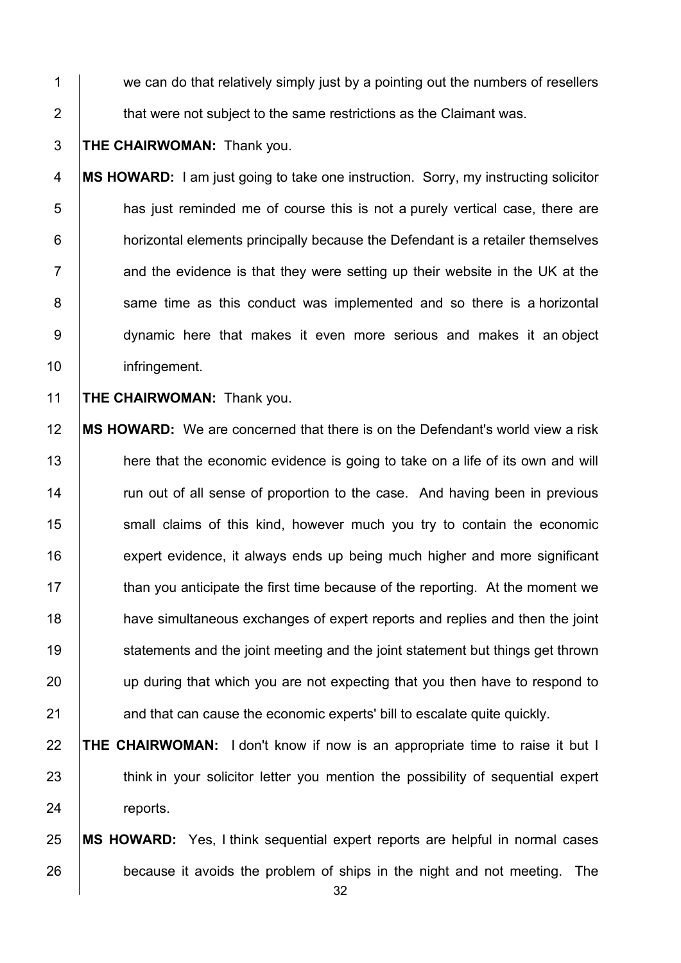1 we can do that relatively simply just by a pointing out the numbers of resellers 2 **that were not subject to the same restrictions as the Claimant was.** 

#### 3 **THE CHAIRWOMAN:** Thank you.

4 **MS HOWARD:** I am just going to take one instruction. Sorry, my instructing solicitor 5 **has just reminded me of course this is not a purely vertical case, there are** 6 **horizontal elements principally because the Defendant is a retailer themselves**  $7$   $\parallel$  and the evidence is that they were setting up their website in the UK at the 8 | same time as this conduct was implemented and so there is a horizontal 9 dynamic here that makes it even more serious and makes it an object 10 | infringement.

11 **THE CHAIRWOMAN:** Thank you.

12 **MS HOWARD:** We are concerned that there is on the Defendant's world view a risk 13 here that the economic evidence is going to take on a life of its own and will 14 Trun out of all sense of proportion to the case. And having been in previous 15 Small claims of this kind, however much you try to contain the economic 16 **expert evidence, it always ends up being much higher and more significant** 17 than you anticipate the first time because of the reporting. At the moment we 18 **have simultaneous exchanges of expert reports and replies and then the joint** 19 **Statements and the joint meeting and the joint statement but things get thrown** 20 **up during that which you are not expecting that you then have to respond to** 21 and that can cause the economic experts' bill to escalate quite quickly.

## 22 **THE CHAIRWOMAN:** I don't know if now is an appropriate time to raise it but I 23 think in your solicitor letter you mention the possibility of sequential expert 24 reports.

## 25 **MS HOWARD:** Yes, I think sequential expert reports are helpful in normal cases 26 because it avoids the problem of ships in the night and not meeting. The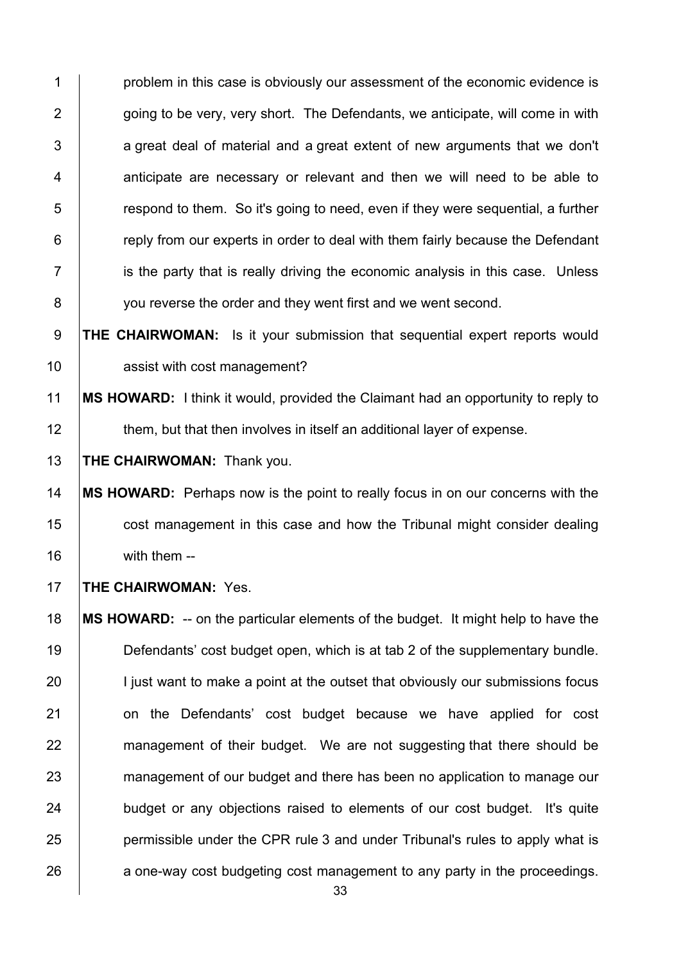**problem in this case is obviously our assessment of the economic evidence is**  $\parallel$  going to be very, very short. The Defendants, we anticipate, will come in with a great deal of material and a great extent of new arguments that we don't 4 | anticipate are necessary or relevant and then we will need to be able to  $\overline{5}$   $\vert$  respond to them. So it's going to need, even if they were sequential, a further **Fig. 2** reply from our experts in order to deal with them fairly because the Defendant is the party that is really driving the economic analysis in this case. Unless 8 vou reverse the order and they went first and we went second.

9 **THE CHAIRWOMAN:** Is it your submission that sequential expert reports would 10 **Arror** assist with cost management?

11 **MS HOWARD:** I think it would, provided the Claimant had an opportunity to reply to 12 them, but that then involves in itself an additional layer of expense.

13 **THE CHAIRWOMAN:** Thank you.

14 **MS HOWARD:** Perhaps now is the point to really focus in on our concerns with the 15 **cost management in this case and how the Tribunal might consider dealing** 16 | with them --

17 **THE CHAIRWOMAN:** Yes.

18 **MS HOWARD:** -- on the particular elements of the budget. It might help to have the 19 Defendants' cost budget open, which is at tab 2 of the supplementary bundle. 20 I just want to make a point at the outset that obviously our submissions focus 21 | on the Defendants' cost budget because we have applied for cost 22 management of their budget. We are not suggesting that there should be 23 management of our budget and there has been no application to manage our 24 budget or any objections raised to elements of our cost budget. It's quite 25 **permissible under the CPR rule 3 and under Tribunal's rules to apply what is** 26 a one-way cost budgeting cost management to any party in the proceedings.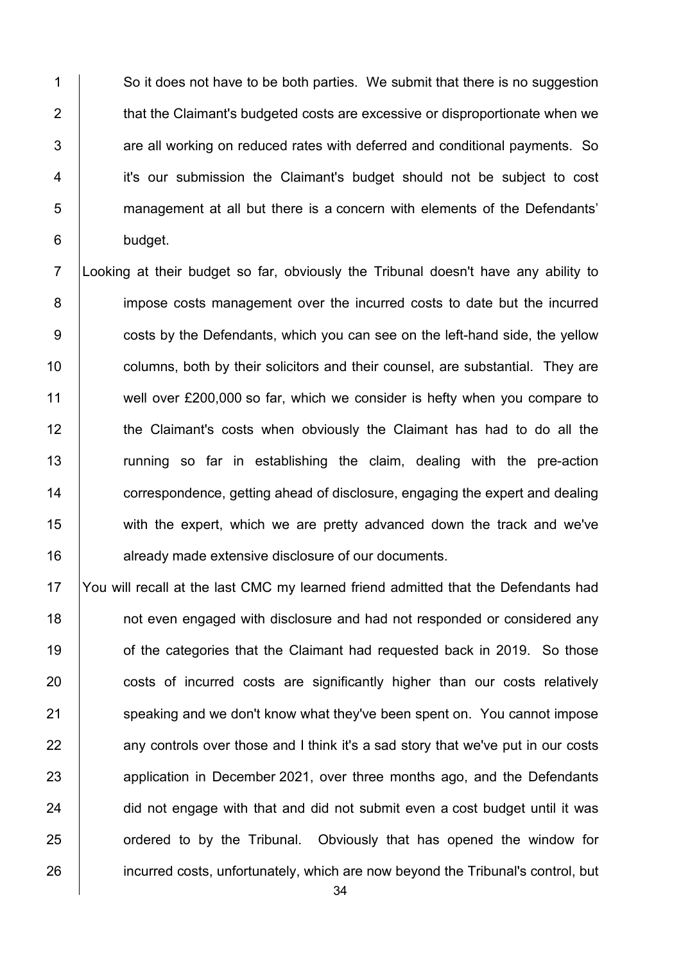1 So it does not have to be both parties. We submit that there is no suggestion 2 **that the Claimant's budgeted costs are excessive or disproportionate when we**  $3$   $\vert$  are all working on reduced rates with deferred and conditional payments. So 4 it's our submission the Claimant's budget should not be subject to cost 5 management at all but there is a concern with elements of the Defendants' 6 budget.

7 Looking at their budget so far, obviously the Tribunal doesn't have any ability to 8 impose costs management over the incurred costs to date but the incurred 9 **costs by the Defendants, which you can see on the left-hand side, the yellow** 10 **columns, both by their solicitors and their counsel, are substantial. They are** 11 well over £200,000 so far, which we consider is hefty when you compare to 12 the Claimant's costs when obviously the Claimant has had to do all the 13 Tunning so far in establishing the claim, dealing with the pre-action 14 **correspondence, getting ahead of disclosure, engaging the expert and dealing** 15 with the expert, which we are pretty advanced down the track and we've 16 **deg already made extensive disclosure of our documents.** 

17 You will recall at the last CMC my learned friend admitted that the Defendants had 18 **18** not even engaged with disclosure and had not responded or considered any 19 **19** of the categories that the Claimant had requested back in 2019. So those 20 costs of incurred costs are significantly higher than our costs relatively 21 Speaking and we don't know what they've been spent on. You cannot impose  $22$  any controls over those and I think it's a sad story that we've put in our costs 23 application in December 2021, over three months ago, and the Defendants  $24$  did not engage with that and did not submit even a cost budget until it was 25 **ordered to by the Tribunal.** Obviously that has opened the window for 26 incurred costs, unfortunately, which are now beyond the Tribunal's control, but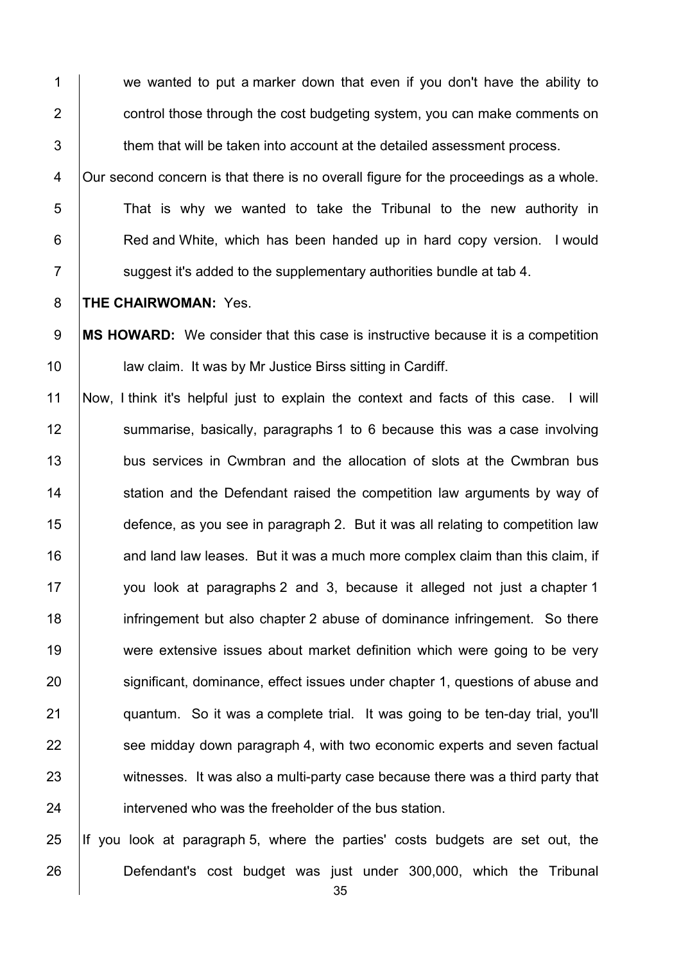1 we wanted to put a marker down that even if you don't have the ability to 2 **2** control those through the cost budgeting system, you can make comments on  $3$   $\parallel$  them that will be taken into account at the detailed assessment process. 4 | Our second concern is that there is no overall figure for the proceedings as a whole.  $5$  That is why we wanted to take the Tribunal to the new authority in 6 **Red and White, which has been handed up in hard copy version.** I would  $7 \mid$  suggest it's added to the supplementary authorities bundle at tab 4. 8 **THE CHAIRWOMAN:** Yes. 9 **MS HOWARD:** We consider that this case is instructive because it is a competition 10 | law claim. It was by Mr Justice Birss sitting in Cardiff. 11 Now, I think it's helpful just to explain the context and facts of this case. I will 12 Summarise, basically, paragraphs 1 to 6 because this was a case involving 13 bus services in Cwmbran and the allocation of slots at the Cwmbran bus 14 Station and the Defendant raised the competition law arguments by way of 15 defence, as you see in paragraph 2. But it was all relating to competition law 16  $\parallel$  and land law leases. But it was a much more complex claim than this claim, if 17 | you look at paragraphs 2 and 3, because it alleged not just a chapter 1 18 **infringement but also chapter 2 abuse of dominance infringement.** So there 19 were extensive issues about market definition which were going to be very 20 significant, dominance, effect issues under chapter 1, questions of abuse and 21 **quantum.** So it was a complete trial. It was going to be ten-day trial, you'll 22 **Solut** see midday down paragraph 4, with two economic experts and seven factual 23 Weitnesses. It was also a multi-party case because there was a third party that 24 **intervened who was the freeholder of the bus station.** 

25 If you look at paragraph 5, where the parties' costs budgets are set out, the 26 Defendant's cost budget was just under 300,000, which the Tribunal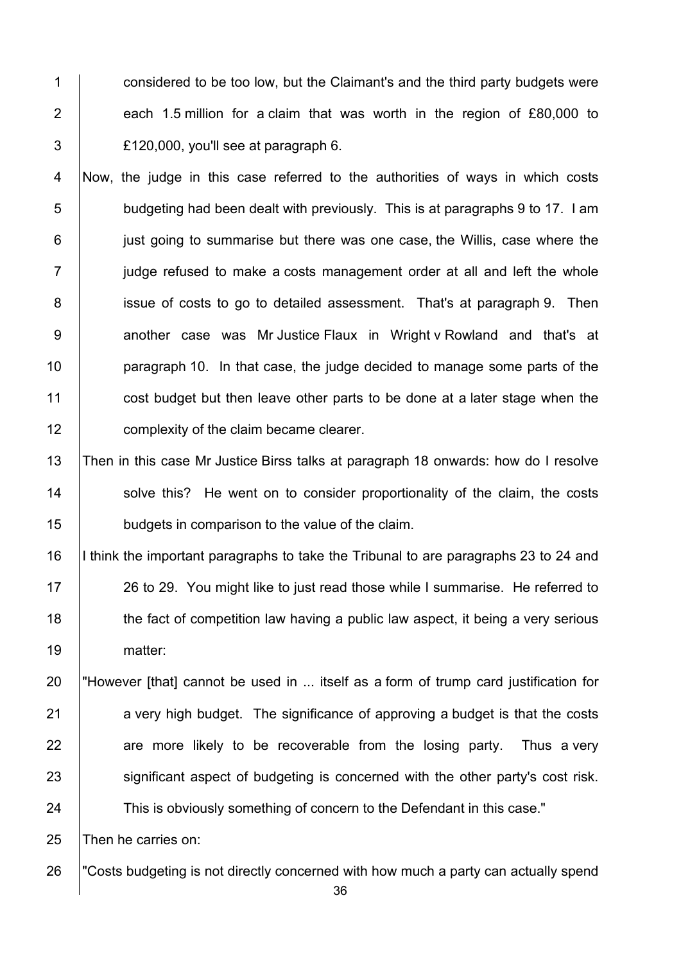1 considered to be too low, but the Claimant's and the third party budgets were 2  $\vert$  each 1.5 million for a claim that was worth in the region of £80,000 to  $\overline{3}$  | £120,000, you'll see at paragraph 6.

4 Now, the judge in this case referred to the authorities of ways in which costs  $5$   $\vert$  budgeting had been dealt with previously. This is at paragraphs 9 to 17. I am 6 just going to summarise but there was one case, the Willis, case where the  $7$  judge refused to make a costs management order at all and left the whole 8 issue of costs to go to detailed assessment. That's at paragraph 9. Then 9 | another case was Mr Justice Flaux in Wright v Rowland and that's at 10 **paragraph 10.** In that case, the judge decided to manage some parts of the 11 cost budget but then leave other parts to be done at a later stage when the 12 **complexity of the claim became clearer.** 

13 Then in this case Mr Justice Birss talks at paragraph 18 onwards: how do I resolve 14 Solve this? He went on to consider proportionality of the claim, the costs 15 budgets in comparison to the value of the claim.

16 I think the important paragraphs to take the Tribunal to are paragraphs 23 to 24 and 17 | 26 to 29. You might like to just read those while I summarise. He referred to 18 the fact of competition law having a public law aspect, it being a very serious 19 | matter:

20 "However [that] cannot be used in ... itself as a form of trump card justification for  $21$  a very high budget. The significance of approving a budget is that the costs  $22$  are more likely to be recoverable from the losing party. Thus a very 23 significant aspect of budgeting is concerned with the other party's cost risk. 24 This is obviously something of concern to the Defendant in this case."

25 Then he carries on:

26 "Costs budgeting is not directly concerned with how much a party can actually spend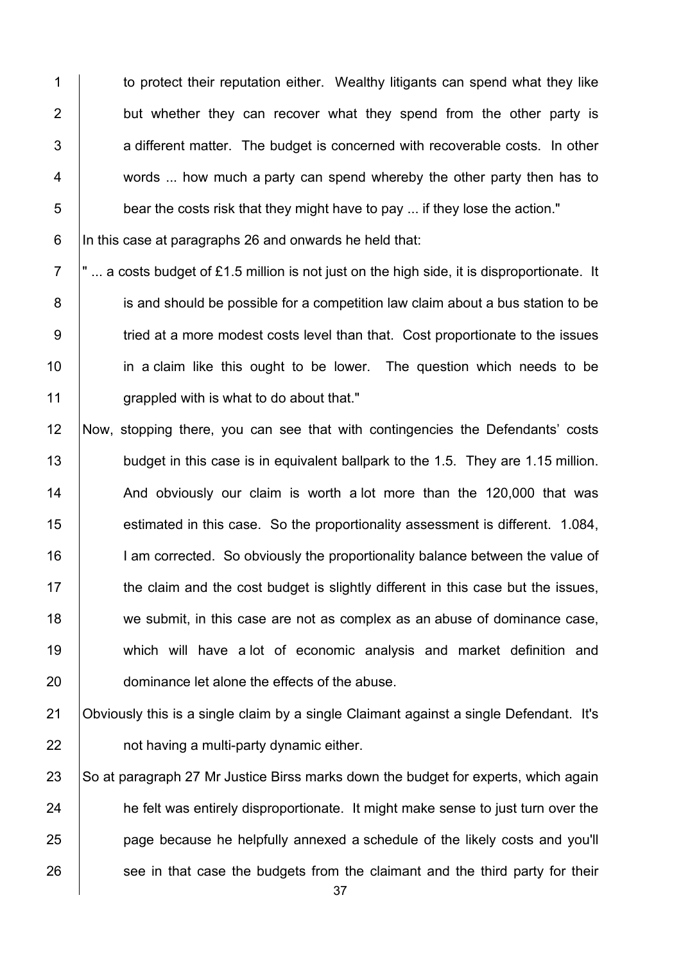1 to protect their reputation either. Wealthy litigants can spend what they like 2 but whether they can recover what they spend from the other party is  $3$   $\vert$  a different matter. The budget is concerned with recoverable costs. In other 4 words ... how much a party can spend whereby the other party then has to  $\overline{5}$  bear the costs risk that they might have to pay ... if they lose the action."

6  $\vert$ In this case at paragraphs 26 and onwards he held that:

 $7$   $\vert$ " ... a costs budget of £1.5 million is not just on the high side, it is disproportionate. It 8 is and should be possible for a competition law claim about a bus station to be 9 Tried at a more modest costs level than that. Cost proportionate to the issues 10 **in a claim like this ought to be lower.** The question which needs to be 11 **grappled with is what to do about that."** 

12 Now, stopping there, you can see that with contingencies the Defendants' costs 13 budget in this case is in equivalent ballpark to the 1.5. They are 1.15 million. 14 And obviously our claim is worth a lot more than the 120,000 that was 15 **estimated in this case.** So the proportionality assessment is different. 1.084, 16 I am corrected. So obviously the proportionality balance between the value of  $17$  the claim and the cost budget is slightly different in this case but the issues, 18 we submit, in this case are not as complex as an abuse of dominance case, 19 which will have a lot of economic analysis and market definition and 20 **dominance let alone the effects of the abuse.** 

21 **Obviously this is a single claim by a single Claimant against a single Defendant.** It's  $22$  | not having a multi-party dynamic either.

23 So at paragraph 27 Mr Justice Birss marks down the budget for experts, which again 24 he felt was entirely disproportionate. It might make sense to just turn over the 25 **page because he helpfully annexed a schedule of the likely costs and you'll**  $26$  see in that case the budgets from the claimant and the third party for their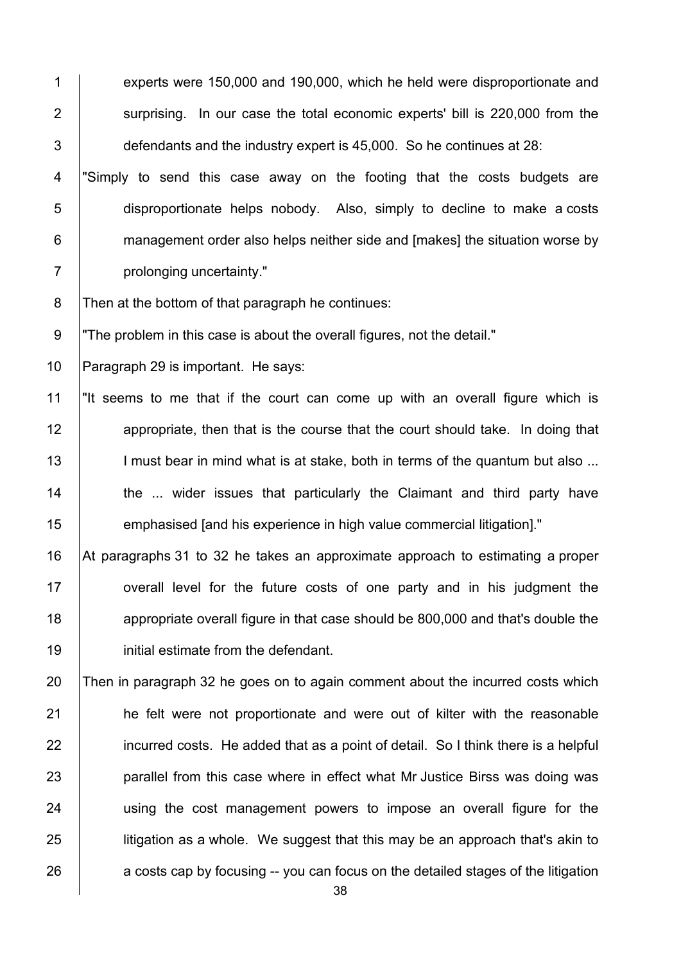1 experts were 150,000 and 190,000, which he held were disproportionate and 2 Surprising. In our case the total economic experts' bill is 220,000 from the 3 defendants and the industry expert is 45,000. So he continues at 28: 4 | "Simply to send this case away on the footing that the costs budgets are 5 disproportionate helps nobody. Also, simply to decline to make a costs 6 **Fig.** management order also helps neither side and [makes] the situation worse by 7 | prolonging uncertainty." 8 | Then at the bottom of that paragraph he continues: 9 The problem in this case is about the overall figures, not the detail." 10 Paragraph 29 is important. He says: 11 "It seems to me that if the court can come up with an overall figure which is 12 **12 appropriate, then that is the course that the court should take. In doing that** 13 | I must bear in mind what is at stake, both in terms of the quantum but also ... 14 **the ... wider issues that particularly the Claimant and third party have** 15 **emphasised [and his experience in high value commercial litigation]**." 16 At paragraphs 31 to 32 he takes an approximate approach to estimating a proper 17 **overall level for the future costs of one party and in his judgment the** 18 **18** appropriate overall figure in that case should be 800,000 and that's double the 19 **initial estimate from the defendant.** 20 Then in paragraph 32 he goes on to again comment about the incurred costs which 21 **he felt were not proportionate and were out of kilter with the reasonable** 22 incurred costs. He added that as a point of detail. So I think there is a helpful 23 **parallel from this case where in effect what Mr Justice Birss was doing was** 24 | using the cost management powers to impose an overall figure for the  $25$  litigation as a whole. We suggest that this may be an approach that's akin to  $26$  a costs cap by focusing -- you can focus on the detailed stages of the litigation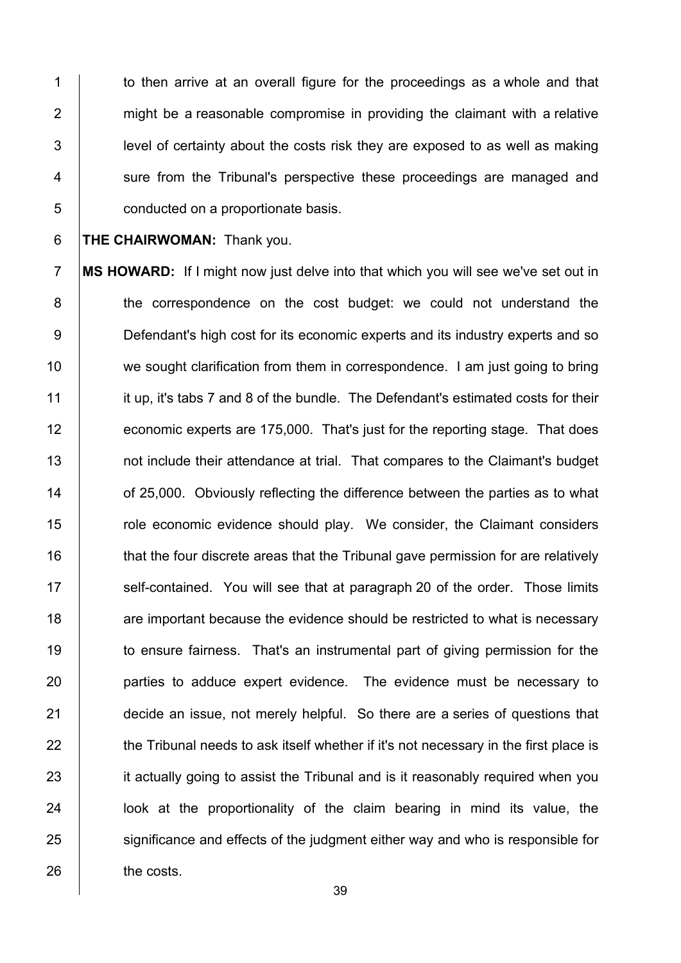1 to then arrive at an overall figure for the proceedings as a whole and that  $2$  | might be a reasonable compromise in providing the claimant with a relative 3 **level of certainty about the costs risk they are exposed to as well as making** 4 Sure from the Tribunal's perspective these proceedings are managed and 5 conducted on a proportionate basis.

6 **THE CHAIRWOMAN:** Thank you.

7 **MS HOWARD:** If I might now just delve into that which you will see we've set out in 8 the correspondence on the cost budget: we could not understand the 9 **Defendant's high cost for its economic experts and its industry experts and so** 10 we sought clarification from them in correspondence. I am just going to bring 11 it up, it's tabs 7 and 8 of the bundle. The Defendant's estimated costs for their 12 **economic experts are 175,000.** That's just for the reporting stage. That does 13 **not include their attendance at trial.** That compares to the Claimant's budget 14 **14** of 25,000. Obviously reflecting the difference between the parties as to what 15 The role economic evidence should play. We consider, the Claimant considers 16 that the four discrete areas that the Tribunal gave permission for are relatively 17  $\parallel$  self-contained. You will see that at paragraph 20 of the order. Those limits 18 **are important because the evidence should be restricted to what is necessary** 19 to ensure fairness. That's an instrumental part of giving permission for the 20 **parties to adduce expert evidence.** The evidence must be necessary to 21 **decide an issue, not merely helpful.** So there are a series of questions that  $22$  the Tribunal needs to ask itself whether if it's not necessary in the first place is 23 it actually going to assist the Tribunal and is it reasonably required when you 24 **let in the proportionality of the claim bearing in mind its value, the** 25 significance and effects of the judgment either way and who is responsible for 26 the costs.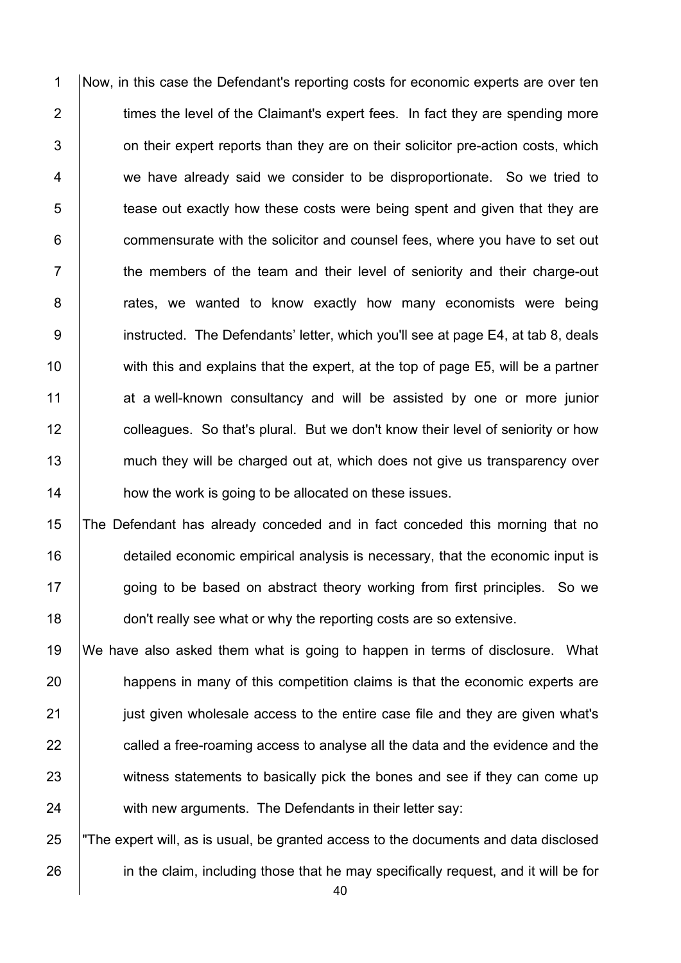1 Now, in this case the Defendant's reporting costs for economic experts are over ten  $2$   $\parallel$  times the level of the Claimant's expert fees. In fact they are spending more  $3$   $\vert$  on their expert reports than they are on their solicitor pre-action costs, which 4 we have already said we consider to be disproportionate. So we tried to 5 tease out exactly how these costs were being spent and given that they are 6 **commensurate with the solicitor and counsel fees, where you have to set out**  $7$   $\parallel$  the members of the team and their level of seniority and their charge-out 8 | rates, we wanted to know exactly how many economists were being 9 **instructed.** The Defendants' letter, which you'll see at page E4, at tab 8, deals 10 with this and explains that the expert, at the top of page E5, will be a partner 11 at a well-known consultancy and will be assisted by one or more junior 12 **colleagues.** So that's plural. But we don't know their level of seniority or how 13 much they will be charged out at, which does not give us transparency over 14 **how the work is going to be allocated on these issues.** 

15 The Defendant has already conceded and in fact conceded this morning that no 16 detailed economic empirical analysis is necessary, that the economic input is 17 | going to be based on abstract theory working from first principles. So we 18 **don't really see what or why the reporting costs are so extensive.** 

 We have also asked them what is going to happen in terms of disclosure. What **happens in many of this competition claims is that the economic experts are just given wholesale access to the entire case file and they are given what's called a free-roaming access to analyse all the data and the evidence and the** 23 witness statements to basically pick the bones and see if they can come up 24 with new arguments. The Defendants in their letter say:

25 "The expert will, as is usual, be granted access to the documents and data disclosed 26 in the claim, including those that he may specifically request, and it will be for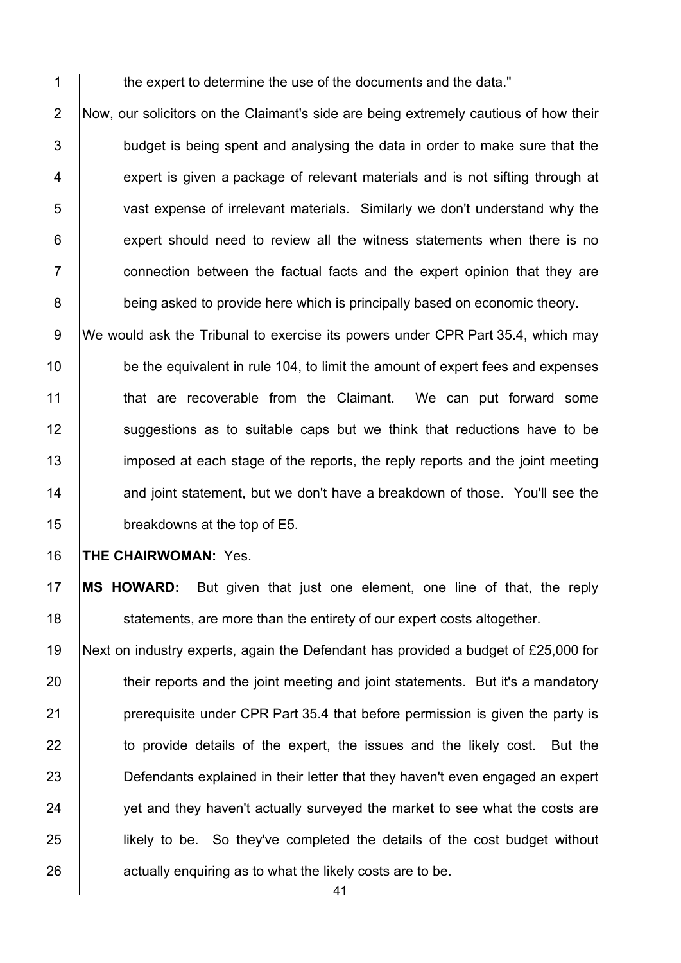1 the expert to determine the use of the documents and the data."

2 Now, our solicitors on the Claimant's side are being extremely cautious of how their  $3$   $\vert$  budget is being spent and analysing the data in order to make sure that the 4 **expert is given a package of relevant materials and is not sifting through at** 5 vast expense of irrelevant materials. Similarly we don't understand why the  $6$  | expert should need to review all the witness statements when there is no 7 **Fig.** connection between the factual facts and the expert opinion that they are 8 being asked to provide here which is principally based on economic theory.

9 We would ask the Tribunal to exercise its powers under CPR Part 35.4, which may 10 **be the equivalent in rule 104, to limit the amount of expert fees and expenses** 11 | that are recoverable from the Claimant. We can put forward some 12 Suggestions as to suitable caps but we think that reductions have to be 13 imposed at each stage of the reports, the reply reports and the joint meeting 14 and joint statement, but we don't have a breakdown of those. You'll see the 15 breakdowns at the top of E5.

# 16 **THE CHAIRWOMAN:** Yes.

17 **MS HOWARD:** But given that just one element, one line of that, the reply 18 **Statements, are more than the entirety of our expert costs altogether.** 

 Next on industry experts, again the Defendant has provided a budget of £25,000 for 20 their reports and the joint meeting and joint statements. But it's a mandatory **preaduity** prerequisite under CPR Part 35.4 that before permission is given the party is 22 to provide details of the expert, the issues and the likely cost. But the **Defendants explained in their letter that they haven't even engaged an expert** 24 yet and they haven't actually surveyed the market to see what the costs are **likely to be.** So they've completed the details of the cost budget without **a**ctually enquiring as to what the likely costs are to be.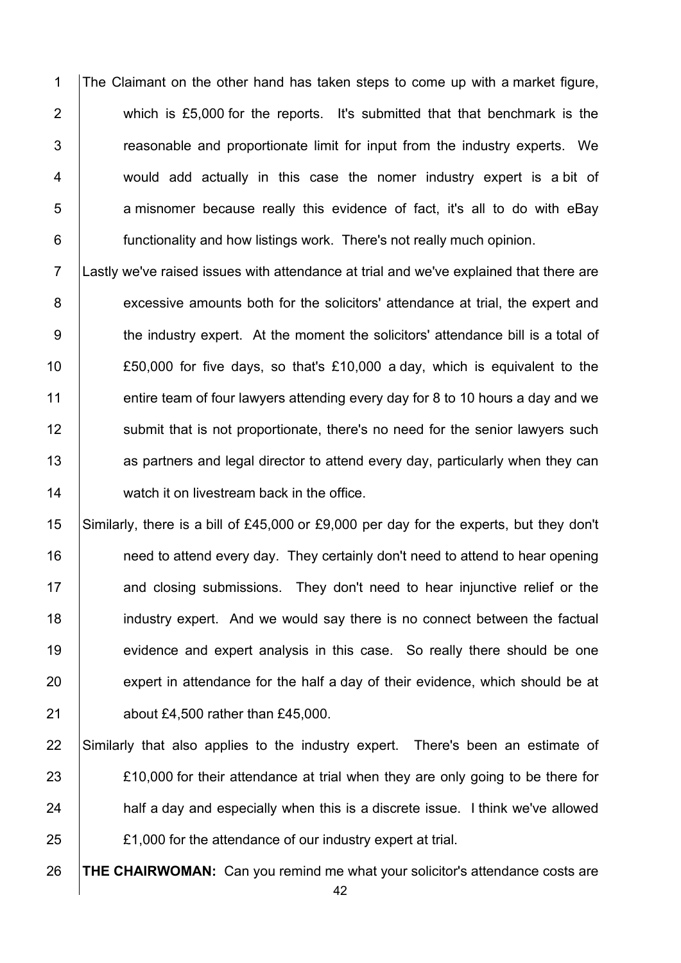1 The Claimant on the other hand has taken steps to come up with a market figure, 2 which is £5,000 for the reports. It's submitted that that benchmark is the 3 Fig. 3 are reasonable and proportionate limit for input from the industry experts. We 4 would add actually in this case the nomer industry expert is a bit of  $5$  | a misnomer because really this evidence of fact, it's all to do with eBay 6 **functionality and how listings work.** There's not really much opinion.

7 Lastly we've raised issues with attendance at trial and we've explained that there are 8 excessive amounts both for the solicitors' attendance at trial, the expert and 9 the industry expert. At the moment the solicitors' attendance bill is a total of 10 £50,000 for five days, so that's £10,000 a day, which is equivalent to the 11 entire team of four lawyers attending every day for 8 to 10 hours a day and we 12 Submit that is not proportionate, there's no need for the senior lawyers such 13 **as partners and legal director to attend every day, particularly when they can** 14 **watch it on livestream back in the office.** 

15 Similarly, there is a bill of £45,000 or £9,000 per day for the experts, but they don't 16 **need to attend every day.** They certainly don't need to attend to hear opening 17 and closing submissions. They don't need to hear injunctive relief or the 18 **industry expert.** And we would say there is no connect between the factual 19 evidence and expert analysis in this case. So really there should be one 20 expert in attendance for the half a day of their evidence, which should be at 21 **b** about £4,500 rather than £45,000.

 Similarly that also applies to the industry expert. There's been an estimate of **EXEL** 23 **EXELL** 23 **EXELL** 23 **EXELL** 23 **EXELL** 23 **EXELL** 23 **EXELL** 23 **EXELL** 23 **EXELL** 23 **EXELL** 23 **EXELL** 23 **EXELL** 23 **EXELL** 23 **EXELL** 23 **EXELL** 23 **EXELL** 23 **EXELL** 23 **EXELL** 23 **EXELL** 23 **EXELL** 23 24 half a day and especially when this is a discrete issue. I think we've allowed **E1,000** for the attendance of our industry expert at trial.

26 **THE CHAIRWOMAN:** Can you remind me what your solicitor's attendance costs are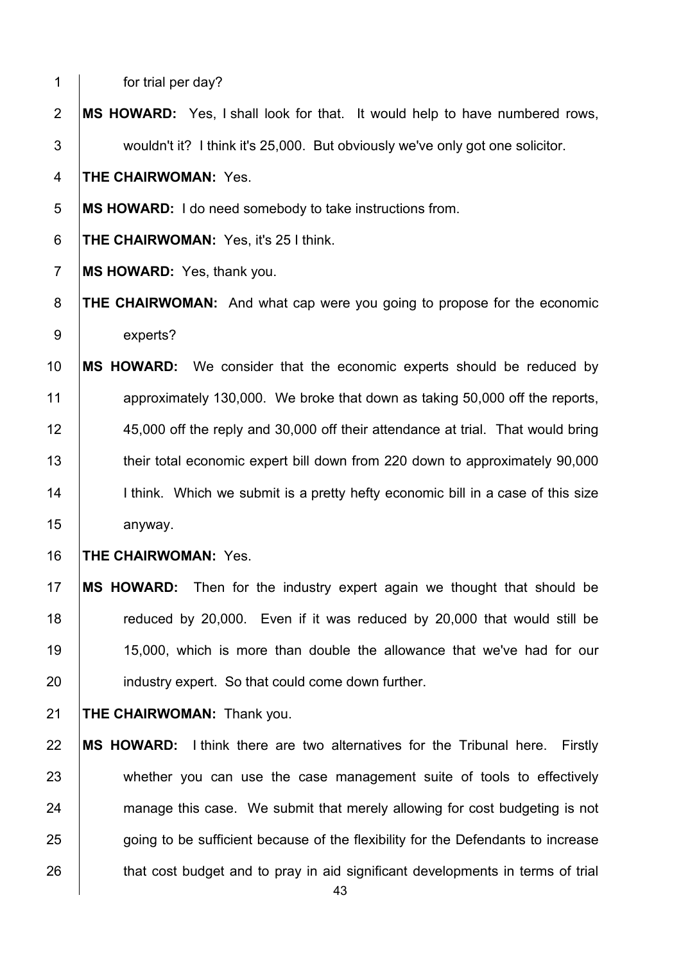1 for trial per day?

**MS HOWARD:** Yes, I shall look for that. It would help to have numbered rows, 3 wouldn't it? I think it's 25,000. But obviously we've only got one solicitor.

**THE CHAIRWOMAN:** Yes.

**MS HOWARD:** I do need somebody to take instructions from.

**THE CHAIRWOMAN:** Yes, it's 25 I think.

**MS HOWARD:** Yes, thank you.

**THE CHAIRWOMAN:** And what cap were you going to propose for the economic 9 experts?

 **MS HOWARD:** We consider that the economic experts should be reduced by approximately 130,000. We broke that down as taking 50,000 off the reports, 45,000 off the reply and 30,000 off their attendance at trial. That would bring 13 their total economic expert bill down from 220 down to approximately 90,000 14 | I think. Which we submit is a pretty hefty economic bill in a case of this size 15 anyway.

### **THE CHAIRWOMAN:** Yes.

 **MS HOWARD:** Then for the industry expert again we thought that should be **The Studie control** reduced by 20,000. Even if it was reduced by 20,000 that would still be 15,000, which is more than double the allowance that we've had for our **industry expert.** So that could come down further.

**THE CHAIRWOMAN:** Thank you.

 **MS HOWARD:** I think there are two alternatives for the Tribunal here. Firstly 23 whether you can use the case management suite of tools to effectively 24 manage this case. We submit that merely allowing for cost budgeting is not 25 going to be sufficient because of the flexibility for the Defendants to increase 26 that cost budget and to pray in aid significant developments in terms of trial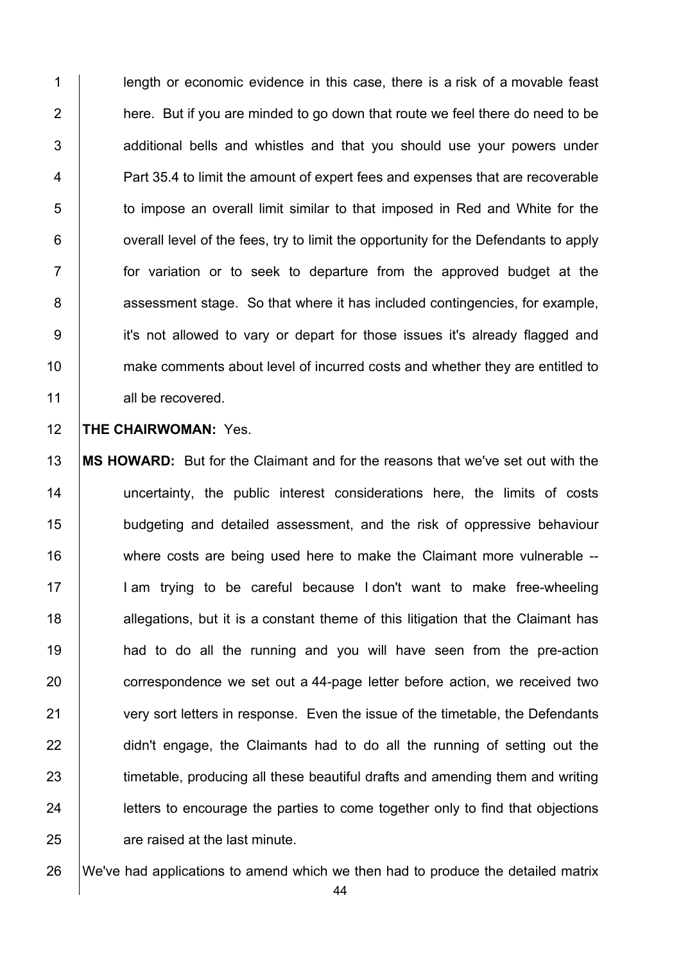1 **length or economic evidence in this case, there is a risk of a movable feast** 2  $\parallel$  here. But if you are minded to go down that route we feel there do need to be  $3$   $\vert$  additional bells and whistles and that you should use your powers under 4 **Part 35.4 to limit the amount of expert fees and expenses that are recoverable** 5 to impose an overall limit similar to that imposed in Red and White for the  $6$  | overall level of the fees, try to limit the opportunity for the Defendants to apply 7 for variation or to seek to departure from the approved budget at the 8 **8** assessment stage. So that where it has included contingencies, for example, 9 it's not allowed to vary or depart for those issues it's already flagged and 10 make comments about level of incurred costs and whether they are entitled to 11 all be recovered.

#### 12 **THE CHAIRWOMAN:** Yes.

13 **MS HOWARD:** But for the Claimant and for the reasons that we've set out with the 14 | uncertainty, the public interest considerations here, the limits of costs 15 budgeting and detailed assessment, and the risk of oppressive behaviour 16 where costs are being used here to make the Claimant more vulnerable --17 | I am trying to be careful because I don't want to make free-wheeling 18 allegations, but it is a constant theme of this litigation that the Claimant has 19 **had to do all the running and you will have seen from the pre-action** 20 correspondence we set out a 44-page letter before action, we received two 21 very sort letters in response. Even the issue of the timetable, the Defendants 22 didn't engage, the Claimants had to do all the running of setting out the 23 timetable, producing all these beautiful drafts and amending them and writing 24 **letters to encourage the parties to come together only to find that objections** 25 **are raised at the last minute.** 

26 We've had applications to amend which we then had to produce the detailed matrix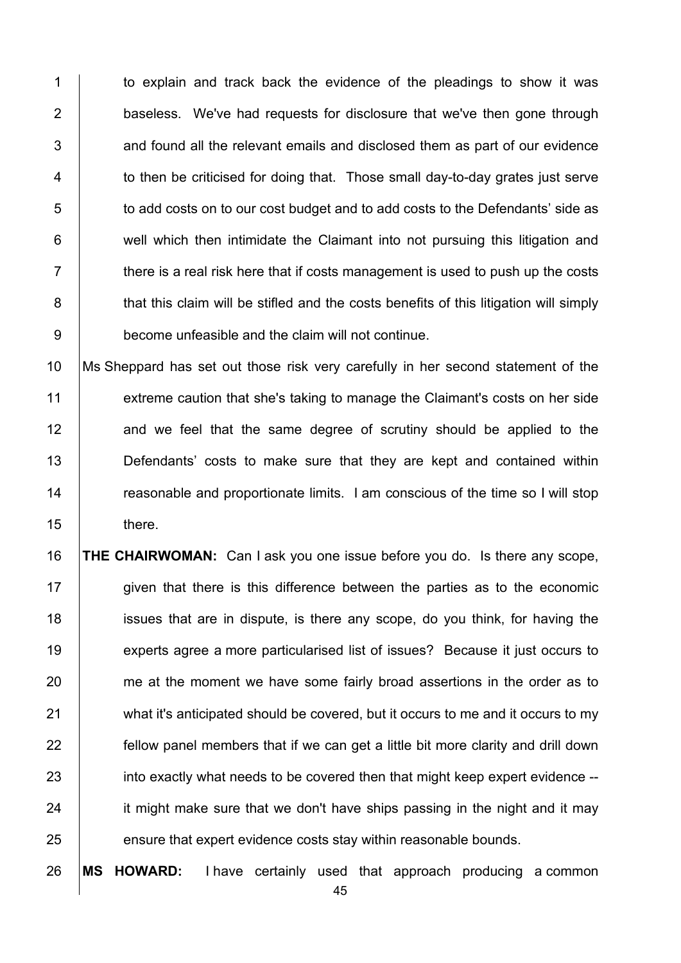1 to explain and track back the evidence of the pleadings to show it was 2 **baseless.** We've had requests for disclosure that we've then gone through  $3$   $\vert$  and found all the relevant emails and disclosed them as part of our evidence  $4$   $\vert$  to then be criticised for doing that. Those small day-to-day grates just serve 5 to add costs on to our cost budget and to add costs to the Defendants' side as 6 | well which then intimidate the Claimant into not pursuing this litigation and  $7 \mid$  there is a real risk here that if costs management is used to push up the costs 8 **that this claim will be stifled and the costs benefits of this litigation will simply** 9 become unfeasible and the claim will not continue.

10 Ms Sheppard has set out those risk very carefully in her second statement of the 11 extreme caution that she's taking to manage the Claimant's costs on her side 12 and we feel that the same degree of scrutiny should be applied to the 13 **Defendants'** costs to make sure that they are kept and contained within 14 The reasonable and proportionate limits. I am conscious of the time so I will stop 15 there.

16 **THE CHAIRWOMAN:** Can I ask you one issue before you do. Is there any scope, 17 given that there is this difference between the parties as to the economic 18 **ignor** issues that are in dispute, is there any scope, do you think, for having the 19 experts agree a more particularised list of issues? Because it just occurs to 20 me at the moment we have some fairly broad assertions in the order as to 21 what it's anticipated should be covered, but it occurs to me and it occurs to my 22 **fellow panel members that if we can get a little bit more clarity and drill down** 23 into exactly what needs to be covered then that might keep expert evidence --24 it might make sure that we don't have ships passing in the night and it may 25 ensure that expert evidence costs stay within reasonable bounds.

26 **MS HOWARD:** I have certainly used that approach producing a common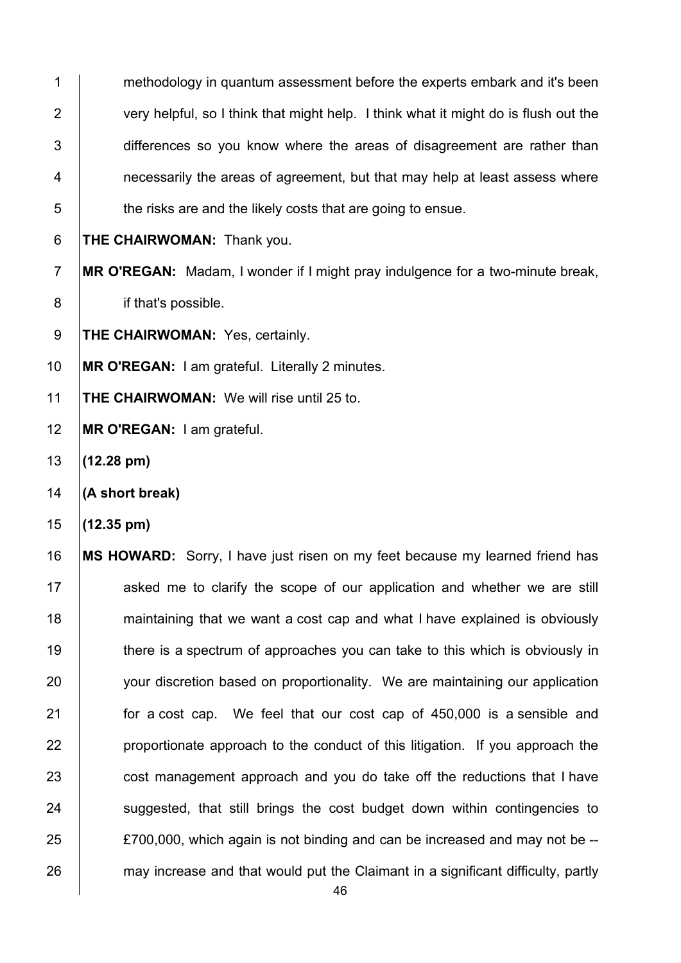1 methodology in quantum assessment before the experts embark and it's been 2 very helpful, so I think that might help. I think what it might do is flush out the 3 differences so you know where the areas of disagreement are rather than 4 **1** necessarily the areas of agreement, but that may help at least assess where  $5 \mid$  the risks are and the likely costs that are going to ensue. 6 **THE CHAIRWOMAN:** Thank you. 7 **MR O'REGAN:** Madam, I wonder if I might pray indulgence for a two-minute break, 8 if that's possible. 9 **THE CHAIRWOMAN:** Yes, certainly. 10 **MR O'REGAN:** I am grateful. Literally 2 minutes. 11 **THE CHAIRWOMAN:** We will rise until 25 to. 12 **MR O'REGAN:** I am grateful. 13 **(12.28 pm)** 14 **(A short break)**  15 **(12.35 pm)**  16 **MS HOWARD:** Sorry, I have just risen on my feet because my learned friend has 17 asked me to clarify the scope of our application and whether we are still 18 **maintaining that we want a cost cap and what I have explained is obviously** 19 there is a spectrum of approaches you can take to this which is obviously in 20 vour discretion based on proportionality. We are maintaining our application 21 **for a cost cap.** We feel that our cost cap of 450,000 is a sensible and  $22$  | proportionate approach to the conduct of this litigation. If you approach the 23 cost management approach and you do take off the reductions that I have 24 Suggested, that still brings the cost budget down within contingencies to  $25$   $\pm 25$   $\pm 700,000$ , which again is not binding and can be increased and may not be --26 may increase and that would put the Claimant in a significant difficulty, partly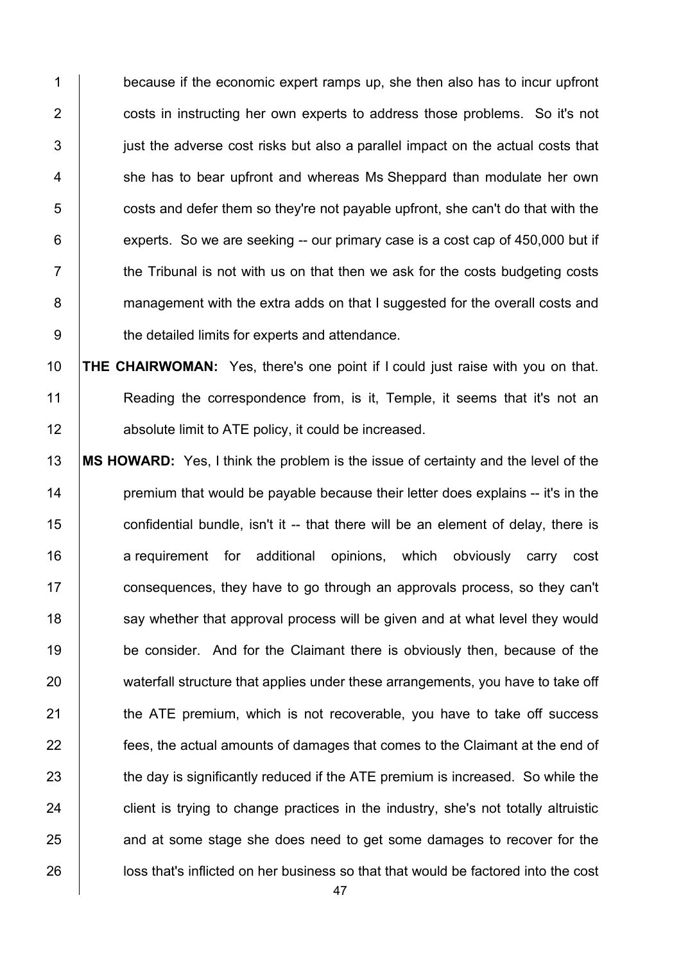1 because if the economic expert ramps up, she then also has to incur upfront 2 **costs in instructing her own experts to address those problems.** So it's not  $3$  just the adverse cost risks but also a parallel impact on the actual costs that 4 | she has to bear upfront and whereas Ms Sheppard than modulate her own  $5$   $\Box$  costs and defer them so they're not payable upfront, she can't do that with the  $6$  experts. So we are seeking -- our primary case is a cost cap of 450,000 but if  $7$   $\parallel$  the Tribunal is not with us on that then we ask for the costs budgeting costs 8 management with the extra adds on that I suggested for the overall costs and 9 b the detailed limits for experts and attendance.

10 **THE CHAIRWOMAN:** Yes, there's one point if I could just raise with you on that. 11 Reading the correspondence from, is it, Temple, it seems that it's not an 12 **Arror** absolute limit to ATE policy, it could be increased.

13 **MS HOWARD:** Yes, I think the problem is the issue of certainty and the level of the 14 **premium that would be payable because their letter does explains -- it's in the**  $15$  confidential bundle, isn't it -- that there will be an element of delay, there is 16 a requirement for additional opinions, which obviously carry cost 17 **consequences, they have to go through an approvals process, so they can't** 18 say whether that approval process will be given and at what level they would 19 be consider. And for the Claimant there is obviously then, because of the 20 waterfall structure that applies under these arrangements, you have to take off 21 **the ATE premium, which is not recoverable, you have to take off success** 22 **figure 1** fees, the actual amounts of damages that comes to the Claimant at the end of 23 the day is significantly reduced if the ATE premium is increased. So while the  $24$  client is trying to change practices in the industry, she's not totally altruistic 25 and at some stage she does need to get some damages to recover for the 26 **let in loss that's inflicted on her business so that that would be factored into the cost**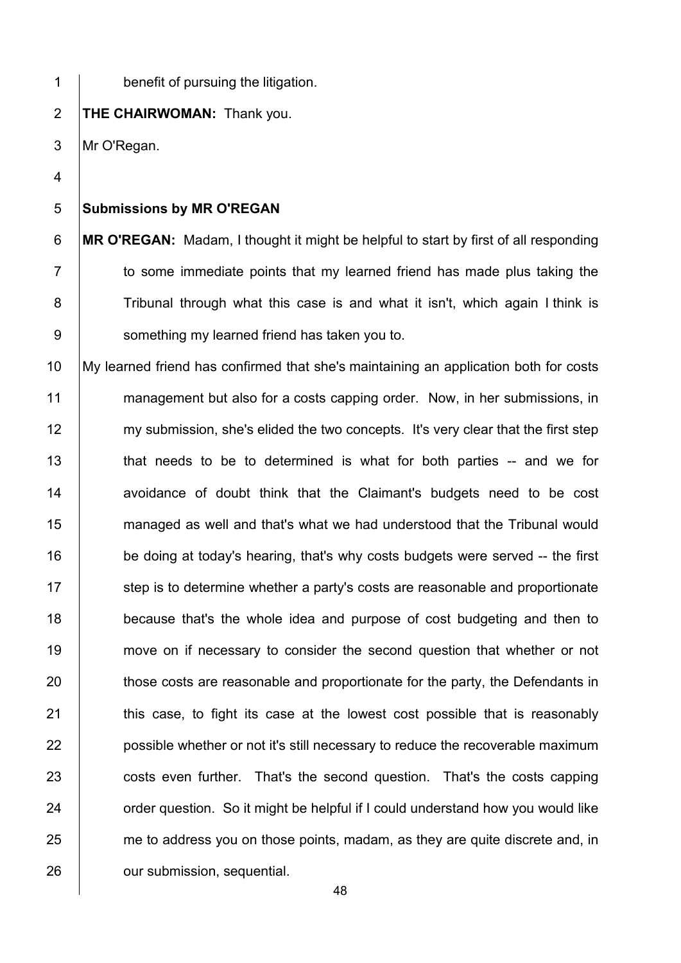48 1 **benefit of pursuing the litigation.** 2 **THE CHAIRWOMAN:** Thank you. 3 Mr O'Regan. 4 5 **Submissions by MR O'REGAN**  6 **MR O'REGAN:** Madam, I thought it might be helpful to start by first of all responding  $7$   $\vert$  to some immediate points that my learned friend has made plus taking the 8 Tribunal through what this case is and what it isn't, which again I think is 9 | something my learned friend has taken you to. 10 My learned friend has confirmed that she's maintaining an application both for costs 11 management but also for a costs capping order. Now, in her submissions, in 12 my submission, she's elided the two concepts. It's very clear that the first step 13 | that needs to be to determined is what for both parties -- and we for 14 | avoidance of doubt think that the Claimant's budgets need to be cost 15 **managed as well and that's what we had understood that the Tribunal would** 16 be doing at today's hearing, that's why costs budgets were served -- the first 17 Step is to determine whether a party's costs are reasonable and proportionate 18 **because that's the whole idea and purpose of cost budgeting and then to** 19 move on if necessary to consider the second question that whether or not 20 those costs are reasonable and proportionate for the party, the Defendants in 21 **this case, to fight its case at the lowest cost possible that is reasonably** 22 **possible whether or not it's still necessary to reduce the recoverable maximum** 23 costs even further. That's the second question. That's the costs capping 24 **order question.** So it might be helpful if I could understand how you would like 25 me to address you on those points, madam, as they are quite discrete and, in 26 **Julie 26** our submission, sequential.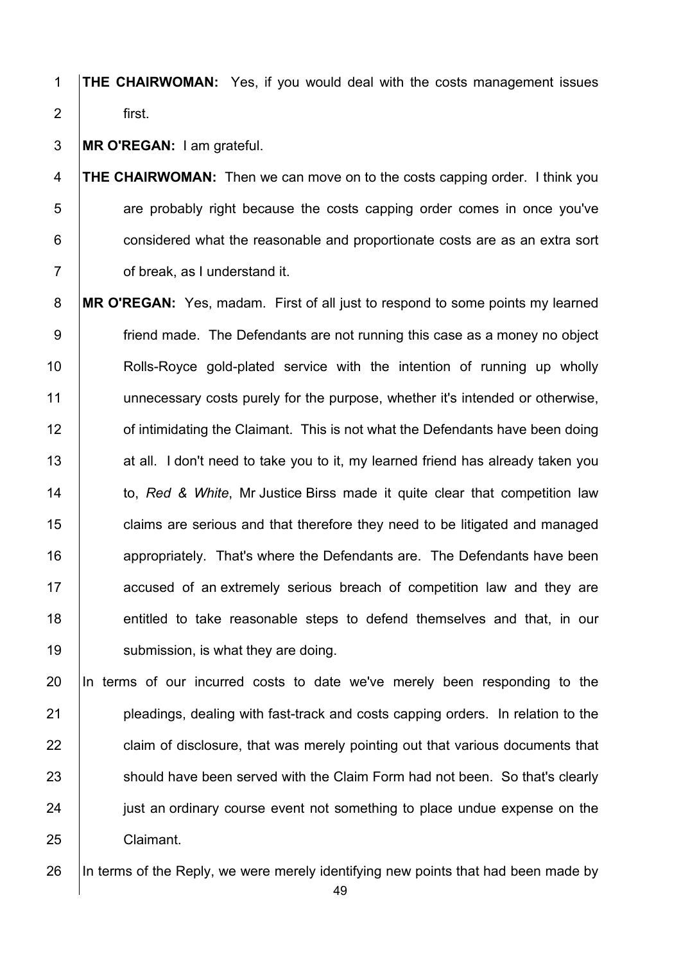- **THE CHAIRWOMAN:** Yes, if you would deal with the costs management issues 2 first.
- **MR O'REGAN:** I am grateful.

**THE CHAIRWOMAN:** Then we can move on to the costs capping order. I think you **1** are probably right because the costs capping order comes in once you've **considered what the reasonable and proportionate costs are as an extra sort of break, as I understand it.** 

**MR O'REGAN:** Yes, madam. First of all just to respond to some points my learned 9 friend made. The Defendants are not running this case as a money no object 10 | Rolls-Royce gold-plated service with the intention of running up wholly 11 unnecessary costs purely for the purpose, whether it's intended or otherwise, **12** of intimidating the Claimant. This is not what the Defendants have been doing 13 at all. I don't need to take you to it, my learned friend has already taken you to, *Red & White*, Mr Justice Birss made it quite clear that competition law **claims are serious and that therefore they need to be litigated and managed 16 appropriately.** That's where the Defendants are. The Defendants have been **accused of an extremely serious breach of competition law and they are** 18 entitled to take reasonable steps to defend themselves and that, in our 19 | submission, is what they are doing.

 In terms of our incurred costs to date we've merely been responding to the **pleadings, dealing with fast-track and costs capping orders.** In relation to the **claim of disclosure, that was merely pointing out that various documents that** 23 Should have been served with the Claim Form had not been. So that's clearly **just an ordinary course event not something to place undue expense on the Claimant.** 

26 In terms of the Reply, we were merely identifying new points that had been made by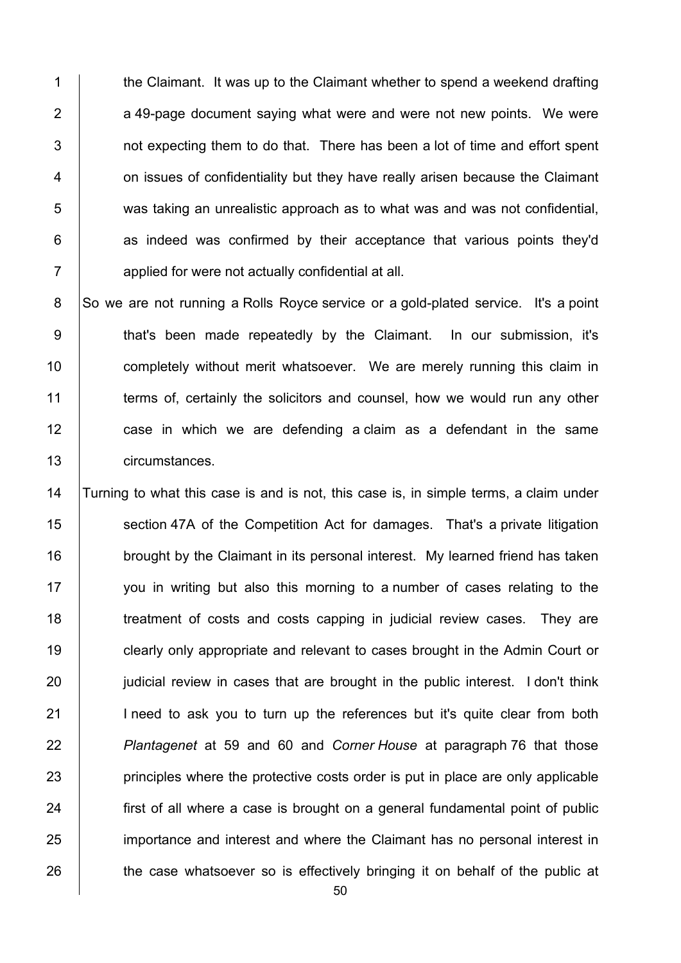1 the Claimant. It was up to the Claimant whether to spend a weekend drafting  $2$   $\vert$  a 49-page document saying what were and were not new points. We were  $3$  | not expecting them to do that. There has been a lot of time and effort spent 4 **1** on issues of confidentiality but they have really arisen because the Claimant 5 was taking an unrealistic approach as to what was and was not confidential,  $6$  | as indeed was confirmed by their acceptance that various points they'd 7 applied for were not actually confidential at all.

8 So we are not running a Rolls Royce service or a gold-plated service. It's a point 9 | that's been made repeatedly by the Claimant. In our submission, it's 10 **completely without merit whatsoever.** We are merely running this claim in 11 **terms of, certainly the solicitors and counsel, how we would run any other** 12 case in which we are defending a claim as a defendant in the same 13 circumstances.

14 Turning to what this case is and is not, this case is, in simple terms, a claim under 15 Section 47A of the Competition Act for damages. That's a private litigation 16 **brought by the Claimant in its personal interest.** My learned friend has taken 17 you in writing but also this morning to a number of cases relating to the 18 The streatment of costs and costs capping in judicial review cases. They are 19 **clearly only appropriate and relevant to cases brought in the Admin Court or** 20 **judicial review in cases that are brought in the public interest.** I don't think 21 | I need to ask you to turn up the references but it's quite clear from both 22 *Plantagenet* at 59 and 60 and *Corner House* at paragraph 76 that those 23 **principles where the protective costs order is put in place are only applicable** 24 **first of all where a case is brought on a general fundamental point of public** 25 importance and interest and where the Claimant has no personal interest in 26 the case whatsoever so is effectively bringing it on behalf of the public at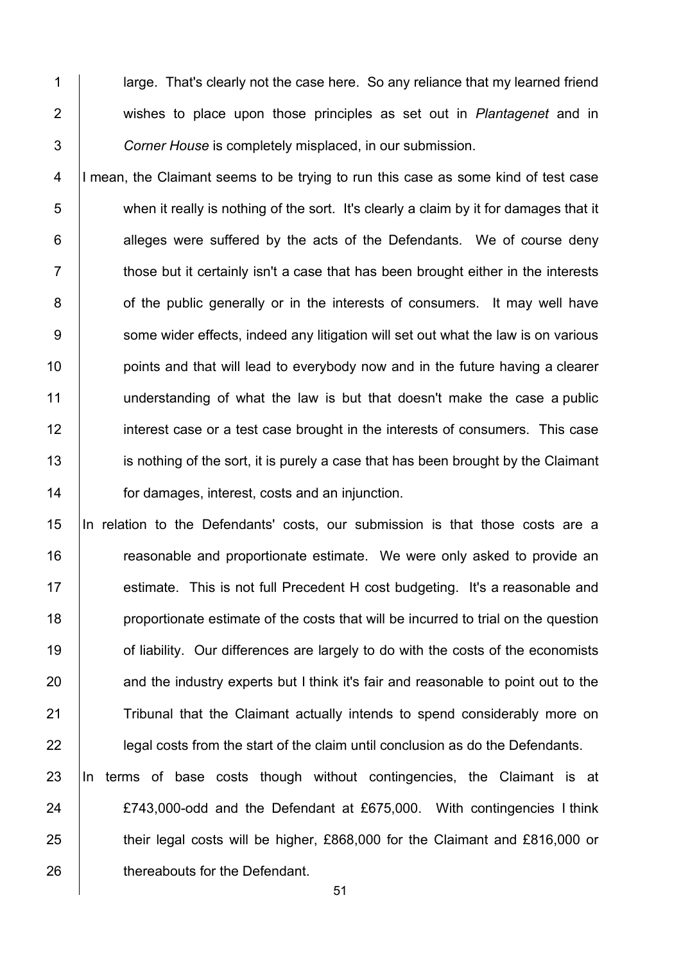1 | arge. That's clearly not the case here. So any reliance that my learned friend 2 wishes to place upon those principles as set out in *Plantagenet* and in 3 *Corner House* is completely misplaced, in our submission.

4 I mean, the Claimant seems to be trying to run this case as some kind of test case 5 when it really is nothing of the sort. It's clearly a claim by it for damages that it  $6$  | alleges were suffered by the acts of the Defendants. We of course deny  $7$   $\parallel$  those but it certainly isn't a case that has been brought either in the interests 8 **on** of the public generally or in the interests of consumers. It may well have 9 Some wider effects, indeed any litigation will set out what the law is on various 10 **points and that will lead to everybody now and in the future having a clearer** 11 understanding of what the law is but that doesn't make the case a public 12 interest case or a test case brought in the interests of consumers. This case 13 is nothing of the sort, it is purely a case that has been brought by the Claimant 14 **for damages, interest, costs and an injunction.** 

 In relation to the Defendants' costs, our submission is that those costs are a **Figure 2** reasonable and proportionate estimate. We were only asked to provide an 17 | estimate. This is not full Precedent H cost budgeting. It's a reasonable and **proportionate estimate of the costs that will be incurred to trial on the question of liability.** Our differences are largely to do with the costs of the economists 20 and the industry experts but I think it's fair and reasonable to point out to the 21 Tribunal that the Claimant actually intends to spend considerably more on **legal costs from the start of the claim until conclusion as do the Defendants.** 

 In terms of base costs though without contingencies, the Claimant is at **EXA** 24 **EXA** 24 **EXA** 24 **EXA** 24 **EXA** 24 **EXA** 24 **EXA** 24 **EXA** 24 **EXA** 26 **their legal costs will be higher, £868,000 for the Claimant and £816,000 or thereabouts for the Defendant.**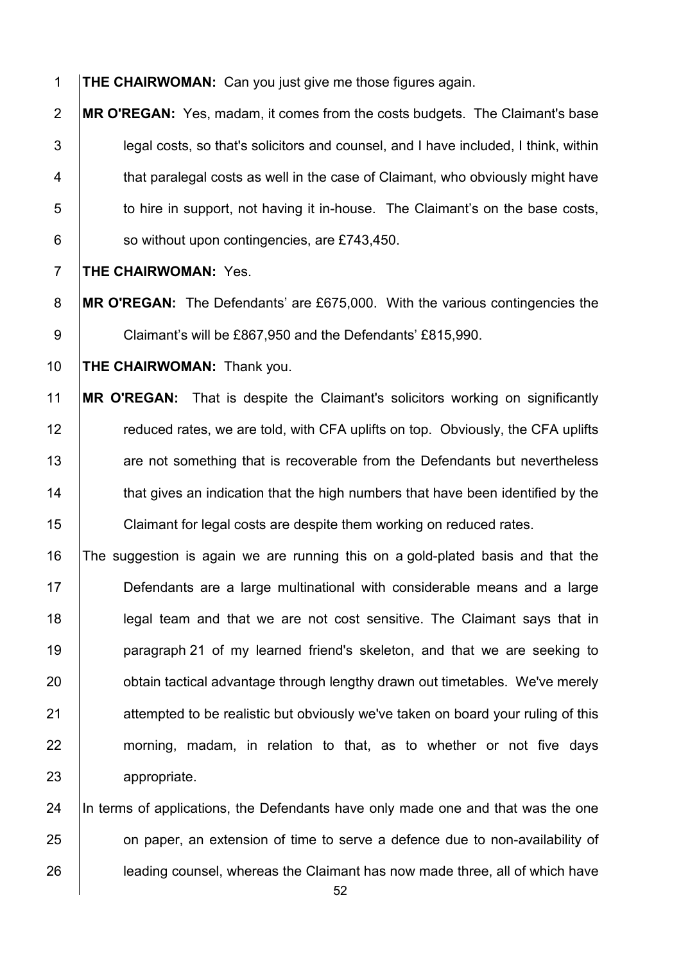**THE CHAIRWOMAN:** Can you just give me those figures again.

**MR O'REGAN:** Yes, madam, it comes from the costs budgets. The Claimant's base 3 legal costs, so that's solicitors and counsel, and I have included, I think, within **that paralegal costs as well in the case of Claimant, who obviously might have to hire in support, not having it in-house.** The Claimant's on the base costs, | so without upon contingencies, are £743,450.

**THE CHAIRWOMAN:** Yes.

**MR O'REGAN:** The Defendants' are £675,000. With the various contingencies the 9 Claimant's will be £867,950 and the Defendants' £815,990.

**THE CHAIRWOMAN:** Thank you.

 **MR O'REGAN:** That is despite the Claimant's solicitors working on significantly **Fig. 7** reduced rates, we are told, with CFA uplifts on top. Obviously, the CFA uplifts **Fig. 2** are not something that is recoverable from the Defendants but nevertheless 14 that gives an indication that the high numbers that have been identified by the **Claimant for legal costs are despite them working on reduced rates.** 

 The suggestion is again we are running this on a gold-plated basis and that the Defendants are a large multinational with considerable means and a large **legal team and that we are not cost sensitive. The Claimant says that in paragraph 21 of my learned friend's skeleton**, and that we are seeking to **busion** tactical advantage through lengthy drawn out timetables. We've merely 21 attempted to be realistic but obviously we've taken on board your ruling of this 22 morning, madam, in relation to that, as to whether or not five days appropriate.

24  $\parallel$  In terms of applications, the Defendants have only made one and that was the one **on paper, an extension of time to serve a defence due to non-availability of leading counsel, whereas the Claimant has now made three, all of which have**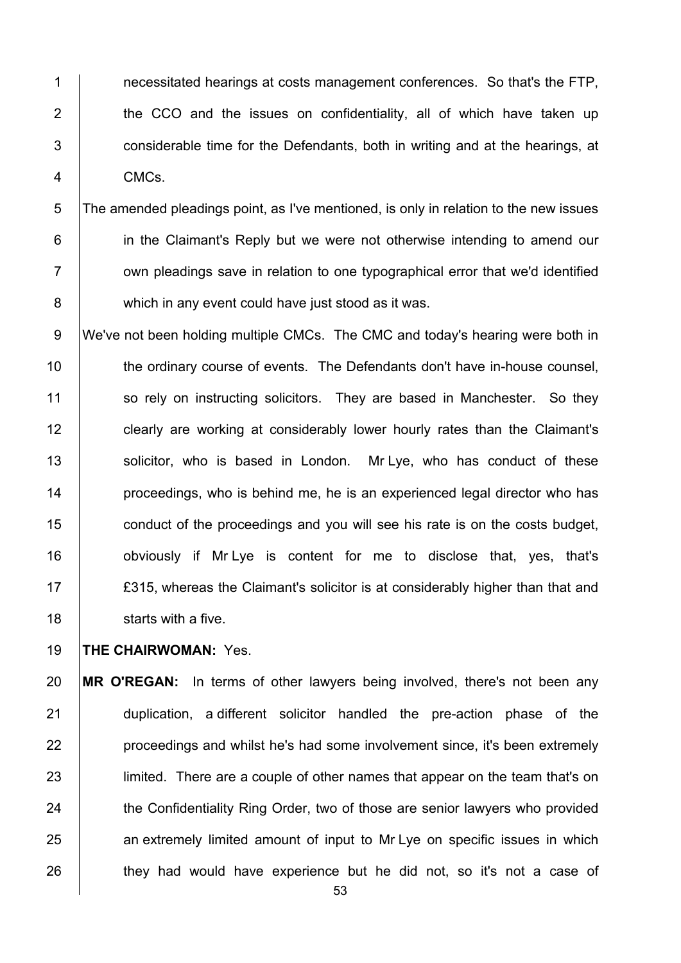1 1 1 necessitated hearings at costs management conferences. So that's the FTP,  $2$   $\vert$  the CCO and the issues on confidentiality, all of which have taken up 3 **Fig. 2** considerable time for the Defendants, both in writing and at the hearings, at 4 CMCs.

5 The amended pleadings point, as I've mentioned, is only in relation to the new issues 6 **in the Claimant's Reply but we were not otherwise intending to amend our**  $7$   $\parallel$  own pleadings save in relation to one typographical error that we'd identified 8 which in any event could have just stood as it was.

9 We've not been holding multiple CMCs. The CMC and today's hearing were both in 10 | the ordinary course of events. The Defendants don't have in-house counsel, 11 so rely on instructing solicitors. They are based in Manchester. So they 12 **clearly are working at considerably lower hourly rates than the Claimant's** 13 | solicitor, who is based in London. Mr Lye, who has conduct of these 14 **proceedings, who is behind me, he is an experienced legal director who has** 15 **conduct of the proceedings and you will see his rate is on the costs budget,** 16 **b** obviously if Mr Lye is content for me to disclose that, yes, that's 17 **EXALGO** E315, whereas the Claimant's solicitor is at considerably higher than that and 18 **Starts with a five.** 

19 **THE CHAIRWOMAN:** Yes.

20 **MR O'REGAN:** In terms of other lawyers being involved, there's not been any 21 | duplication, a different solicitor handled the pre-action phase of the 22 **proceedings and whilst he's had some involvement since, it's been extremely** 23 limited. There are a couple of other names that appear on the team that's on 24 the Confidentiality Ring Order, two of those are senior lawyers who provided 25 an extremely limited amount of input to Mr Lye on specific issues in which 26 they had would have experience but he did not, so it's not a case of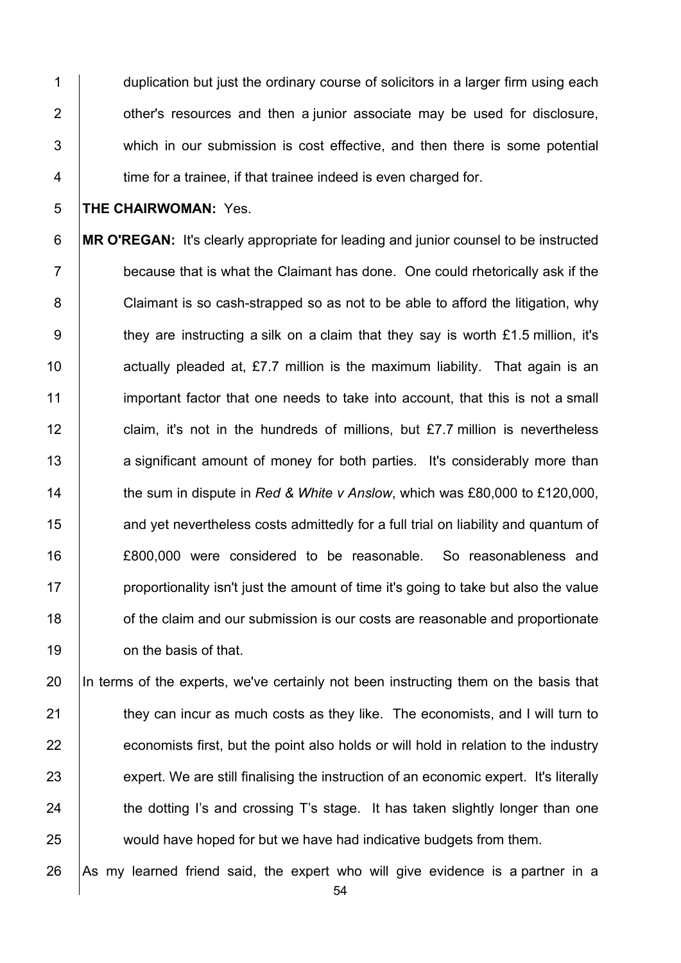1 duplication but just the ordinary course of solicitors in a larger firm using each 2 **b** other's resources and then a junior associate may be used for disclosure, 3 which in our submission is cost effective, and then there is some potential 4 **time for a trainee, if that trainee indeed is even charged for.** 

#### 5 **THE CHAIRWOMAN:** Yes.

**MR O'REGAN:** It's clearly appropriate for leading and junior counsel to be instructed  $\parallel$  because that is what the Claimant has done. One could rhetorically ask if the 8 Claimant is so cash-strapped so as not to be able to afford the litigation, why they are instructing a silk on a claim that they say is worth £1.5 million, it's  $\parallel$  actually pleaded at, £7.7 million is the maximum liability. That again is an 11 important factor that one needs to take into account, that this is not a small **claim, it's not in the hundreds of millions, but £7.7 million is nevertheless** 13 a significant amount of money for both parties. It's considerably more than **the sum in dispute in** *Red & White v Anslow***, which was £80,000 to £120,000, and yet nevertheless costs admittedly for a full trial on liability and quantum of**  £800,000 were considered to be reasonable. So reasonableness and **proportionality isn't just the amount of time it's going to take but also the value 18** of the claim and our submission is our costs are reasonable and proportionate **b** on the basis of that.

20 In terms of the experts, we've certainly not been instructing them on the basis that 21 **they can incur as much costs as they like.** The economists, and I will turn to  $22$  economists first, but the point also holds or will hold in relation to the industry 23 expert. We are still finalising the instruction of an economic expert. It's literally 24 the dotting I's and crossing T's stage. It has taken slightly longer than one 25 would have hoped for but we have had indicative budgets from them.

26 As my learned friend said, the expert who will give evidence is a partner in a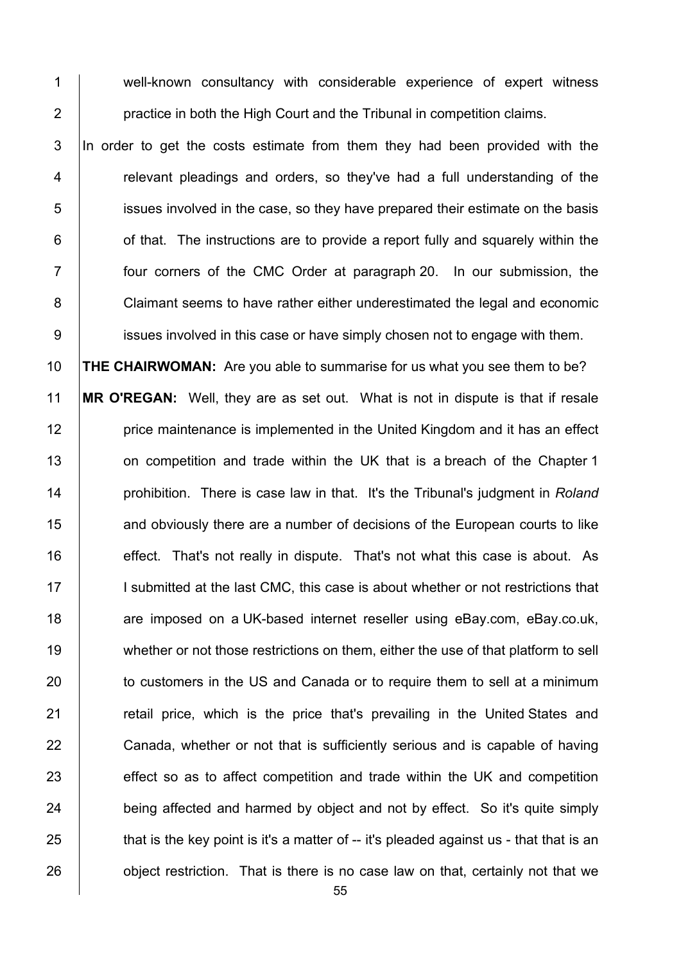1 well-known consultancy with considerable experience of expert witness 2 **practice in both the High Court and the Tribunal in competition claims.** 

3 In order to get the costs estimate from them they had been provided with the 4 The relevant pleadings and orders, so they've had a full understanding of the 5 issues involved in the case, so they have prepared their estimate on the basis  $6$  | of that. The instructions are to provide a report fully and squarely within the 7 four corners of the CMC Order at paragraph 20. In our submission, the 8 Claimant seems to have rather either underestimated the legal and economic 9 **issues involved in this case or have simply chosen not to engage with them.** 

10 **THE CHAIRWOMAN:** Are you able to summarise for us what you see them to be? 11 **MR O'REGAN:** Well, they are as set out. What is not in dispute is that if resale 12 **price maintenance is implemented in the United Kingdom and it has an effect** 13 on competition and trade within the UK that is a breach of the Chapter 1 14 prohibition. There is case law in that. It's the Tribunal's judgment in *Roland* 15 **and obviously there are a number of decisions of the European courts to like** 16 **effect.** That's not really in dispute. That's not what this case is about. As 17 I submitted at the last CMC, this case is about whether or not restrictions that 18 are imposed on a UK-based internet reseller using eBay.com, eBay.co.uk, 19 whether or not those restrictions on them, either the use of that platform to sell 20 to customers in the US and Canada or to require them to sell at a minimum 21 The retail price, which is the price that's prevailing in the United States and 22 Canada, whether or not that is sufficiently serious and is capable of having 23 effect so as to affect competition and trade within the UK and competition 24 being affected and harmed by object and not by effect. So it's quite simply  $25$  that is the key point is it's a matter of -- it's pleaded against us - that that is an 26 object restriction. That is there is no case law on that, certainly not that we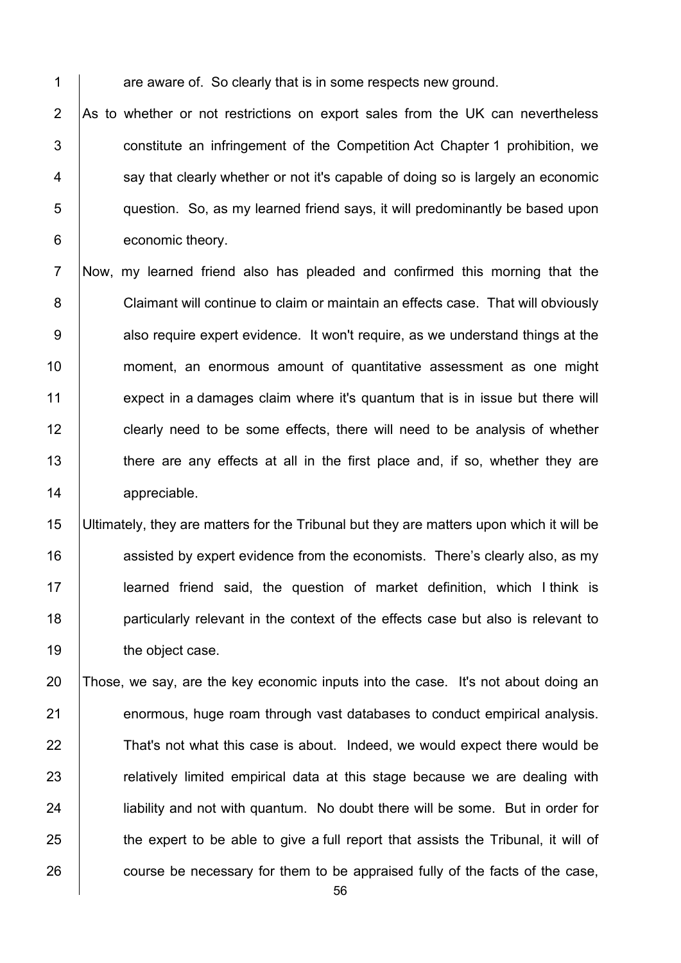$1$  are aware of. So clearly that is in some respects new ground.

 $\overline{AB}$  As to whether or not restrictions on export sales from the UK can nevertheless **b** constitute an infringement of the Competition Act Chapter 1 prohibition, we say that clearly whether or not it's capable of doing so is largely an economic **Fig. 2** question. So, as my learned friend says, it will predominantly be based upon **conomic theory.** 

7 Now, my learned friend also has pleaded and confirmed this morning that the 8 Claimant will continue to claim or maintain an effects case. That will obviously 9 also require expert evidence. It won't require, as we understand things at the 10 moment, an enormous amount of quantitative assessment as one might 11 expect in a damages claim where it's quantum that is in issue but there will 12 clearly need to be some effects, there will need to be analysis of whether 13 there are any effects at all in the first place and, if so, whether they are 14 appreciable.

 Ultimately, they are matters for the Tribunal but they are matters upon which it will be **16** assisted by expert evidence from the economists. There's clearly also, as my 17 | learned friend said, the question of market definition, which I think is **particularly relevant in the context of the effects case but also is relevant to the object case.** 

20 Those, we say, are the key economic inputs into the case. It's not about doing an 21 enormous, huge roam through vast databases to conduct empirical analysis. 22 That's not what this case is about. Indeed, we would expect there would be 23 **Fig.** The relatively limited empirical data at this stage because we are dealing with 24 **lightlight** liability and not with quantum. No doubt there will be some. But in order for  $25$   $\parallel$  the expert to be able to give a full report that assists the Tribunal, it will of 26 course be necessary for them to be appraised fully of the facts of the case,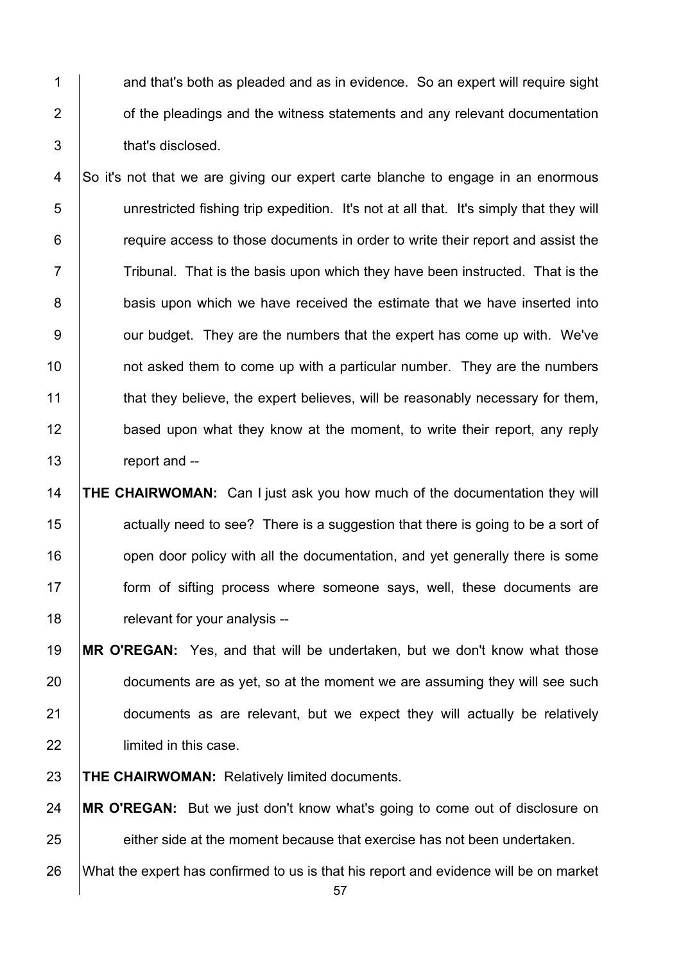1 and that's both as pleaded and as in evidence. So an expert will require sight 2 **1** of the pleadings and the witness statements and any relevant documentation 3 that's disclosed.

4 So it's not that we are giving our expert carte blanche to engage in an enormous 5 unrestricted fishing trip expedition. It's not at all that. It's simply that they will 6 **Fig.** require access to those documents in order to write their report and assist the  $7 \mid$  Tribunal. That is the basis upon which they have been instructed. That is the 8 basis upon which we have received the estimate that we have inserted into 9 | our budget. They are the numbers that the expert has come up with. We've 10 **not asked them to come up with a particular number.** They are the numbers 11 that they believe, the expert believes, will be reasonably necessary for them, 12 **based upon what they know at the moment, to write their report, any reply** 13 **report and --**

 **THE CHAIRWOMAN:** Can I just ask you how much of the documentation they will 15 15 actually need to see? There is a suggestion that there is going to be a sort of **16** open door policy with all the documentation, and yet generally there is some **form of sifting process where someone says, well, these documents are Figure 18** relevant for your analysis --

 **MR O'REGAN:** Yes, and that will be undertaken, but we don't know what those 20 documents are as yet, so at the moment we are assuming they will see such **documents** as are relevant, but we expect they will actually be relatively **lacks** limited in this case.

23 **THE CHAIRWOMAN:** Relatively limited documents.

24 **MR O'REGAN:** But we just don't know what's going to come out of disclosure on 25 either side at the moment because that exercise has not been undertaken. 26 What the expert has confirmed to us is that his report and evidence will be on market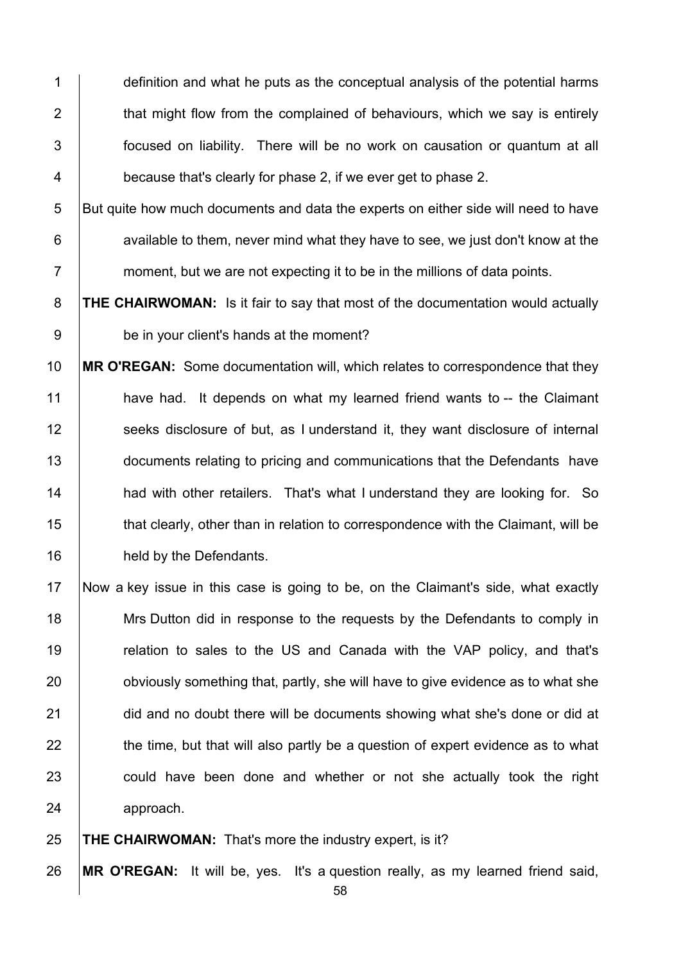1 definition and what he puts as the conceptual analysis of the potential harms 2  $\parallel$  that might flow from the complained of behaviours, which we say is entirely 3 Focused on liability. There will be no work on causation or quantum at all 4 **because that's clearly for phase 2, if we ever get to phase 2.** 

5 But quite how much documents and data the experts on either side will need to have  $6$  | available to them, never mind what they have to see, we just don't know at the  $7 \mid$  moment, but we are not expecting it to be in the millions of data points.

8 **THE CHAIRWOMAN:** Is it fair to say that most of the documentation would actually 9 be in your client's hands at the moment?

10 **MR O'REGAN:** Some documentation will, which relates to correspondence that they 11 **have had.** It depends on what my learned friend wants to -- the Claimant 12 Seeks disclosure of but, as I understand it, they want disclosure of internal 13 documents relating to pricing and communications that the Defendants have 14 **had with other retailers.** That's what I understand they are looking for. So 15 that clearly, other than in relation to correspondence with the Claimant, will be 16 held by the Defendants.

17 Now a key issue in this case is going to be, on the Claimant's side, what exactly 18 Mrs Dutton did in response to the requests by the Defendants to comply in 19 The relation to sales to the US and Canada with the VAP policy, and that's 20 **building** bobyiously something that, partly, she will have to give evidence as to what she 21 did and no doubt there will be documents showing what she's done or did at  $22$   $\parallel$  the time, but that will also partly be a question of expert evidence as to what 23 could have been done and whether or not she actually took the right 24 **approach**.

25 **THE CHAIRWOMAN:** That's more the industry expert, is it?

26 **MR O'REGAN:** It will be, yes. It's a question really, as my learned friend said,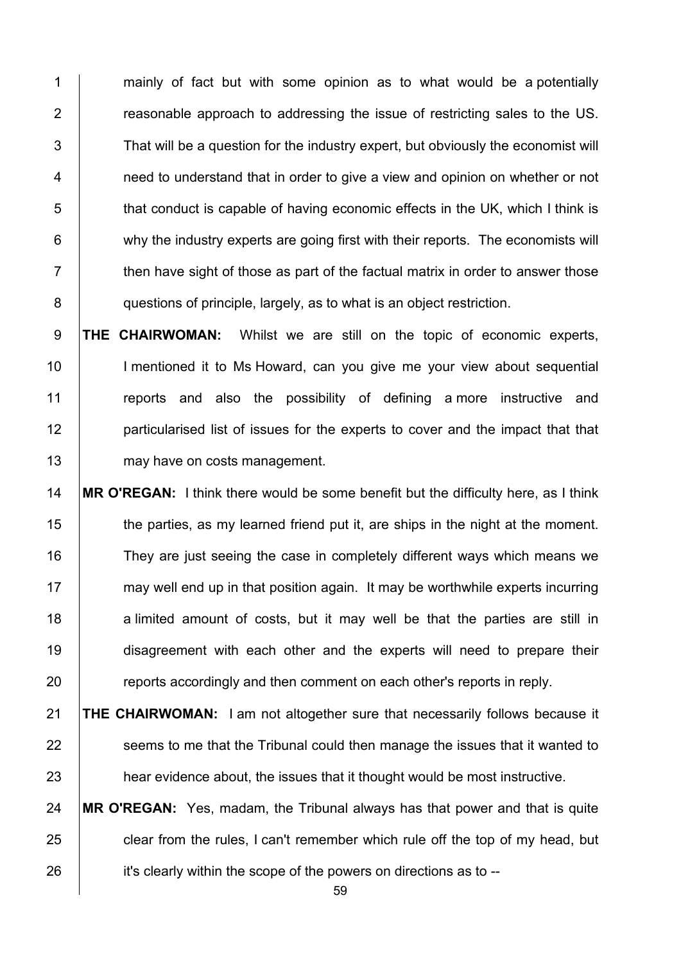1 mainly of fact but with some opinion as to what would be a potentially **Figure 2** reasonable approach to addressing the issue of restricting sales to the US. That will be a question for the industry expert, but obviously the economist will **1** need to understand that in order to give a view and opinion on whether or not that conduct is capable of having economic effects in the UK, which I think is 6 why the industry experts are going first with their reports. The economists will  $7 \mid$  then have sight of those as part of the factual matrix in order to answer those **questions of principle, largely, as to what is an object restriction.** 

9 **THE CHAIRWOMAN:** Whilst we are still on the topic of economic experts, 10 | I mentioned it to Ms Howard, can you give me your view about sequential 11 Teports and also the possibility of defining a more instructive and 12 **particularised list of issues for the experts to cover and the impact that that** 13 may have on costs management.

14 **MR O'REGAN:** I think there would be some benefit but the difficulty here, as I think 15 the parties, as my learned friend put it, are ships in the night at the moment. 16 They are just seeing the case in completely different ways which means we 17 may well end up in that position again. It may be worthwhile experts incurring 18 a limited amount of costs, but it may well be that the parties are still in 19 disagreement with each other and the experts will need to prepare their 20 **reports accordingly and then comment on each other's reports in reply.** 

21 **THE CHAIRWOMAN:** I am not altogether sure that necessarily follows because it 22 **Seems to me that the Tribunal could then manage the issues that it wanted to** 23 **hear evidence about, the issues that it thought would be most instructive.** 

24 **MR O'REGAN:** Yes, madam, the Tribunal always has that power and that is quite 25 clear from the rules, I can't remember which rule off the top of my head, but 26 **it's clearly within the scope of the powers on directions as to --**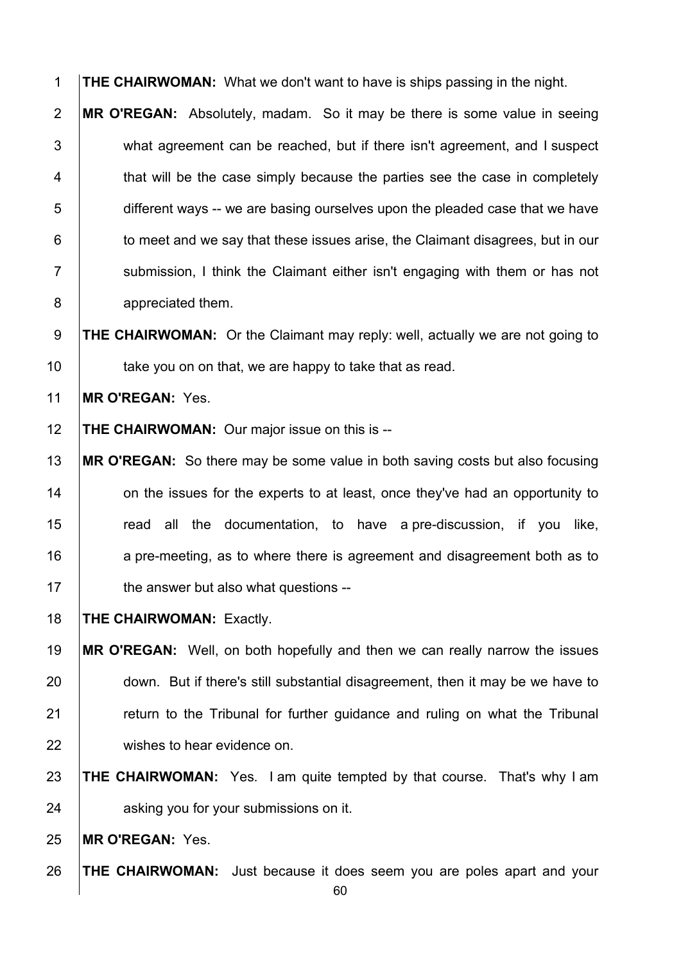**THE CHAIRWOMAN:** What we don't want to have is ships passing in the night.

**MR O'REGAN:** Absolutely, madam. So it may be there is some value in seeing 3 what agreement can be reached, but if there isn't agreement, and I suspect 4 that will be the case simply because the parties see the case in completely 5 different ways -- we are basing ourselves upon the pleaded case that we have **to meet and we say that these issues arise, the Claimant disagrees, but in our** 7 | submission, I think the Claimant either isn't engaging with them or has not **appreciated them.** 

**THE CHAIRWOMAN:** Or the Claimant may reply: well, actually we are not going to  $\parallel$  take you on on that, we are happy to take that as read.

**MR O'REGAN:** Yes.

**THE CHAIRWOMAN:** Our major issue on this is --

 **MR O'REGAN:** So there may be some value in both saving costs but also focusing **14** on the issues for the experts to at least, once they've had an opportunity to **The Step and all the documentation, to have a pre-discussion, if you like,** 16 a pre-meeting, as to where there is agreement and disagreement both as to **the answer but also what questions** --

**THE CHAIRWOMAN:** Exactly.

 **MR O'REGAN:** Well, on both hopefully and then we can really narrow the issues 20 down. But if there's still substantial disagreement, then it may be we have to **Fig.** return to the Tribunal for further guidance and ruling on what the Tribunal 22 wishes to hear evidence on.

 **THE CHAIRWOMAN:** Yes. I am quite tempted by that course. That's why I am **b** asking you for your submissions on it.

**MR O'REGAN:** Yes.

**THE CHAIRWOMAN:** Just because it does seem you are poles apart and your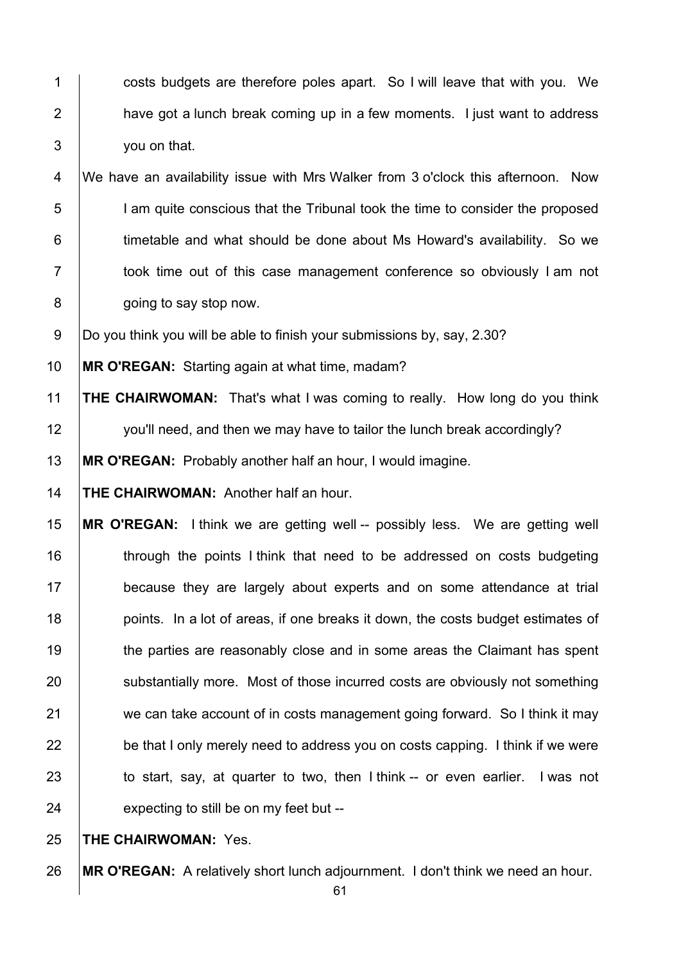1 costs budgets are therefore poles apart. So I will leave that with you. We | have got a lunch break coming up in a few moments. I just want to address 3 you on that.

4 We have an availability issue with Mrs Walker from 3 o'clock this afternoon. Now **I** am quite conscious that the Tribunal took the time to consider the proposed **timetable and what should be done about Ms Howard's availability.** So we 7 | took time out of this case management conference so obviously I am not **going to say stop now.** 

9 Do you think you will be able to finish your submissions by, say, 2.30?

**MR O'REGAN:** Starting again at what time, madam?

 **THE CHAIRWOMAN:** That's what I was coming to really. How long do you think 12 you'll need, and then we may have to tailor the lunch break accordingly?

**MR O'REGAN:** Probably another half an hour, I would imagine.

**THE CHAIRWOMAN:** Another half an hour.

 **MR O'REGAN:** I think we are getting well -- possibly less. We are getting well **through the points I think that need to be addressed on costs budgeting because they are largely about experts and on some attendance at trial** 18 points. In a lot of areas, if one breaks it down, the costs budget estimates of 19 the parties are reasonably close and in some areas the Claimant has spent **Substantially more.** Most of those incurred costs are obviously not something 21 we can take account of in costs management going forward. So I think it may **be that I only merely need to address you on costs capping. I think if we were** 23 to start, say, at quarter to two, then I think -- or even earlier. I was not expecting to still be on my feet but --

**THE CHAIRWOMAN:** Yes.

**MR O'REGAN:** A relatively short lunch adjournment. I don't think we need an hour.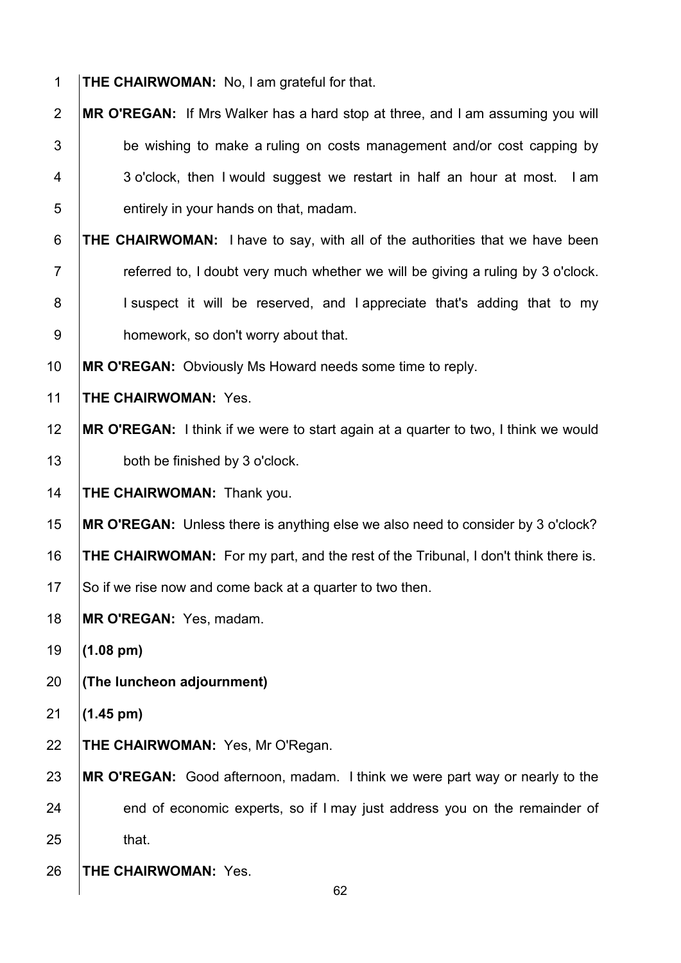- **THE CHAIRWOMAN:** No, I am grateful for that.
- **MR O'REGAN:** If Mrs Walker has a hard stop at three, and I am assuming you will  $\vert$  be wishing to make a ruling on costs management and/or cost capping by 4 3 o'clock, then I would suggest we restart in half an hour at most. I am **b** entirely in your hands on that, madam.
- **THE CHAIRWOMAN:** I have to say, with all of the authorities that we have been  $\parallel$  referred to, I doubt very much whether we will be giving a ruling by 3 o'clock. 8 | I suspect it will be reserved, and I appreciate that's adding that to my **bomework, so don't worry about that.**
- **MR O'REGAN:** Obviously Ms Howard needs some time to reply.
- **THE CHAIRWOMAN:** Yes.
- **MR O'REGAN:** I think if we were to start again at a quarter to two, I think we would **both be finished by 3 o'clock.**
- **THE CHAIRWOMAN:** Thank you.
- **MR O'REGAN:** Unless there is anything else we also need to consider by 3 o'clock?
- **THE CHAIRWOMAN:** For my part, and the rest of the Tribunal, I don't think there is.
- 17 So if we rise now and come back at a quarter to two then.
- **MR O'REGAN:** Yes, madam.
- **(1.08 pm)**
- **(The luncheon adjournment)**
- **(1.45 pm)**
- **THE CHAIRWOMAN:** Yes, Mr O'Regan.
- **MR O'REGAN:** Good afternoon, madam. I think we were part way or nearly to the 24 end of economic experts, so if I may just address you on the remainder of that.
- **THE CHAIRWOMAN:** Yes.
-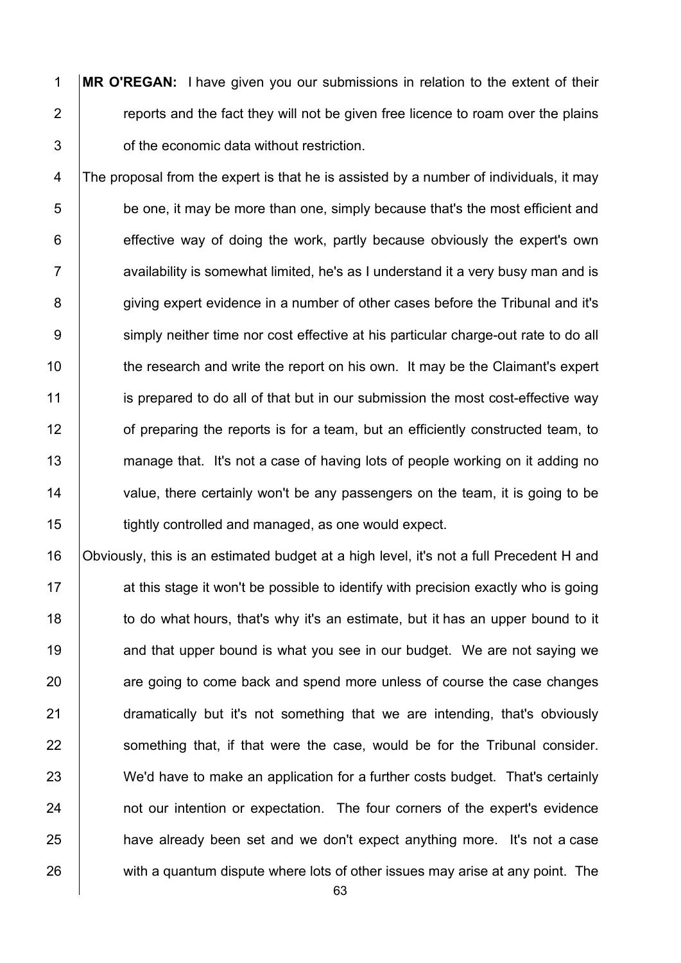1 **MR O'REGAN:** I have given you our submissions in relation to the extent of their 2  $\parallel$  reports and the fact they will not be given free licence to roam over the plains 3 **S** of the economic data without restriction.

4 The proposal from the expert is that he is assisted by a number of individuals, it may  $5$  be one, it may be more than one, simply because that's the most efficient and  $6$  effective way of doing the work, partly because obviously the expert's own  $7 \mid$  availability is somewhat limited, he's as I understand it a very busy man and is 8 giving expert evidence in a number of other cases before the Tribunal and it's 9 Simply neither time nor cost effective at his particular charge-out rate to do all 10 the research and write the report on his own. It may be the Claimant's expert 11 is prepared to do all of that but in our submission the most cost-effective way 12 of preparing the reports is for a team, but an efficiently constructed team, to 13 manage that. It's not a case of having lots of people working on it adding no 14 value, there certainly won't be any passengers on the team, it is going to be 15 **tightly controlled and managed, as one would expect.** 

16 Obviously, this is an estimated budget at a high level, it's not a full Precedent H and 17 **17** at this stage it won't be possible to identify with precision exactly who is going 18 to do what hours, that's why it's an estimate, but it has an upper bound to it 19 and that upper bound is what you see in our budget. We are not saying we 20 are going to come back and spend more unless of course the case changes 21 **dramatically but it's not something that we are intending, that's obviously** 22 Something that, if that were the case, would be for the Tribunal consider. 23 We'd have to make an application for a further costs budget. That's certainly 24 **not our intention or expectation.** The four corners of the expert's evidence 25 **have already been set and we don't expect anything more. It's not a case**  $26$  with a quantum dispute where lots of other issues may arise at any point. The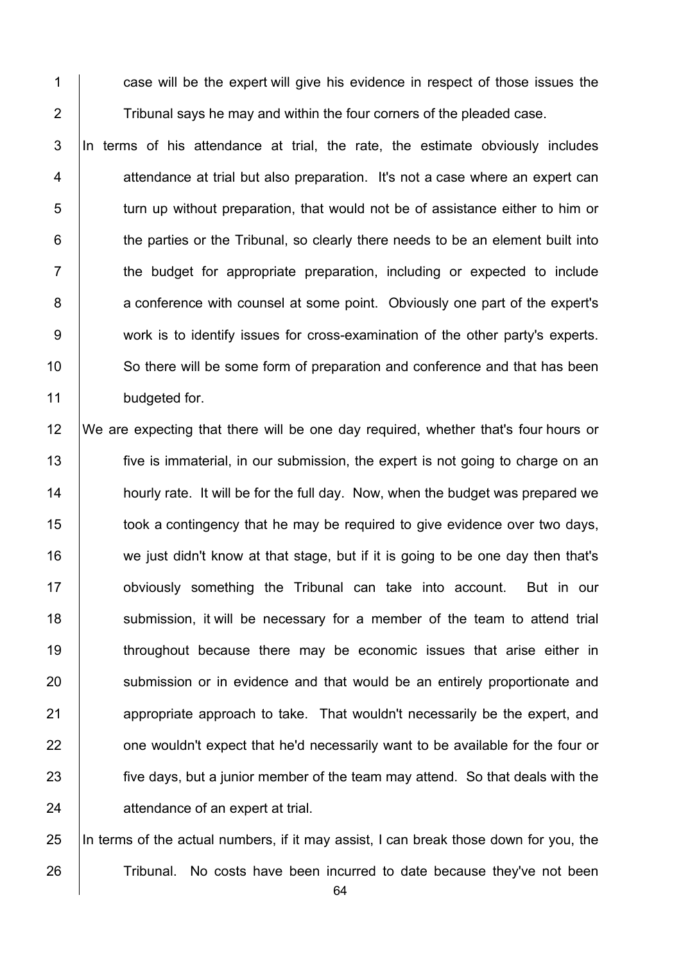1 case will be the expert will give his evidence in respect of those issues the 2  $\parallel$  Tribunal says he may and within the four corners of the pleaded case.

3 In terms of his attendance at trial, the rate, the estimate obviously includes  $4$  | attendance at trial but also preparation. It's not a case where an expert can 5 turn up without preparation, that would not be of assistance either to him or  $6$   $\vert$  the parties or the Tribunal, so clearly there needs to be an element built into 7 T the budget for appropriate preparation, including or expected to include 8 **8** a conference with counsel at some point. Obviously one part of the expert's 9 work is to identify issues for cross-examination of the other party's experts. 10 So there will be some form of preparation and conference and that has been 11 budgeted for.

 We are expecting that there will be one day required, whether that's four hours or **five is immaterial, in our submission, the expert is not going to charge on an hourly rate.** It will be for the full day. Now, when the budget was prepared we **took** a contingency that he may be required to give evidence over two days, 16 we just didn't know at that stage, but if it is going to be one day then that's **obviously** something the Tribunal can take into account. But in our 18 Submission, it will be necessary for a member of the team to attend trial **throughout because there may be economic issues that arise either in** 20 submission or in evidence and that would be an entirely proportionate and 21 appropriate approach to take. That wouldn't necessarily be the expert, and **one wouldn't expect that he'd necessarily want to be available for the four or five days, but a junior member of the team may attend. So that deals with the** 24 attendance of an expert at trial.

25 In terms of the actual numbers, if it may assist, I can break those down for you, the 26 Tribunal. No costs have been incurred to date because they've not been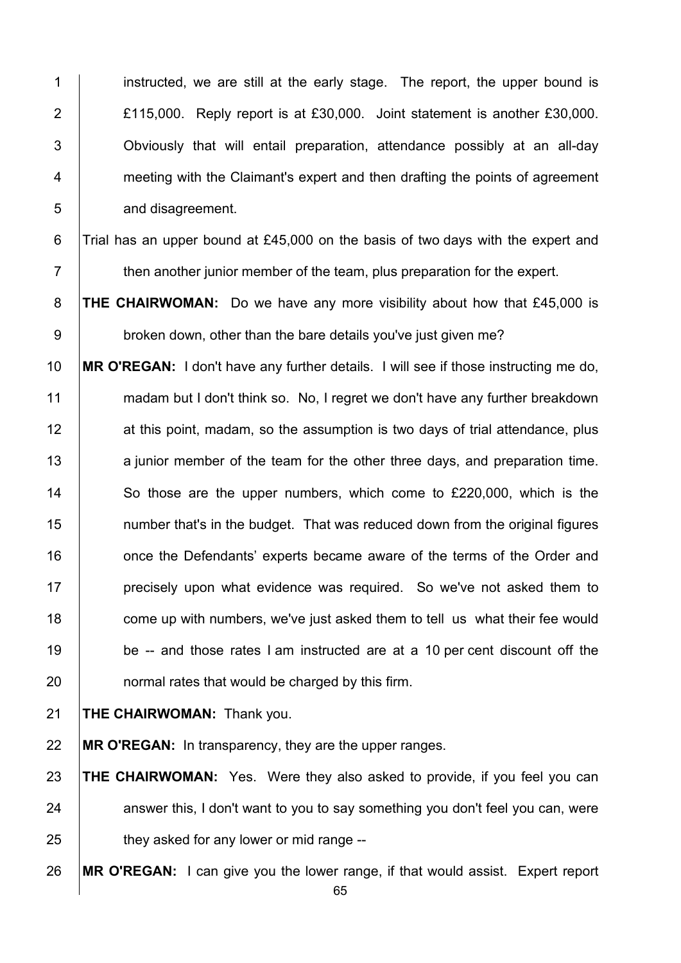1 instructed, we are still at the early stage. The report, the upper bound is **E115,000.** Reply report is at £30,000. Joint statement is another £30,000. **Supers** Obviously that will entail preparation, attendance possibly at an all-day **Fig. 2** meeting with the Claimant's expert and then drafting the points of agreement **and disagreement.** 

6 Trial has an upper bound at £45,000 on the basis of two days with the expert and then another junior member of the team, plus preparation for the expert.

**THE CHAIRWOMAN:** Do we have any more visibility about how that £45,000 is 9 broken down, other than the bare details you've just given me?

 **MR O'REGAN:** I don't have any further details. I will see if those instructing me do, 11 madam but I don't think so. No, I regret we don't have any further breakdown 12 at this point, madam, so the assumption is two days of trial attendance, plus 13 a junior member of the team for the other three days, and preparation time. 14 So those are the upper numbers, which come to £220,000, which is the **15** number that's in the budget. That was reduced down from the original figures **16** once the Defendants' experts became aware of the terms of the Order and **precisely upon what evidence was required.** So we've not asked them to **come up with numbers, we've just asked them to tell us what their fee would** 19 be -- and those rates I am instructed are at a 10 per cent discount off the normal rates that would be charged by this firm.

## **THE CHAIRWOMAN:** Thank you.

**MR O'REGAN:** In transparency, they are the upper ranges.

 **THE CHAIRWOMAN:** Yes. Were they also asked to provide, if you feel you can answer this, I don't want to you to say something you don't feel you can, were  $\parallel$  they asked for any lower or mid range --

**MR O'REGAN:** I can give you the lower range, if that would assist. Expert report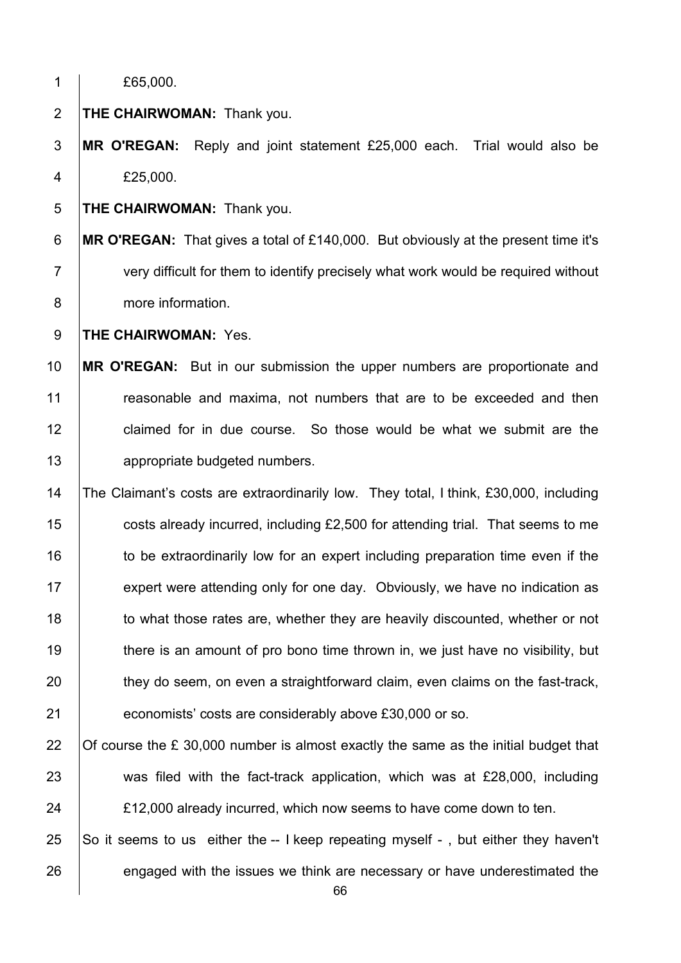| 1              | £65,000.                                                                                  |
|----------------|-------------------------------------------------------------------------------------------|
| $\overline{2}$ | <b>THE CHAIRWOMAN: Thank you.</b>                                                         |
| 3              | MR O'REGAN: Reply and joint statement £25,000 each. Trial would also be                   |
| 4              | £25,000.                                                                                  |
| 5              | <b>THE CHAIRWOMAN: Thank you.</b>                                                         |
| 6              | <b>MR O'REGAN:</b> That gives a total of £140,000. But obviously at the present time it's |
| $\overline{7}$ | very difficult for them to identify precisely what work would be required without         |
| 8              | more information.                                                                         |
| $9\,$          | THE CHAIRWOMAN: Yes.                                                                      |
| 10             | MR O'REGAN: But in our submission the upper numbers are proportionate and                 |
| 11             | reasonable and maxima, not numbers that are to be exceeded and then                       |
| 12             | claimed for in due course. So those would be what we submit are the                       |
| 13             | appropriate budgeted numbers.                                                             |
| 14             | The Claimant's costs are extraordinarily low. They total, I think, £30,000, including     |
| 15             | costs already incurred, including £2,500 for attending trial. That seems to me            |
| 16             | to be extraordinarily low for an expert including preparation time even if the            |
| 17             | expert were attending only for one day. Obviously, we have no indication as               |
| 18             | to what those rates are, whether they are heavily discounted, whether or not              |
| 19             | there is an amount of pro bono time thrown in, we just have no visibility, but            |
| 20             | they do seem, on even a straightforward claim, even claims on the fast-track,             |
| 21             | economists' costs are considerably above £30,000 or so.                                   |
| 22             | Of course the $E$ 30,000 number is almost exactly the same as the initial budget that     |
| 23             | was filed with the fact-track application, which was at £28,000, including                |
| 24             | £12,000 already incurred, which now seems to have come down to ten.                       |
| 25             | So it seems to us either the -- I keep repeating myself -, but either they haven't        |
| 26             | engaged with the issues we think are necessary or have underestimated the                 |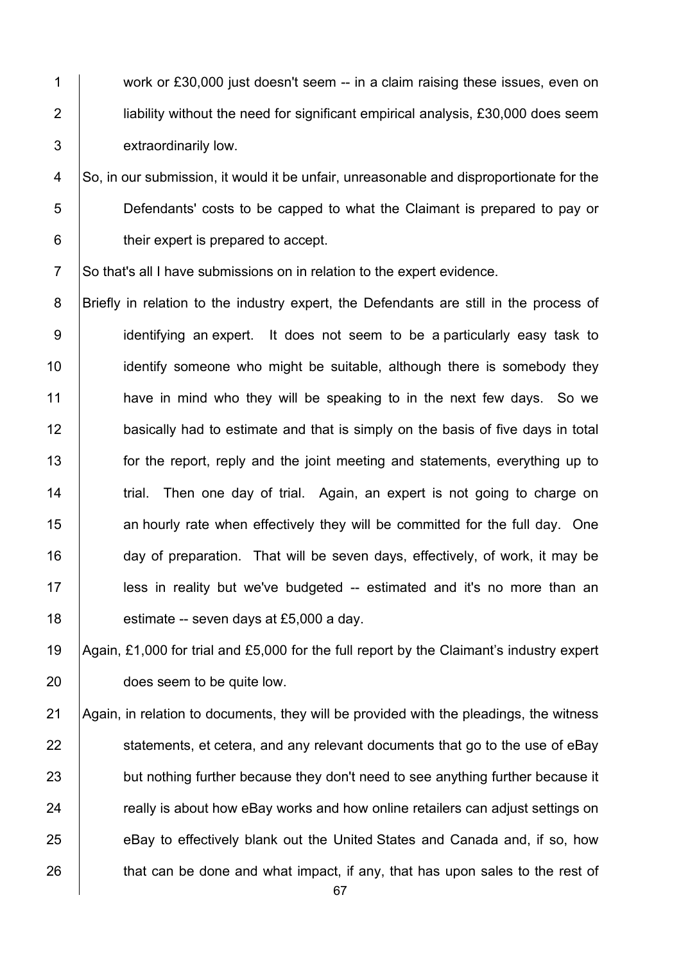1 work or £30,000 just doesn't seem -- in a claim raising these issues, even on 2 **lignt** liability without the need for significant empirical analysis, £30,000 does seem 3 extraordinarily low.

4 So, in our submission, it would it be unfair, unreasonable and disproportionate for the 5 Defendants' costs to be capped to what the Claimant is prepared to pay or 6 **their expert is prepared to accept.** 

7 So that's all I have submissions on in relation to the expert evidence.

8 **Briefly in relation to the industry expert**, the Defendants are still in the process of 9 | identifying an expert. It does not seem to be a particularly easy task to 10 **identify someone who might be suitable, although there is somebody they** 11 **have in mind who they will be speaking to in the next few days.** So we 12 basically had to estimate and that is simply on the basis of five days in total 13 **for the report, reply and the joint meeting and statements, everything up to** 14 Trial. Then one day of trial. Again, an expert is not going to charge on 15 **an hourly rate when effectively they will be committed for the full day.** One 16 day of preparation. That will be seven days, effectively, of work, it may be 17 | less in reality but we've budgeted -- estimated and it's no more than an 18  $\vert$  estimate -- seven days at £5,000 a day.

19 Again, £1,000 for trial and £5,000 for the full report by the Claimant's industry expert 20 **does seem to be quite low.** 

 Again, in relation to documents, they will be provided with the pleadings, the witness statements, et cetera, and any relevant documents that go to the use of eBay 23 but nothing further because they don't need to see anything further because it **Fig. 24 really is about how eBay works and how online retailers can adjust settings on** 25 eBay to effectively blank out the United States and Canada and, if so, how that can be done and what impact, if any, that has upon sales to the rest of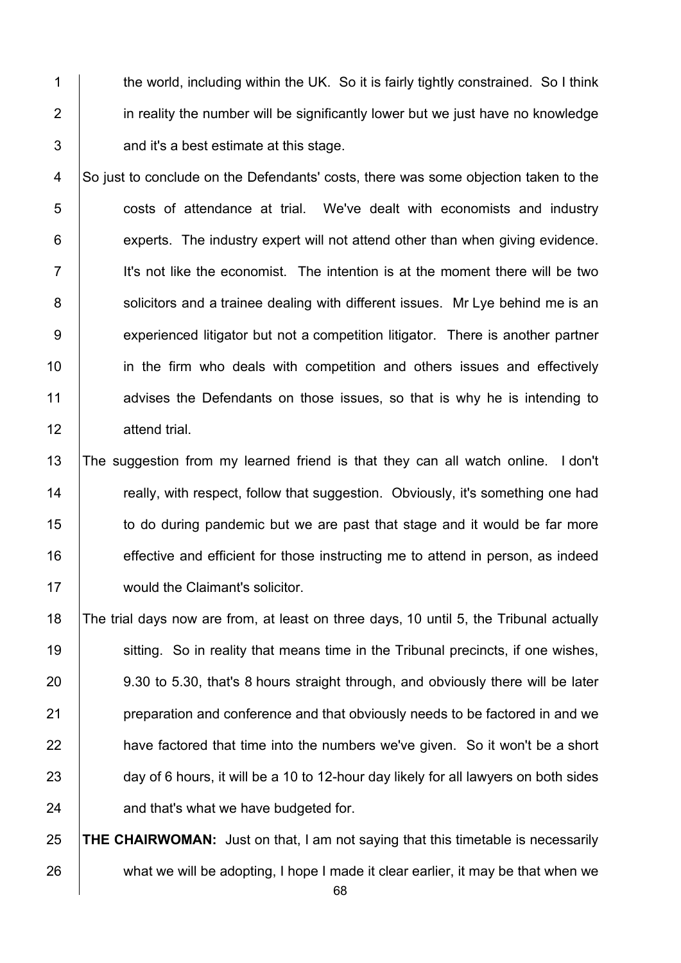1 the world, including within the UK. So it is fairly tightly constrained. So I think 2 **i** in reality the number will be significantly lower but we just have no knowledge  $3 \mid$  and it's a best estimate at this stage.

4 So just to conclude on the Defendants' costs, there was some objection taken to the 5 **6** costs of attendance at trial. We've dealt with economists and industry  $6$  experts. The industry expert will not attend other than when giving evidence.  $7$  I it's not like the economist. The intention is at the moment there will be two 8 Supersteright and a trainee dealing with different issues. Mr Lye behind me is an 9 | experienced litigator but not a competition litigator. There is another partner 10 **in the firm who deals with competition and others issues and effectively** 11 advises the Defendants on those issues, so that is why he is intending to 12 attend trial.

13 The suggestion from my learned friend is that they can all watch online. I don't 14 **Theory is example to really, with respect, follow that suggestion.** Obviously, it's something one had 15 to do during pandemic but we are past that stage and it would be far more 16 **effective and efficient for those instructing me to attend in person, as indeed** 17 | would the Claimant's solicitor.

18 The trial days now are from, at least on three days, 10 until 5, the Tribunal actually 19 Sitting. So in reality that means time in the Tribunal precincts, if one wishes, 20 9.30 to 5.30, that's 8 hours straight through, and obviously there will be later 21 **preparation and conference and that obviously needs to be factored in and we**  $22$  have factored that time into the numbers we've given. So it won't be a short 23 day of 6 hours, it will be a 10 to 12-hour day likely for all lawyers on both sides  $24$  and that's what we have budgeted for.

25 **THE CHAIRWOMAN:** Just on that, I am not saying that this timetable is necessarily 26 what we will be adopting, I hope I made it clear earlier, it may be that when we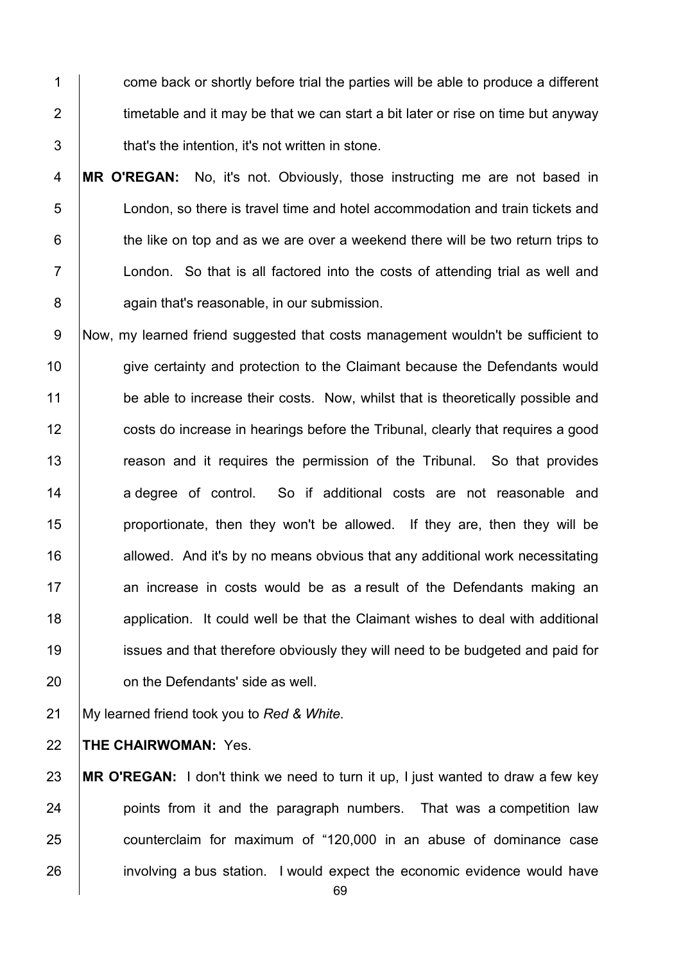1 come back or shortly before trial the parties will be able to produce a different 2  $\parallel$  timetable and it may be that we can start a bit later or rise on time but anyway 3 **that's the intention, it's not written in stone.** 

4 **MR O'REGAN:** No, it's not. Obviously, those instructing me are not based in 5 London, so there is travel time and hotel accommodation and train tickets and  $6$   $\vert$  the like on top and as we are over a weekend there will be two return trips to 7 London. So that is all factored into the costs of attending trial as well and 8 **again that's reasonable, in our submission.** 

9 Now, my learned friend suggested that costs management wouldn't be sufficient to 10 give certainty and protection to the Claimant because the Defendants would 11 be able to increase their costs. Now, whilst that is theoretically possible and 12 **costs do increase in hearings before the Tribunal, clearly that requires a good** 13 The reason and it requires the permission of the Tribunal. So that provides 14 a degree of control. So if additional costs are not reasonable and 15 **proportionate, then they won't be allowed.** If they are, then they will be 16  $\parallel$  allowed. And it's by no means obvious that any additional work necessitating 17 an increase in costs would be as a result of the Defendants making an 18 **18** application. It could well be that the Claimant wishes to deal with additional 19 issues and that therefore obviously they will need to be budgeted and paid for 20 **conting 1** on the Defendants' side as well.

21 My learned friend took you to *Red & White.*

22 **THE CHAIRWOMAN:** Yes.

 **MR O'REGAN:** I don't think we need to turn it up, I just wanted to draw a few key **points from it and the paragraph numbers.** That was a competition law **counterclaim for maximum of "120,000 in an abuse of dominance case** 26 involving a bus station. I would expect the economic evidence would have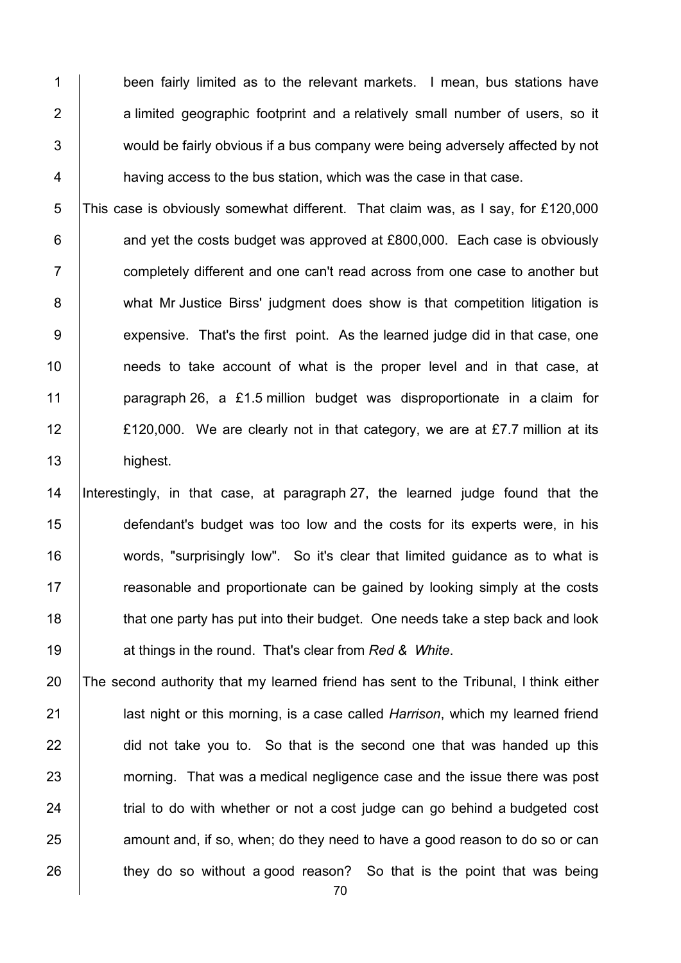1 been fairly limited as to the relevant markets. I mean, bus stations have 2 a limited geographic footprint and a relatively small number of users, so it 3 Would be fairly obvious if a bus company were being adversely affected by not 4 **having access to the bus station, which was the case in that case.** 

5 This case is obviously somewhat different. That claim was, as I say, for £120,000  $6$  and yet the costs budget was approved at £800,000. Each case is obviously 7 T completely different and one can't read across from one case to another but 8 what Mr Justice Birss' judgment does show is that competition litigation is 9 expensive. That's the first point. As the learned judge did in that case, one 10 | needs to take account of what is the proper level and in that case, at 11 **paragraph 26, a £1.5 million budget was disproportionate in a claim for** 12 **E**120,000. We are clearly not in that category, we are at £7.7 million at its 13 **highest**.

 Interestingly, in that case, at paragraph 27, the learned judge found that the 15 defendant's budget was too low and the costs for its experts were, in his words, "surprisingly low". So it's clear that limited guidance as to what is **Figure 2** reasonable and proportionate can be gained by looking simply at the costs 18 that one party has put into their budget. One needs take a step back and look at things in the round. That's clear from *Red & White*.

20 The second authority that my learned friend has sent to the Tribunal, I think either 21 last night or this morning, is a case called *Harrison*, which my learned friend 22 did not take you to. So that is the second one that was handed up this 23 morning. That was a medical negligence case and the issue there was post  $24$   $\parallel$  trial to do with whether or not a cost judge can go behind a budgeted cost  $25$  amount and, if so, when; do they need to have a good reason to do so or can  $26$  they do so without a good reason? So that is the point that was being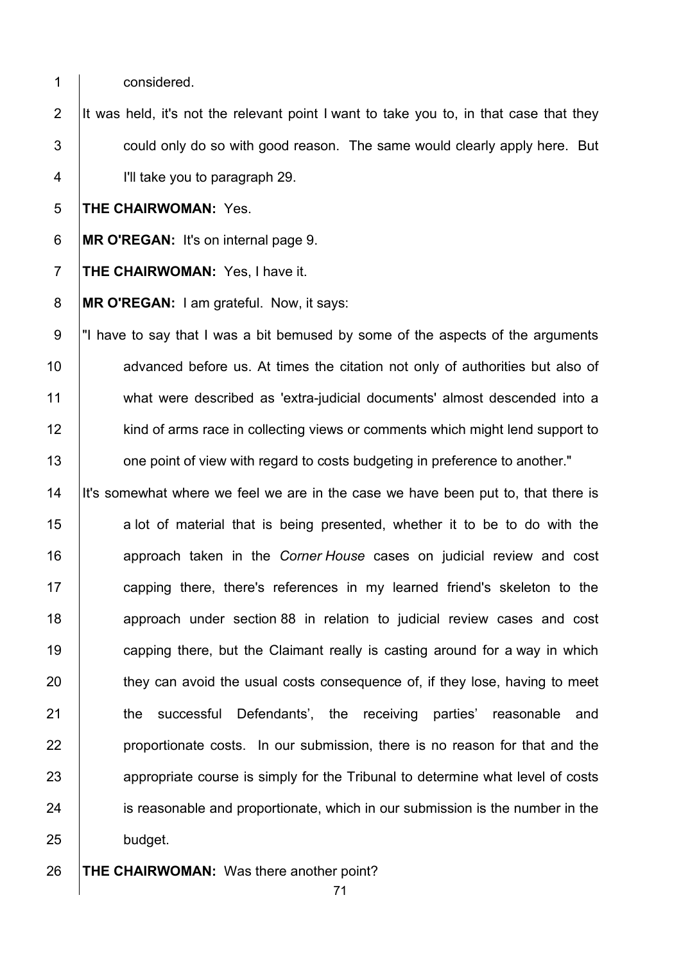1 considered.

2 It was held, it's not the relevant point I want to take you to, in that case that they  $3$   $\vert$  could only do so with good reason. The same would clearly apply here. But 4 I'll take you to paragraph 29.

5 **THE CHAIRWOMAN:** Yes.

6 **MR O'REGAN:** It's on internal page 9.

7 **THE CHAIRWOMAN:** Yes, I have it.

8 **MR O'REGAN:** I am grateful. Now, it says:

9  $\parallel$ "I have to say that I was a bit bemused by some of the aspects of the arguments 10 advanced before us. At times the citation not only of authorities but also of 11 what were described as 'extra-judicial documents' almost descended into a 12 kind of arms race in collecting views or comments which might lend support to 13 **1** one point of view with regard to costs budgeting in preference to another."

14 It's somewhat where we feel we are in the case we have been put to, that there is  $15$  a lot of material that is being presented, whether it to be to do with the 16 approach taken in the *Corner House* cases on judicial review and cost 17 **capping there, there's references in my learned friend's skeleton to the** 18 approach under section 88 in relation to judicial review cases and cost 19 **capping there, but the Claimant really is casting around for a way in which** 20 they can avoid the usual costs consequence of, if they lose, having to meet 21 **the successful Defendants'**, the receiving parties' reasonable and 22 **proportionate costs.** In our submission, there is no reason for that and the 23 appropriate course is simply for the Tribunal to determine what level of costs 24 is reasonable and proportionate, which in our submission is the number in the 25 budget.

26 **THE CHAIRWOMAN:** Was there another point?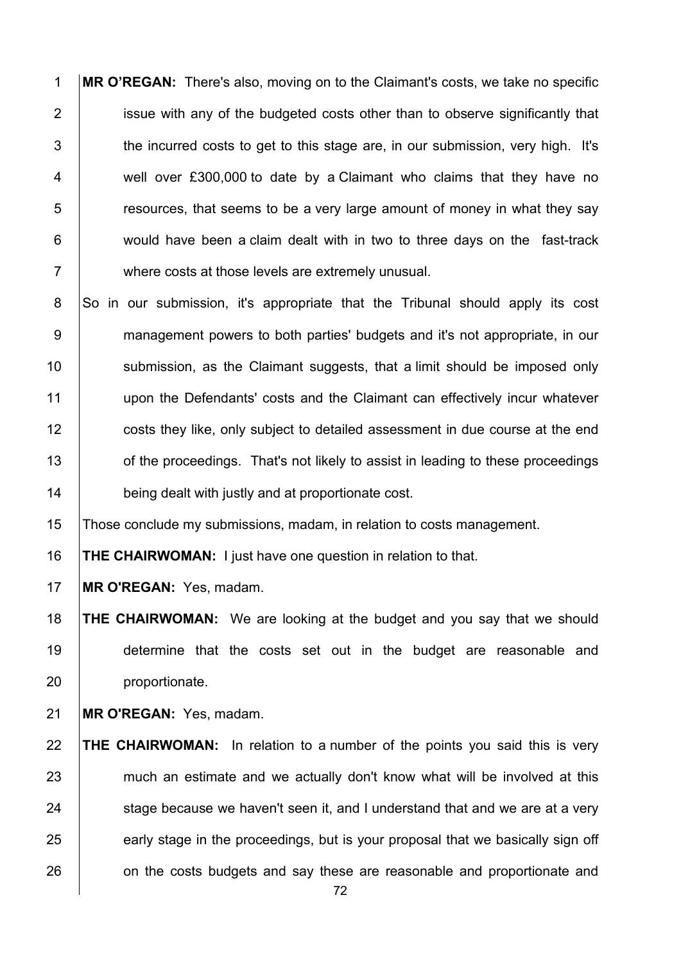**MR O'REGAN:** There's also, moving on to the Claimant's costs, we take no specific **i** issue with any of the budgeted costs other than to observe significantly that 3 the incurred costs to get to this stage are, in our submission, very high. It's 4 well over £300,000 to date by a Claimant who claims that they have no **Fig. 3** resources, that seems to be a very large amount of money in what they say **would have been a claim dealt with in two to three days on the fast-track** 7 where costs at those levels are extremely unusual.

8 So in our submission, it's appropriate that the Tribunal should apply its cost 9 management powers to both parties' budgets and it's not appropriate, in our 10 Submission, as the Claimant suggests, that a limit should be imposed only upon the Defendants' costs and the Claimant can effectively incur whatever **costs they like, only subject to detailed assessment in due course at the end** 13 of the proceedings. That's not likely to assist in leading to these proceedings **being dealt with justly and at proportionate cost.** 

Those conclude my submissions, madam, in relation to costs management.

**THE CHAIRWOMAN:** I just have one question in relation to that.

**MR O'REGAN:** Yes, madam.

 **THE CHAIRWOMAN:** We are looking at the budget and you say that we should determine that the costs set out in the budget are reasonable and **proportionate**.

**MR O'REGAN:** Yes, madam.

 **THE CHAIRWOMAN:** In relation to a number of the points you said this is very 23 much an estimate and we actually don't know what will be involved at this stage because we haven't seen it, and I understand that and we are at a very early stage in the proceedings, but is your proposal that we basically sign off 26 on the costs budgets and say these are reasonable and proportionate and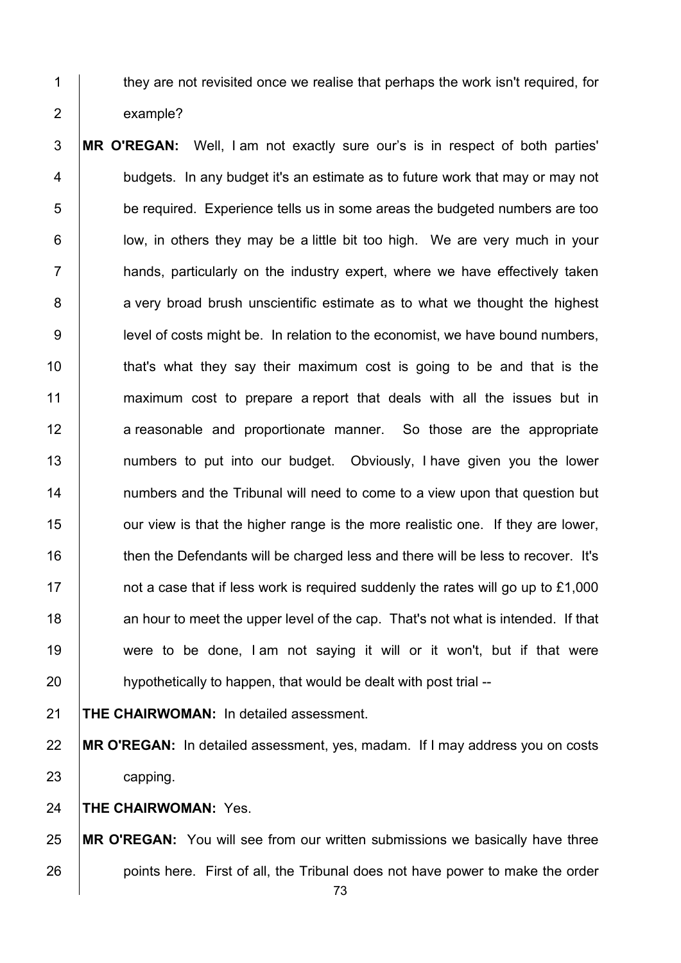1 they are not revisited once we realise that perhaps the work isn't required, for 2 example?

3 **MR O'REGAN:** Well, I am not exactly sure our's is in respect of both parties'  $4$  | budgets. In any budget it's an estimate as to future work that may or may not  $5$  be required. Experience tells us in some areas the budgeted numbers are too 6 | low, in others they may be a little bit too high. We are very much in your  $7$   $\parallel$  hands, particularly on the industry expert, where we have effectively taken  $8$  | a very broad brush unscientific estimate as to what we thought the highest 9 | level of costs might be. In relation to the economist, we have bound numbers,  $10$  that's what they say their maximum cost is going to be and that is the 11 maximum cost to prepare a report that deals with all the issues but in 12 a reasonable and proportionate manner. So those are the appropriate 13 | numbers to put into our budget. Obviously, I have given you the lower 14 | numbers and the Tribunal will need to come to a view upon that question but 15 **our view is that the higher range is the more realistic one. If they are lower,** 16 then the Defendants will be charged less and there will be less to recover. It's 17 **1** not a case that if less work is required suddenly the rates will go up to £1,000 18 an hour to meet the upper level of the cap. That's not what is intended. If that 19 were to be done, I am not saying it will or it won't, but if that were 20 **hypothetically to happen, that would be dealt with post trial** --

21 **THE CHAIRWOMAN:** In detailed assessment.

22 **MR O'REGAN:** In detailed assessment, yes, madam. If I may address you on costs 23 **capping.** 

24 **THE CHAIRWOMAN:** Yes.

25 **MR O'REGAN:** You will see from our written submissions we basically have three 26 **points here.** First of all, the Tribunal does not have power to make the order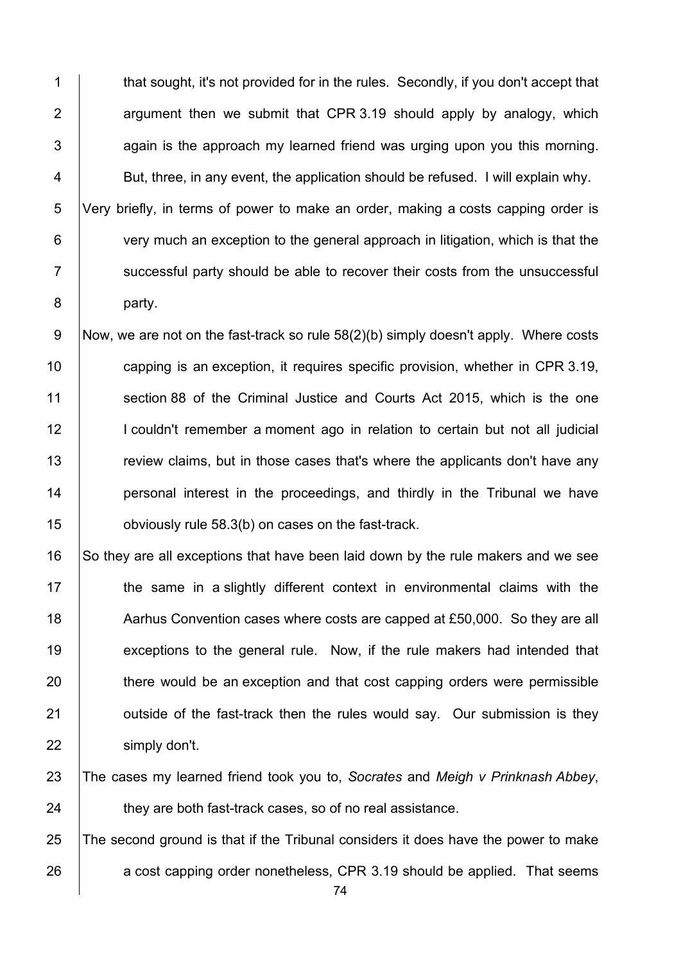1 that sought, it's not provided for in the rules. Secondly, if you don't accept that 2  $\vert$  argument then we submit that CPR 3.19 should apply by analogy, which  $3$   $\vert$  again is the approach my learned friend was urging upon you this morning.  $4$  | But, three, in any event, the application should be refused. I will explain why. 5 Very briefly, in terms of power to make an order, making a costs capping order is 6 very much an exception to the general approach in litigation, which is that the 7 | successful party should be able to recover their costs from the unsuccessful 8 party.

9 Now, we are not on the fast-track so rule  $58(2)(b)$  simply doesn't apply. Where costs 10 **capping is an exception, it requires specific provision, whether in CPR 3.19,** 11 Section 88 of the Criminal Justice and Courts Act 2015, which is the one 12 | I couldn't remember a moment ago in relation to certain but not all judicial 13 The view claims, but in those cases that's where the applicants don't have any 14 **personal interest in the proceedings, and thirdly in the Tribunal we have** 15 **building** obviously rule 58.3(b) on cases on the fast-track.

16 So they are all exceptions that have been laid down by the rule makers and we see 17 the same in a slightly different context in environmental claims with the 18 Aarhus Convention cases where costs are capped at £50,000. So they are all 19 exceptions to the general rule. Now, if the rule makers had intended that 20 there would be an exception and that cost capping orders were permissible  $21$   $\vert$  outside of the fast-track then the rules would say. Our submission is they 22 simply don't.

23 The cases my learned friend took you to, *Socrates* and *Meigh v Prinknash Abbey*, 24 **they are both fast-track cases, so of no real assistance.** 

25 The second ground is that if the Tribunal considers it does have the power to make 26 a cost capping order nonetheless, CPR 3.19 should be applied. That seems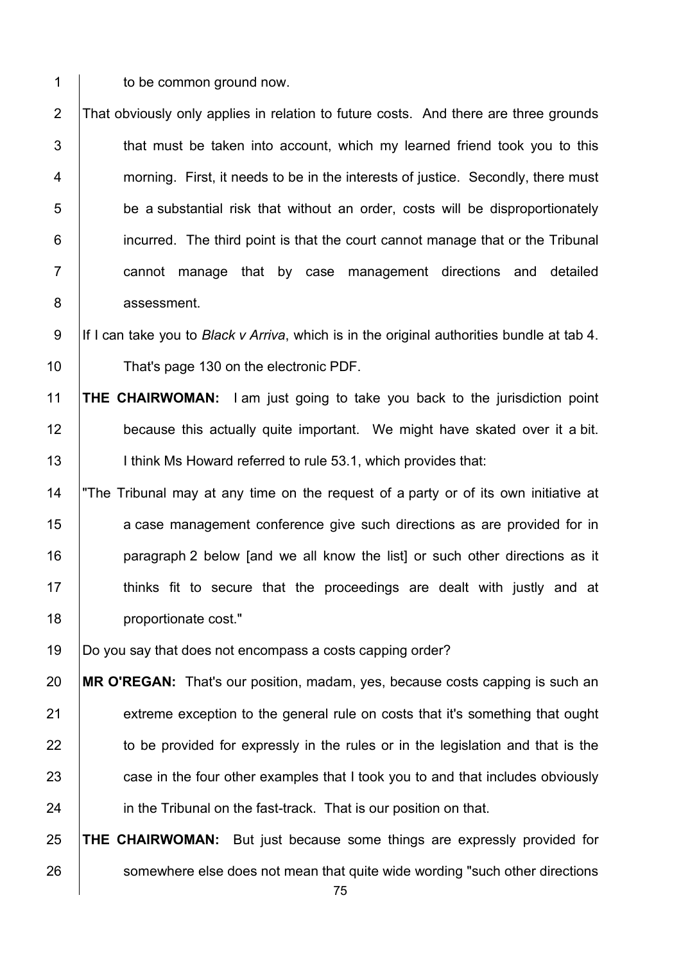1 | to be common ground now.

2 That obviously only applies in relation to future costs. And there are three grounds  $3$   $\vert$  that must be taken into account, which my learned friend took you to this 4 **morning.** First, it needs to be in the interests of justice. Secondly, there must  $5$   $\vert$  be a substantial risk that without an order, costs will be disproportionately 6 **i** incurred. The third point is that the court cannot manage that or the Tribunal 7 | cannot manage that by case management directions and detailed 8 assessment.

9 If I can take you to *Black v Arriva*, which is in the original authorities bundle at tab 4. 10 **That's page 130 on the electronic PDF.** 

11 **THE CHAIRWOMAN:** I am just going to take you back to the jurisdiction point 12 **because this actually quite important.** We might have skated over it a bit. 13 | I think Ms Howard referred to rule 53.1, which provides that:

14 "The Tribunal may at any time on the request of a party or of its own initiative at 15 **a** case management conference give such directions as are provided for in 16 **paragraph 2 below [and we all know the list] or such other directions as it** 17 | thinks fit to secure that the proceedings are dealt with justly and at 18 | proportionate cost."

19 Do you say that does not encompass a costs capping order?

20 **MR O'REGAN:** That's our position, madam, yes, because costs capping is such an 21 extreme exception to the general rule on costs that it's something that ought 22 to be provided for expressly in the rules or in the legislation and that is the 23 case in the four other examples that I took you to and that includes obviously 24 **in the Tribunal on the fast-track.** That is our position on that.

25 **THE CHAIRWOMAN:** But just because some things are expressly provided for 26 somewhere else does not mean that quite wide wording "such other directions"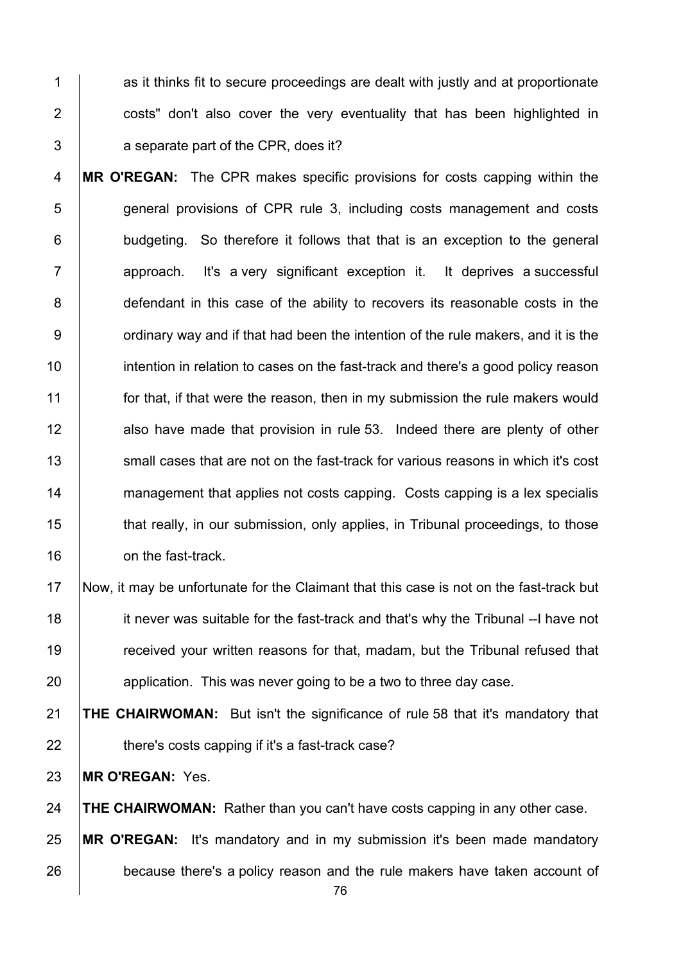1 as it thinks fit to secure proceedings are dealt with justly and at proportionate 2 **costs** don't also cover the very eventuality that has been highlighted in 3 a separate part of the CPR, does it?

4 **MR O'REGAN:** The CPR makes specific provisions for costs capping within the 5 **general provisions of CPR rule 3, including costs management and costs** 6 **budgeting.** So therefore it follows that that is an exception to the general 7 | approach. It's a very significant exception it. It deprives a successful 8 defendant in this case of the ability to recovers its reasonable costs in the  $9 \mid$  ordinary way and if that had been the intention of the rule makers, and it is the 10 intention in relation to cases on the fast-track and there's a good policy reason 11 **for that, if that were the reason, then in my submission the rule makers would** 12 also have made that provision in rule 53. Indeed there are plenty of other 13  $\parallel$  small cases that are not on the fast-track for various reasons in which it's cost 14 management that applies not costs capping. Costs capping is a lex specialis 15 that really, in our submission, only applies, in Tribunal proceedings, to those 16 **b** on the fast-track.

 Now, it may be unfortunate for the Claimant that this case is not on the fast-track but **ignor** it never was suitable for the fast-track and that's why the Tribunal --I have not 19 Thereform of the reasons for that, madam, but the Tribunal refused that **application.** This was never going to be a two to three day case.

21 **THE CHAIRWOMAN:** But isn't the significance of rule 58 that it's mandatory that 22 **there's costs capping if it's a fast-track case?** 

23 **MR O'REGAN:** Yes.

24 **THE CHAIRWOMAN:** Rather than you can't have costs capping in any other case.

25 **MR O'REGAN:** It's mandatory and in my submission it's been made mandatory 26 because there's a policy reason and the rule makers have taken account of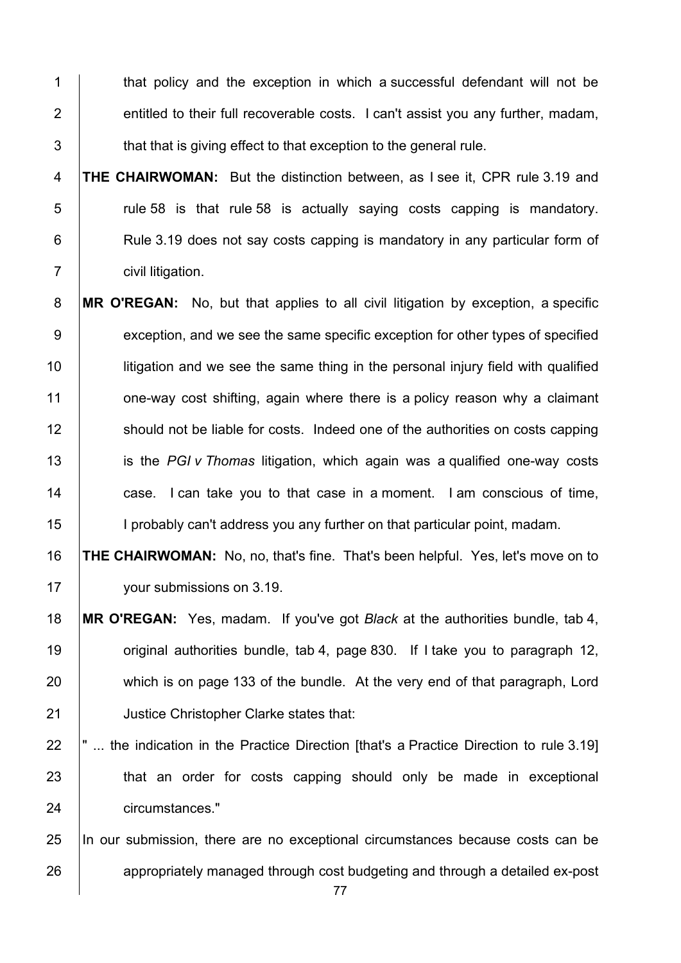1 that policy and the exception in which a successful defendant will not be  $\parallel$  entitled to their full recoverable costs. I can't assist you any further, madam,  $\parallel$  that that is giving effect to that exception to the general rule.

**THE CHAIRWOMAN:** But the distinction between, as I see it, CPR rule 3.19 and  $\vert$  rule 58 is that rule 58 is actually saying costs capping is mandatory. **Rule 3.19 does not say costs capping is mandatory in any particular form of civil litigation.** 

**MR O'REGAN:** No, but that applies to all civil litigation by exception, a specific 9 exception, and we see the same specific exception for other types of specified **let is unity-** litigation and we see the same thing in the personal injury field with qualified **1** one-way cost shifting, again where there is a policy reason why a claimant 12 Should not be liable for costs. Indeed one of the authorities on costs capping is the *PGI v Thomas* litigation, which again was a qualified one-way costs **case.** I can take you to that case in a moment. I am conscious of time, 15 | I probably can't address you any further on that particular point, madam.

 **THE CHAIRWOMAN:** No, no, that's fine. That's been helpful. Yes, let's move on to 17 vour submissions on 3.19.

- **MR O'REGAN:** Yes, madam. If you've got *Black* at the authorities bundle, tab 4, **19** original authorities bundle, tab 4, page 830. If I take you to paragraph 12, 20 which is on page 133 of the bundle. At the very end of that paragraph, Lord **Justice Christopher Clarke states that:**
- $\parallel$ " ... the indication in the Practice Direction [that's a Practice Direction to rule 3.19] **that an order for costs capping should only be made in exceptional** circumstances."

 In our submission, there are no exceptional circumstances because costs can be 26 appropriately managed through cost budgeting and through a detailed ex-post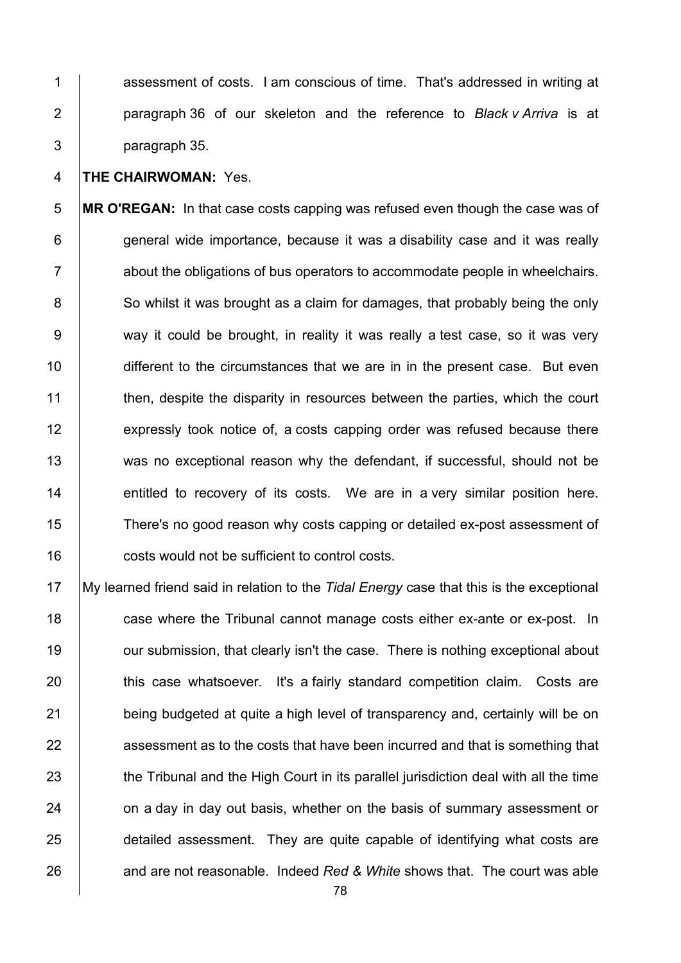1 assessment of costs. I am conscious of time. That's addressed in writing at 2 paragraph 36 of our skeleton and the reference to *Black v Arriva* is at 3 paragraph 35.

#### 4 **THE CHAIRWOMAN:** Yes.

5 **MR O'REGAN:** In that case costs capping was refused even though the case was of 6 **general wide importance, because it was a disability case and it was really** 7 about the obligations of bus operators to accommodate people in wheelchairs. 8 So whilst it was brought as a claim for damages, that probably being the only 9 way it could be brought, in reality it was really a test case, so it was very 10 different to the circumstances that we are in in the present case. But even 11 then, despite the disparity in resources between the parties, which the court 12 expressly took notice of, a costs capping order was refused because there 13 was no exceptional reason why the defendant, if successful, should not be 14 **entitled to recovery of its costs.** We are in a very similar position here. 15 There's no good reason why costs capping or detailed ex-post assessment of 16 **costs would not be sufficient to control costs.** 

17 My learned friend said in relation to the *Tidal Energy* case that this is the exceptional 18 **case where the Tribunal cannot manage costs either ex-ante or ex-post.** In 19 **July 20** our submission, that clearly isn't the case. There is nothing exceptional about 20 this case whatsoever. It's a fairly standard competition claim. Costs are 21 being budgeted at quite a high level of transparency and, certainly will be on 22 assessment as to the costs that have been incurred and that is something that 23 the Tribunal and the High Court in its parallel jurisdiction deal with all the time 24 on a day in day out basis, whether on the basis of summary assessment or 25 detailed assessment. They are quite capable of identifying what costs are 26 and are not reasonable. Indeed Red & White shows that. The court was able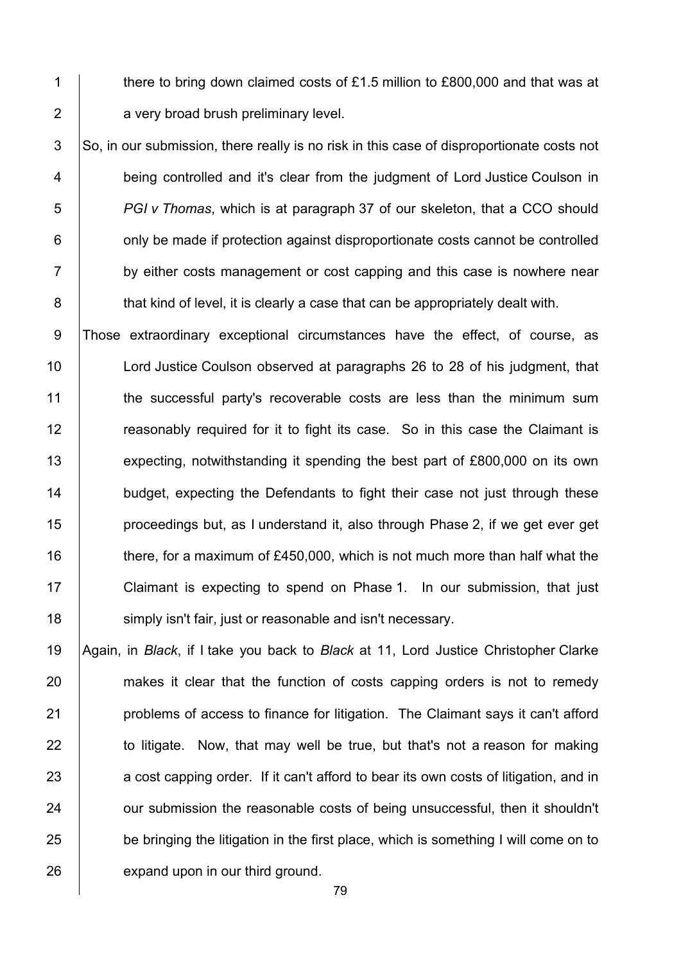1 there to bring down claimed costs of £1.5 million to £800,000 and that was at 2 **a** very broad brush preliminary level.

 So, in our submission, there really is no risk in this case of disproportionate costs not **being controlled and it's clear from the judgment of Lord Justice Coulson in** *PGI v Thomas*, which is at paragraph 37 of our skeleton, that a CCO should  $\vert$  only be made if protection against disproportionate costs cannot be controlled 7 by either costs management or cost capping and this case is nowhere near **that kind of level, it is clearly a case that can be appropriately dealt with.** 

9 Those extraordinary exceptional circumstances have the effect, of course, as 10 **Lord Justice Coulson observed at paragraphs 26 to 28 of his judgment, that** 11 the successful party's recoverable costs are less than the minimum sum 12 The reasonably required for it to fight its case. So in this case the Claimant is 13 expecting, notwithstanding it spending the best part of £800,000 on its own 14 **budget, expecting the Defendants to fight their case not just through these** 15 **proceedings but, as I understand it, also through Phase 2, if we get ever get** 16 there, for a maximum of £450,000, which is not much more than half what the 17 | Claimant is expecting to spend on Phase 1. In our submission, that just 18 **Soluty 18** simply isn't fair, just or reasonable and isn't necessary.

19 Again, in *Black*, if I take you back to *Black* at 11, Lord Justice Christopher Clarke 20 makes it clear that the function of costs capping orders is not to remedy 21 **problems of access to finance for litigation.** The Claimant says it can't afford  $22$  to litigate. Now, that may well be true, but that's not a reason for making 23 a cost capping order. If it can't afford to bear its own costs of litigation, and in 24 **our submission the reasonable costs of being unsuccessful, then it shouldn't** 25 be bringing the litigation in the first place, which is something I will come on to 26 expand upon in our third ground.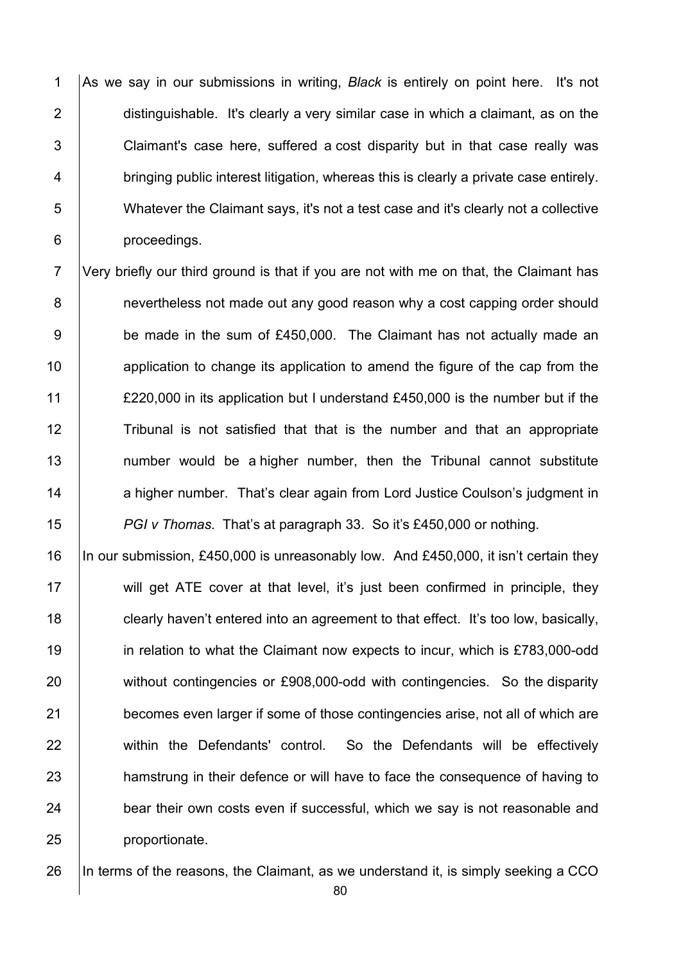1 As we say in our submissions in writing, *Black* is entirely on point here. It's not 2 distinguishable. It's clearly a very similar case in which a claimant, as on the 3 Claimant's case here, suffered a cost disparity but in that case really was 4 **bringing public interest litigation, whereas this is clearly a private case entirely.** 5 Whatever the Claimant says, it's not a test case and it's clearly not a collective 6 proceedings.

7 Very briefly our third ground is that if you are not with me on that, the Claimant has 8 **budge 1** nevertheless not made out any good reason why a cost capping order should 9 be made in the sum of £450,000. The Claimant has not actually made an 10 10 application to change its application to amend the figure of the cap from the 11 £220,000 in its application but I understand £450,000 is the number but if the 12 Tribunal is not satisfied that that is the number and that an appropriate 13 | number would be a higher number, then the Tribunal cannot substitute 14 a higher number. That's clear again from Lord Justice Coulson's judgment in 15 *PGI v Thomas*. That's at paragraph 33. So it's £450,000 or nothing.

16 In our submission, £450,000 is unreasonably low. And £450,000, it isn't certain they 17 Will get ATE cover at that level, it's just been confirmed in principle, they 18 **clearly haven't entered into an agreement to that effect.** It's too low, basically, 19 **in relation to what the Claimant now expects to incur, which is £783,000-odd** 20 without contingencies or £908,000-odd with contingencies. So the disparity 21 becomes even larger if some of those contingencies arise, not all of which are 22 | within the Defendants' control. So the Defendants will be effectively 23 hamstrung in their defence or will have to face the consequence of having to 24 bear their own costs even if successful, which we say is not reasonable and 25 **proportionate.** 

26 In terms of the reasons, the Claimant, as we understand it, is simply seeking a CCO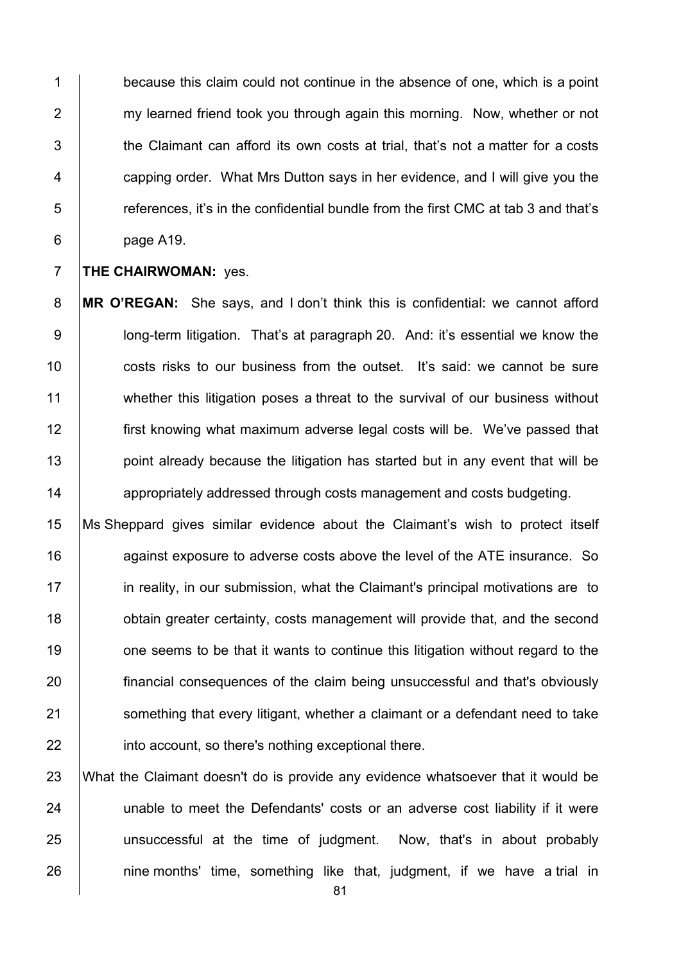1 because this claim could not continue in the absence of one, which is a point 2 my learned friend took you through again this morning. Now, whether or not  $\parallel$  the Claimant can afford its own costs at trial, that's not a matter for a costs **Fig. 2** capping order. What Mrs Dutton says in her evidence, and I will give you the references, it's in the confidential bundle from the first CMC at tab 3 and that's 6 page A19.

**THE CHAIRWOMAN:** ves.

**MR O'REGAN:** She says, and I don't think this is confidential: we cannot afford 9 long-term litigation. That's at paragraph 20. And: it's essential we know the **costs risks to our business from the outset.** It's said: we cannot be sure 11 whether this litigation poses a threat to the survival of our business without **first knowing what maximum adverse legal costs will be.** We've passed that 13 | point already because the litigation has started but in any event that will be **14** appropriately addressed through costs management and costs budgeting.

 Ms Sheppard gives similar evidence about the Claimant's wish to protect itself 16 16 against exposure to adverse costs above the level of the ATE insurance. So **in reality, in our submission, what the Claimant's principal motivations are to bubb** obtain greater certainty, costs management will provide that, and the second **19** one seems to be that it wants to continue this litigation without regard to the financial consequences of the claim being unsuccessful and that's obviously 21 Something that every litigant, whether a claimant or a defendant need to take **into account, so there's nothing exceptional there.** 

 What the Claimant doesn't do is provide any evidence whatsoever that it would be **unable to meet the Defendants' costs or an adverse cost liability if it were** 25 | unsuccessful at the time of judgment. Now, that's in about probably | nine months' time, something like that, judgment, if we have a trial in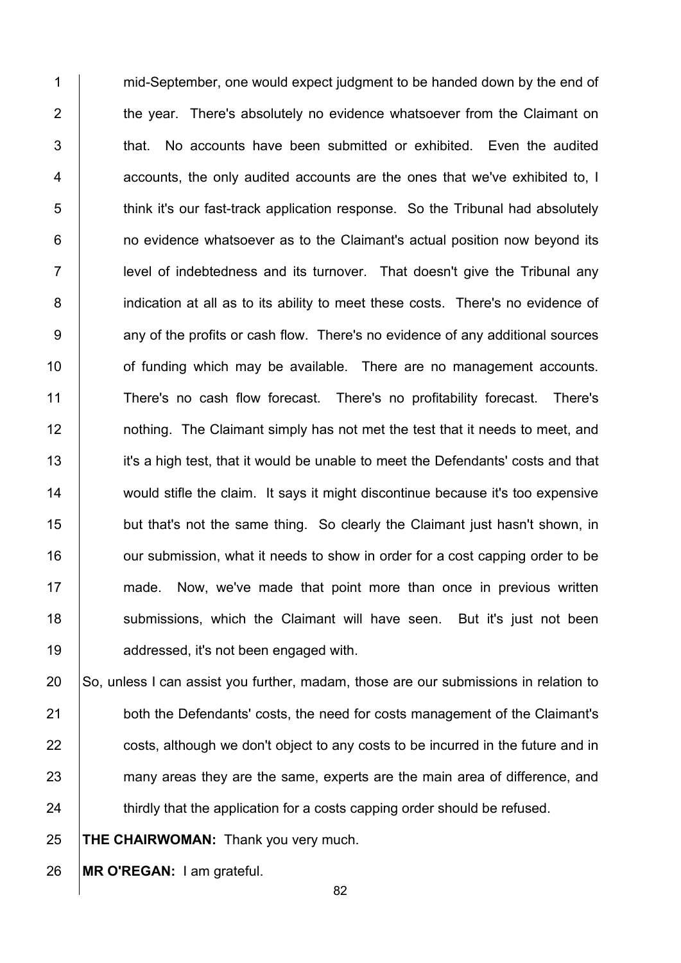1 mid-September, one would expect judgment to be handed down by the end of 2 the year. There's absolutely no evidence whatsoever from the Claimant on  $3$   $\vert$  that. No accounts have been submitted or exhibited. Even the audited 4 accounts, the only audited accounts are the ones that we've exhibited to, I 5 think it's our fast-track application response. So the Tribunal had absolutely 6 **1** no evidence whatsoever as to the Claimant's actual position now beyond its 7 | level of indebtedness and its turnover. That doesn't give the Tribunal any 8 indication at all as to its ability to meet these costs. There's no evidence of 9 <br>9 any of the profits or cash flow. There's no evidence of any additional sources 10 **10** of funding which may be available. There are no management accounts. 11 There's no cash flow forecast. There's no profitability forecast. There's 12 **12** nothing. The Claimant simply has not met the test that it needs to meet, and 13 it's a high test, that it would be unable to meet the Defendants' costs and that 14 would stifle the claim. It says it might discontinue because it's too expensive 15 **but that's not the same thing.** So clearly the Claimant just hasn't shown, in 16 **16** our submission, what it needs to show in order for a cost capping order to be 17 made. Now, we've made that point more than once in previous written 18 | submissions, which the Claimant will have seen. But it's just not been 19 **addressed, it's not been engaged with.** 

20 So, unless I can assist you further, madam, those are our submissions in relation to 21 both the Defendants' costs, the need for costs management of the Claimant's 22 costs, although we don't object to any costs to be incurred in the future and in 23 many areas they are the same, experts are the main area of difference, and 24 thirdly that the application for a costs capping order should be refused.

25 **THE CHAIRWOMAN:** Thank you very much.

26 **MR O'REGAN:** I am grateful.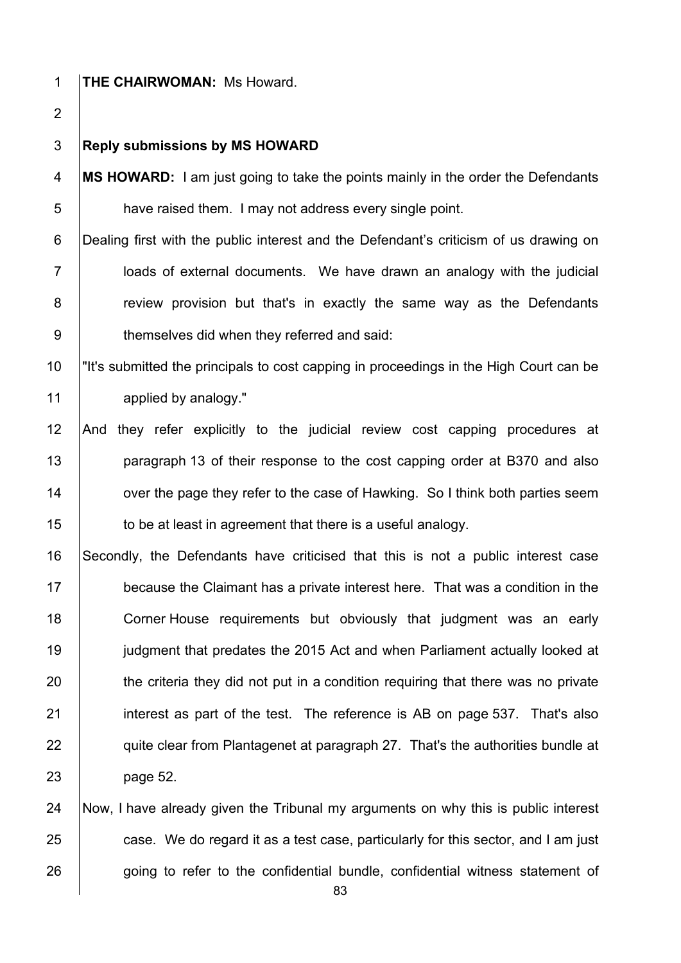### **THE CHAIRWOMAN:** Ms Howard.

#### **Reply submissions by MS HOWARD**

**MS HOWARD:** I am just going to take the points mainly in the order the Defendants **have raised them. I may not address every single point.** 

6 Dealing first with the public interest and the Defendant's criticism of us drawing on 7 loads of external documents. We have drawn an analogy with the judicial **8** review provision but that's in exactly the same way as the Defendants **b** themselves did when they referred and said:

 "It's submitted the principals to cost capping in proceedings in the High Court can be 11 applied by analogy."

 And they refer explicitly to the judicial review cost capping procedures at **paragraph 13 of their response to the cost capping order at B370 and also over the page they refer to the case of Hawking. So I think both parties seem to be at least in agreement that there is a useful analogy.** 

 Secondly, the Defendants have criticised that this is not a public interest case **because the Claimant has a private interest here.** That was a condition in the **Corner House requirements but obviously that judgment was an early judgment that predates the 2015 Act and when Parliament actually looked at**  the criteria they did not put in a condition requiring that there was no private 21 interest as part of the test. The reference is AB on page 537. That's also **quite clear from Plantagenet at paragraph 27. That's the authorities bundle at** page 52.

 Now, I have already given the Tribunal my arguments on why this is public interest  $\Box$  case. We do regard it as a test case, particularly for this sector, and I am just 26 going to refer to the confidential bundle, confidential witness statement of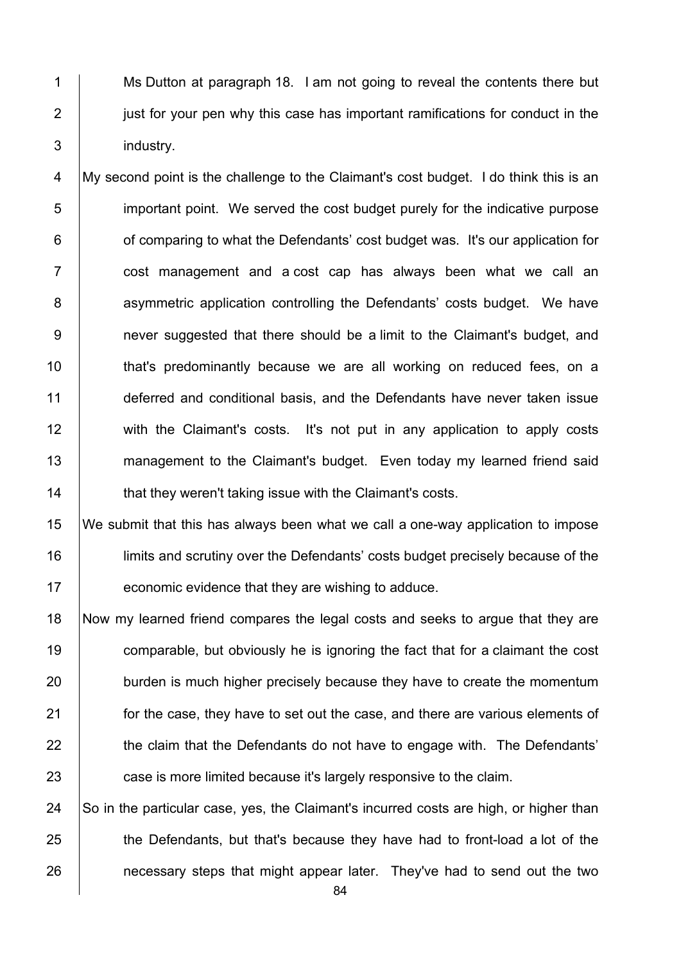1 Ms Dutton at paragraph 18. I am not going to reveal the contents there but 2 **just for your pen why this case has important ramifications for conduct in the** 3 industry.

4 My second point is the challenge to the Claimant's cost budget. I do think this is an 5 **important point.** We served the cost budget purely for the indicative purpose 6 **6** of comparing to what the Defendants' cost budget was. It's our application for 7 | cost management and a cost cap has always been what we call an 8 asymmetric application controlling the Defendants' costs budget. We have 9 **9** never suggested that there should be a limit to the Claimant's budget, and 10 **that's predominantly because we are all working on reduced fees, on a** 11 deferred and conditional basis, and the Defendants have never taken issue 12 with the Claimant's costs. It's not put in any application to apply costs 13 management to the Claimant's budget. Even today my learned friend said 14 **that they weren't taking issue with the Claimant's costs.** 

15 We submit that this has always been what we call a one-way application to impose 16 limits and scrutiny over the Defendants' costs budget precisely because of the 17 **Fig.** economic evidence that they are wishing to adduce.

 Now my learned friend compares the legal costs and seeks to argue that they are **comparable, but obviously he is ignoring the fact that for a claimant the cost** 20 burden is much higher precisely because they have to create the momentum **for the case, they have to set out the case, and there are various elements of** 22 the claim that the Defendants do not have to engage with. The Defendants' **case is more limited because it's largely responsive to the claim.** 

24  $\vert$  So in the particular case, yes, the Claimant's incurred costs are high, or higher than 25 the Defendants, but that's because they have had to front-load a lot of the 26 **necessary steps that might appear later.** They've had to send out the two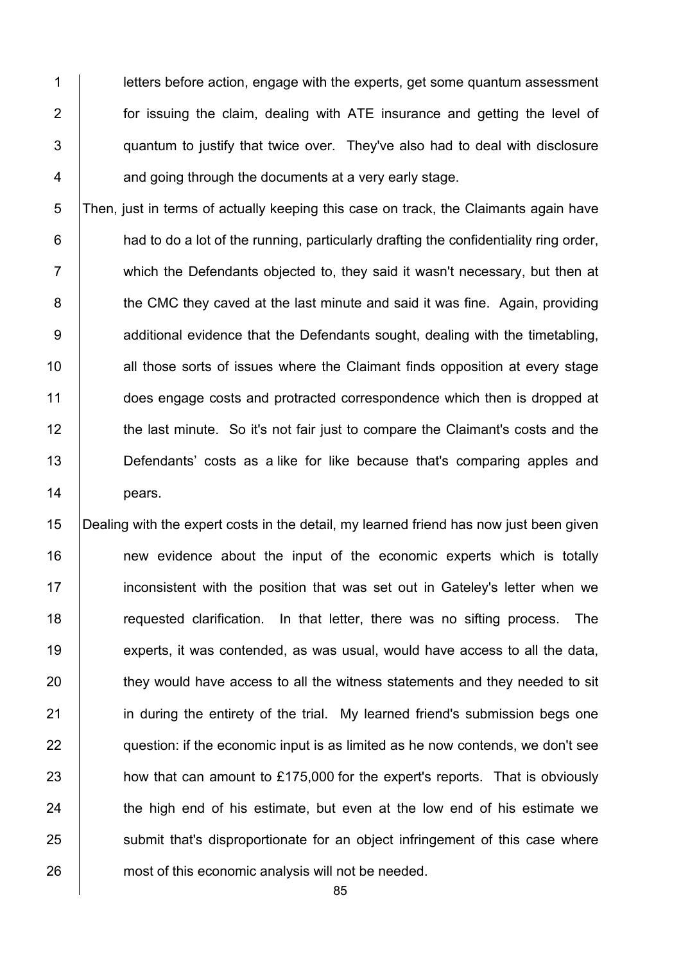**letters before action, engage with the experts, get some quantum assessment for issuing the claim, dealing with ATE insurance and getting the level of** 3 | quantum to justify that twice over. They've also had to deal with disclosure **4 and going through the documents at a very early stage.** 

5 Then, just in terms of actually keeping this case on track, the Claimants again have  $6$  had to do a lot of the running, particularly drafting the confidentiality ring order, 7 which the Defendants objected to, they said it wasn't necessary, but then at 8 **the CMC** they caved at the last minute and said it was fine. Again, providing 9 **Arror** additional evidence that the Defendants sought, dealing with the timetabling, 10 | all those sorts of issues where the Claimant finds opposition at every stage 11 does engage costs and protracted correspondence which then is dropped at 12 the last minute. So it's not fair just to compare the Claimant's costs and the 13 **Defendants'** costs as a like for like because that's comparing apples and 14 pears.

15 Dealing with the expert costs in the detail, my learned friend has now just been given 16 **new** evidence about the input of the economic experts which is totally 17 **i** inconsistent with the position that was set out in Gateley's letter when we 18 The requested clarification. In that letter, there was no sifting process. The 19 experts, it was contended, as was usual, would have access to all the data, 20 they would have access to all the witness statements and they needed to sit 21 **in during the entirety of the trial.** My learned friend's submission begs one  $22$   $\Box$  question: if the economic input is as limited as he now contends, we don't see  $23$  how that can amount to £175,000 for the expert's reports. That is obviously 24 the high end of his estimate, but even at the low end of his estimate we 25 Submit that's disproportionate for an object infringement of this case where 26 **most of this economic analysis will not be needed.**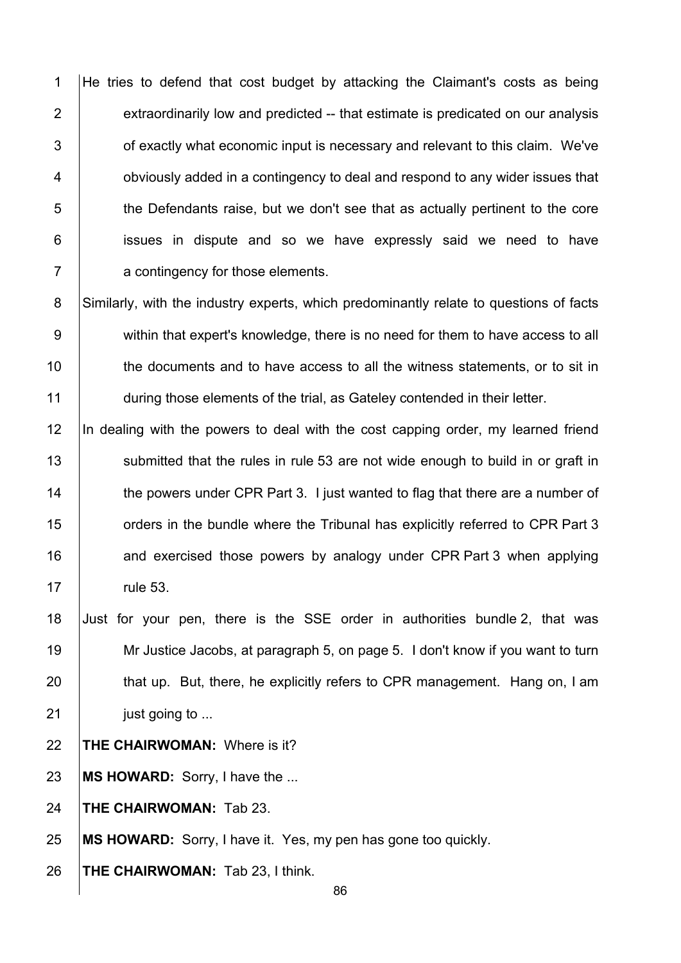1 He tries to defend that cost budget by attacking the Claimant's costs as being  $\parallel$  extraordinarily low and predicted -- that estimate is predicated on our analysis  $\vert$  of exactly what economic input is necessary and relevant to this claim. We've **budge 1** obviously added in a contingency to deal and respond to any wider issues that 5 the Defendants raise, but we don't see that as actually pertinent to the core **i** issues in dispute and so we have expressly said we need to have **A** a contingency for those elements.

8 Similarly, with the industry experts, which predominantly relate to questions of facts 9 within that expert's knowledge, there is no need for them to have access to all 10 the documents and to have access to all the witness statements, or to sit in 11 during those elements of the trial, as Gateley contended in their letter.

12 In dealing with the powers to deal with the cost capping order, my learned friend 13 Submitted that the rules in rule 53 are not wide enough to build in or graft in 14 the powers under CPR Part 3. I just wanted to flag that there are a number of 15 **Fig. 2** orders in the bundle where the Tribunal has explicitly referred to CPR Part 3 16 **and exercised those powers by analogy under CPR Part 3 when applying** 17 | rule 53.

 Just for your pen, there is the SSE order in authorities bundle 2, that was Mr Justice Jacobs, at paragraph 5, on page 5. I don't know if you want to turn 20 that up. But, there, he explicitly refers to CPR management. Hang on, I am **just going to ...** 

22 **THE CHAIRWOMAN:** Where is it?

23 **MS HOWARD:** Sorry, I have the ...

24 **THE CHAIRWOMAN:** Tab 23.

25 **MS HOWARD:** Sorry, I have it. Yes, my pen has gone too quickly.

26 **THE CHAIRWOMAN:** Tab 23, I think.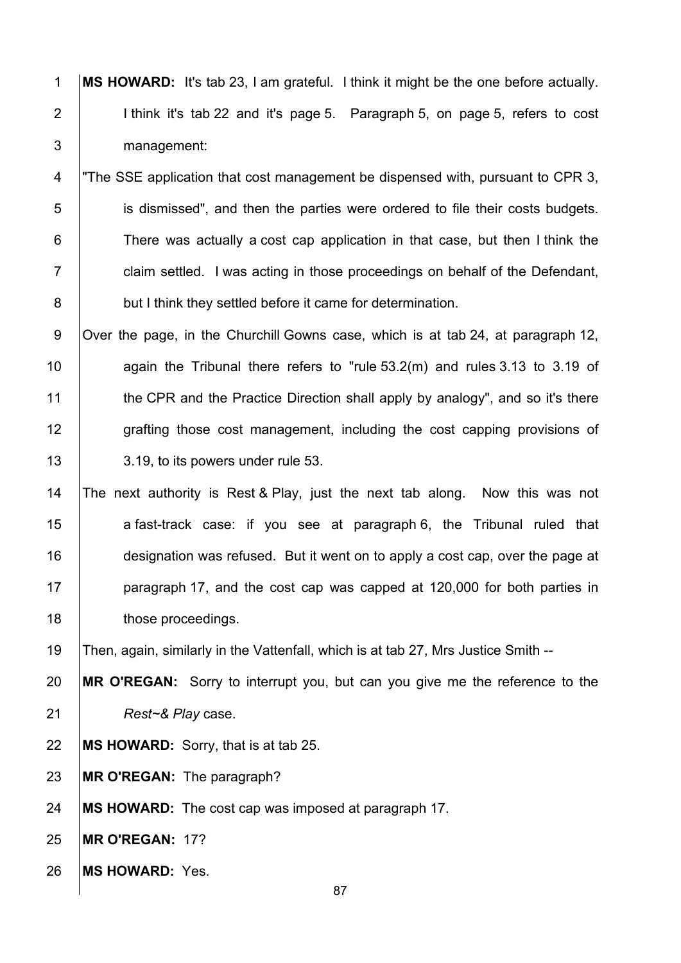**MS HOWARD:** It's tab 23, I am grateful. I think it might be the one before actually.  $\vert$  I think it's tab 22 and it's page 5. Paragraph 5, on page 5, refers to cost 3 management:

4 The SSE application that cost management be dispensed with, pursuant to CPR 3, 5 is dismissed", and then the parties were ordered to file their costs budgets. 6 There was actually a cost cap application in that case, but then I think the **Fig. 2** claim settled. I was acting in those proceedings on behalf of the Defendant, **but I think they settled before it came for determination.** 

9 Over the page, in the Churchill Gowns case, which is at tab 24, at paragraph 12, 10  $\parallel$  again the Tribunal there refers to "rule 53.2(m) and rules 3.13 to 3.19 of 11 the CPR and the Practice Direction shall apply by analogy", and so it's there 12 grafting those cost management, including the cost capping provisions of 13 3.19, to its powers under rule 53.

 The next authority is Rest & Play, just the next tab along. Now this was not 15 a fast-track case: if you see at paragraph 6, the Tribunal ruled that **designation was refused.** But it went on to apply a cost cap, over the page at **paragraph 17, and the cost cap was capped at 120,000 for both parties in those proceedings.** 

Then, again, similarly in the Vattenfall, which is at tab 27, Mrs Justice Smith --

 **MR O'REGAN:** Sorry to interrupt you, but can you give me the reference to the *Rest~& Play* case.

**MS HOWARD:** Sorry, that is at tab 25.

**MR O'REGAN:** The paragraph?

**MS HOWARD:** The cost cap was imposed at paragraph 17.

**MR O'REGAN:** 17?

**MS HOWARD:** Yes.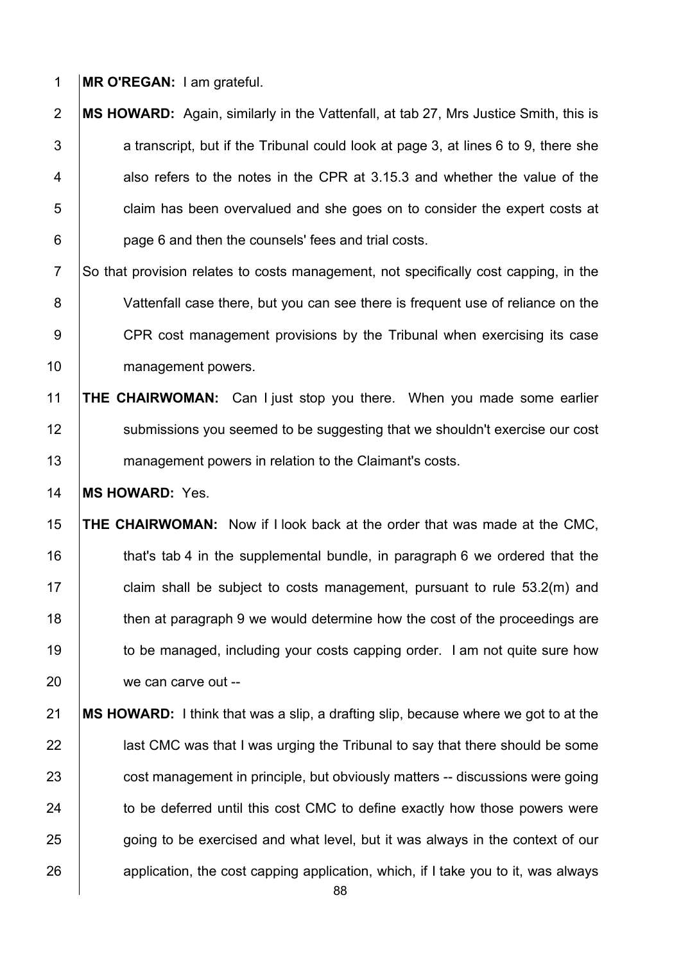1 **MR O'REGAN:** I am grateful.

- 2 **MS HOWARD:** Again, similarly in the Vattenfall, at tab 27, Mrs Justice Smith, this is  $3$  a transcript, but if the Tribunal could look at page 3, at lines 6 to 9, there she 4 also refers to the notes in the CPR at 3.15.3 and whether the value of the 5 **fig.** claim has been overvalued and she goes on to consider the expert costs at 6 **page 6 and then the counsels' fees and trial costs.**
- 7 So that provision relates to costs management, not specifically cost capping, in the 8 Vattenfall case there, but you can see there is frequent use of reliance on the 9 CPR cost management provisions by the Tribunal when exercising its case 10 management powers.
- 11 **THE CHAIRWOMAN:** Can I just stop you there. When you made some earlier 12 Submissions you seemed to be suggesting that we shouldn't exercise our cost 13 **management powers in relation to the Claimant's costs.**

14 **MS HOWARD:** Yes.

- 15 **THE CHAIRWOMAN:** Now if I look back at the order that was made at the CMC, 16 **that's tab 4 in the supplemental bundle, in paragraph 6 we ordered that the** 17 **claim shall be subject to costs management, pursuant to rule 53.2(m) and** 18 then at paragraph 9 we would determine how the cost of the proceedings are 19 to be managed, including your costs capping order. I am not quite sure how 20 we can carve out --
- 21 **MS HOWARD:** I think that was a slip, a drafting slip, because where we got to at the 22 **last CMC** was that I was urging the Tribunal to say that there should be some 23 cost management in principle, but obviously matters -- discussions were going 24 to be deferred until this cost CMC to define exactly how those powers were 25 going to be exercised and what level, but it was always in the context of our  $26$  application, the cost capping application, which, if I take you to it, was always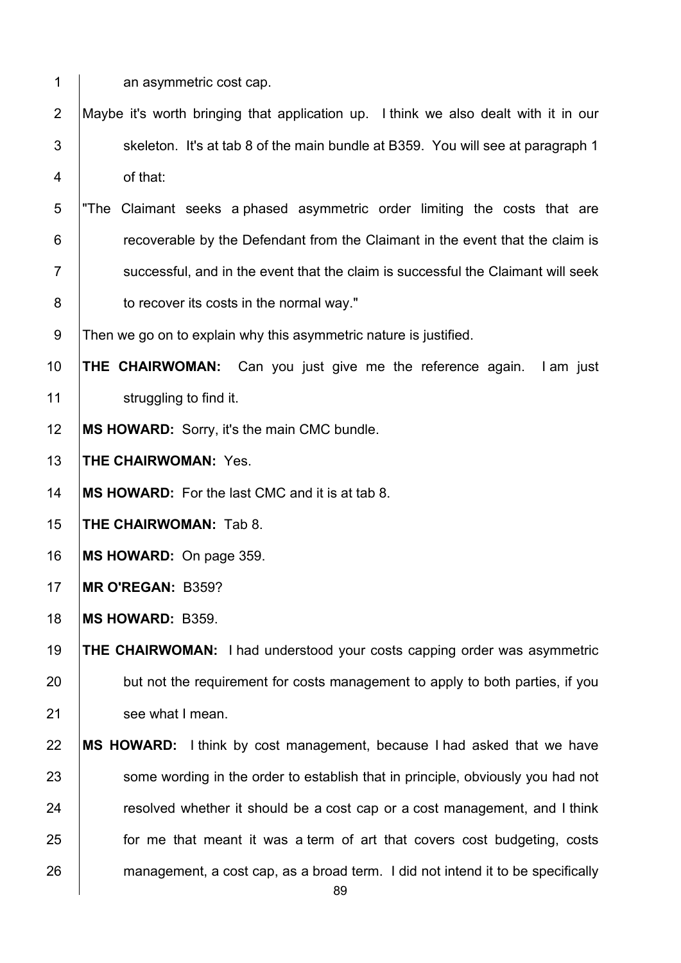1 an asymmetric cost cap.

- 2 Maybe it's worth bringing that application up. I think we also dealt with it in our 3  $\parallel$  skeleton. It's at tab 8 of the main bundle at B359. You will see at paragraph 1 4 of that:
- 5 "The Claimant seeks a phased asymmetric order limiting the costs that are **Fig.** recoverable by the Defendant from the Claimant in the event that the claim is  $7 \mid$  successful, and in the event that the claim is successful the Claimant will seek **b** to recover its costs in the normal way."

9 Then we go on to explain why this asymmetric nature is justified.

 **THE CHAIRWOMAN:** Can you just give me the reference again. I am just **Struggling to find it.** 

**MS HOWARD:** Sorry, it's the main CMC bundle.

**THE CHAIRWOMAN:** Yes.

**MS HOWARD:** For the last CMC and it is at tab 8.

**THE CHAIRWOMAN:** Tab 8.

**MS HOWARD:** On page 359.

**MR O'REGAN:** B359?

**MS HOWARD:** B359.

 **THE CHAIRWOMAN:** I had understood your costs capping order was asymmetric 20 but not the requirement for costs management to apply to both parties, if you 21 see what I mean.

 **MS HOWARD:** I think by cost management, because I had asked that we have **Some wording in the order to establish that in principle, obviously you had not resolved whether it should be a cost cap or a cost management, and I think for me that meant it was a term of art that covers cost budgeting, costs** 26 | management, a cost cap, as a broad term. I did not intend it to be specifically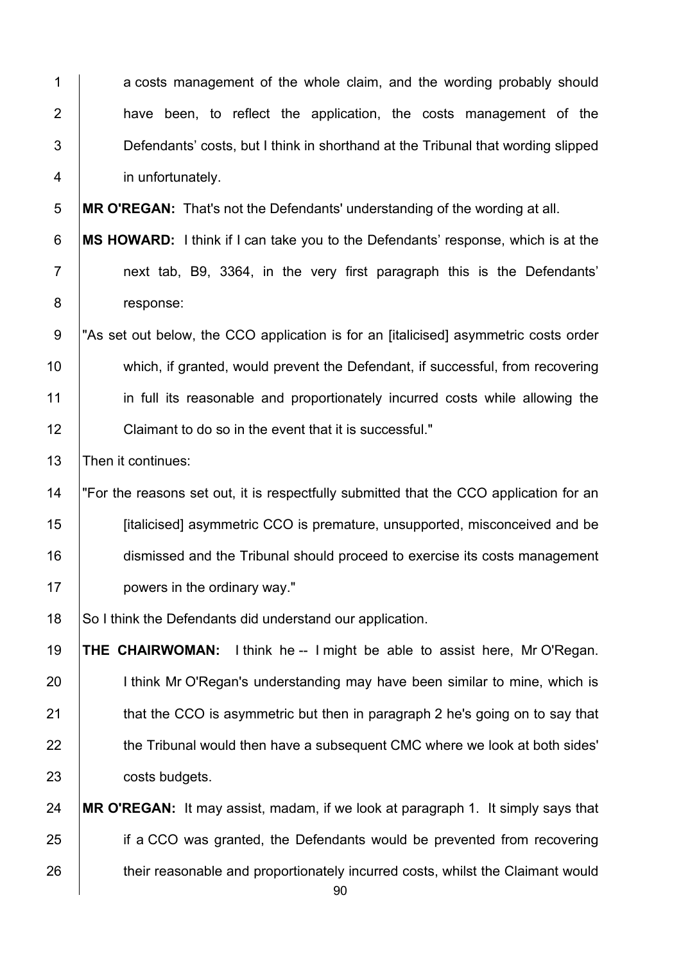| 1                | a costs management of the whole claim, and the wording probably should                 |
|------------------|----------------------------------------------------------------------------------------|
| $\overline{2}$   | have been, to reflect the application, the costs management of the                     |
| $\mathfrak{S}$   | Defendants' costs, but I think in shorthand at the Tribunal that wording slipped       |
| 4                | in unfortunately.                                                                      |
| $\mathbf 5$      | <b>MR O'REGAN:</b> That's not the Defendants' understanding of the wording at all.     |
| $\,6$            | MS HOWARD: I think if I can take you to the Defendants' response, which is at the      |
| $\overline{7}$   | next tab, B9, 3364, in the very first paragraph this is the Defendants'                |
| $\bf 8$          | response:                                                                              |
| $\boldsymbol{9}$ | "As set out below, the CCO application is for an [italicised] asymmetric costs order   |
| 10               | which, if granted, would prevent the Defendant, if successful, from recovering         |
| 11               | in full its reasonable and proportionately incurred costs while allowing the           |
| 12               | Claimant to do so in the event that it is successful."                                 |
| 13               | Then it continues:                                                                     |
| 14               | "For the reasons set out, it is respectfully submitted that the CCO application for an |
| 15               | [italicised] asymmetric CCO is premature, unsupported, misconceived and be             |
| 16               | dismissed and the Tribunal should proceed to exercise its costs management             |
| 17               | powers in the ordinary way."                                                           |
| 18               | So I think the Defendants did understand our application.                              |
| 19               | THE CHAIRWOMAN:<br>I think he -- I might be able to assist here, Mr O'Regan.           |
| 20               | I think Mr O'Regan's understanding may have been similar to mine, which is             |
| 21               | that the CCO is asymmetric but then in paragraph 2 he's going on to say that           |
| 22               | the Tribunal would then have a subsequent CMC where we look at both sides'             |
| 23               | costs budgets.                                                                         |
| 24               | MR O'REGAN: It may assist, madam, if we look at paragraph 1. It simply says that       |
| 25               | if a CCO was granted, the Defendants would be prevented from recovering                |
| 26               | their reasonable and proportionately incurred costs, whilst the Claimant would         |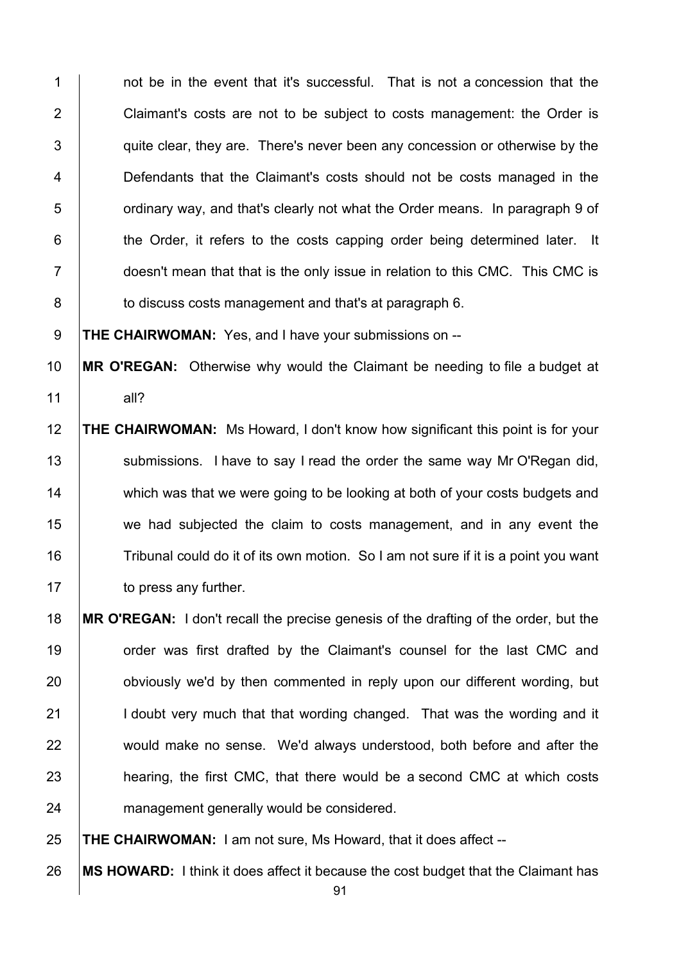1 1 not be in the event that it's successful. That is not a concession that the 2 Claimant's costs are not to be subject to costs management: the Order is  $\vert$  quite clear, they are. There's never been any concession or otherwise by the **Defendants that the Claimant's costs should not be costs managed in the b** ordinary way, and that's clearly not what the Order means. In paragraph 9 of **the Order, it refers to the costs capping order being determined later.** It 7 doesn't mean that that is the only issue in relation to this CMC. This CMC is **b** to discuss costs management and that's at paragraph 6.

**THE CHAIRWOMAN:** Yes, and I have your submissions on --

 **MR O'REGAN:** Otherwise why would the Claimant be needing to file a budget at all?

 **THE CHAIRWOMAN:** Ms Howard, I don't know how significant this point is for your 13 Submissions. I have to say I read the order the same way Mr O'Regan did, 14 which was that we were going to be looking at both of your costs budgets and we had subjected the claim to costs management, and in any event the 16 Tribunal could do it of its own motion. So I am not sure if it is a point you want **to press any further.** 

 **MR O'REGAN:** I don't recall the precise genesis of the drafting of the order, but the **19** order was first drafted by the Claimant's counsel for the last CMC and **b** obviously we'd by then commented in reply upon our different wording, but 21 | I doubt very much that that wording changed. That was the wording and it 22 would make no sense. We'd always understood, both before and after the **heart and Studing**, the first CMC, that there would be a second CMC at which costs 24 management generally would be considered.

**THE CHAIRWOMAN:** I am not sure, Ms Howard, that it does affect --

**MS HOWARD:** I think it does affect it because the cost budget that the Claimant has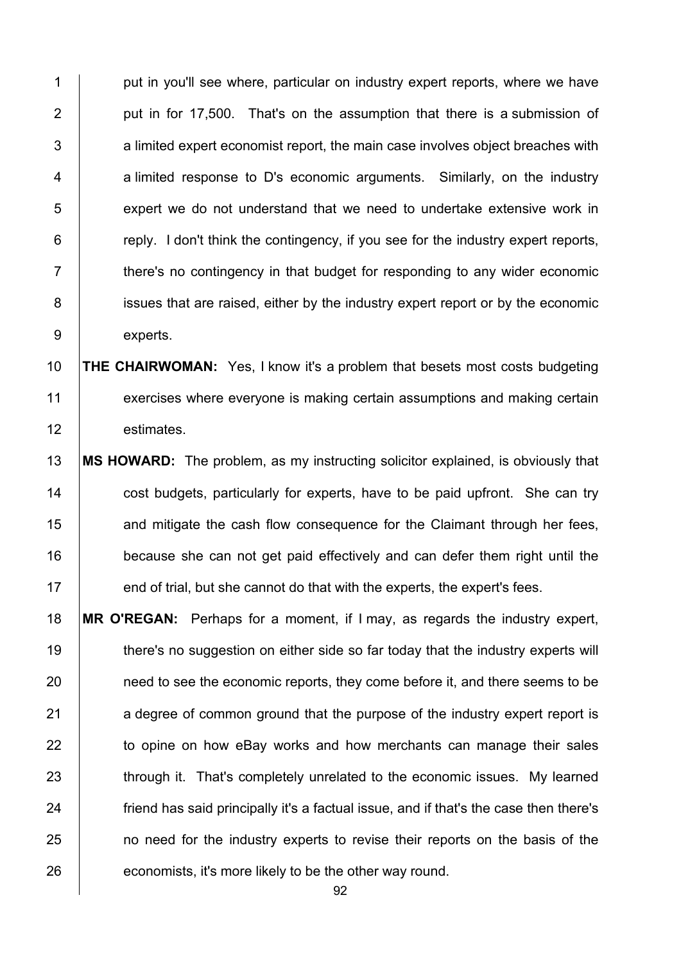1 put in you'll see where, particular on industry expert reports, where we have 2 | put in for 17,500. That's on the assumption that there is a submission of  $3$   $\vert$  a limited expert economist report, the main case involves object breaches with 4 a limited response to D's economic arguments. Similarly, on the industry 5 **EXECT** expert we do not understand that we need to undertake extensive work in  $6$   $\vert$  reply. I don't think the contingency, if you see for the industry expert reports, 7 T intere's no contingency in that budget for responding to any wider economic 8 issues that are raised, either by the industry expert report or by the economic 9 experts.

10 **THE CHAIRWOMAN:** Yes, I know it's a problem that besets most costs budgeting 11 exercises where everyone is making certain assumptions and making certain 12 estimates.

 **MS HOWARD:** The problem, as my instructing solicitor explained, is obviously that **cost budgets, particularly for experts, have to be paid upfront.** She can try **and mitigate the cash flow consequence for the Claimant through her fees,** 16 because she can not get paid effectively and can defer them right until the **end of trial, but she cannot do that with the experts, the expert's fees.** 

18 **MR O'REGAN:** Perhaps for a moment, if I may, as regards the industry expert, 19 there's no suggestion on either side so far today that the industry experts will 20 **need to see the economic reports, they come before it, and there seems to be** 21 a degree of common ground that the purpose of the industry expert report is 22 to opine on how eBay works and how merchants can manage their sales 23 through it. That's completely unrelated to the economic issues. My learned 24 **friend has said principally it's a factual issue, and if that's the case then there's** 25 **no need for the industry experts to revise their reports on the basis of the** 26 economists, it's more likely to be the other way round.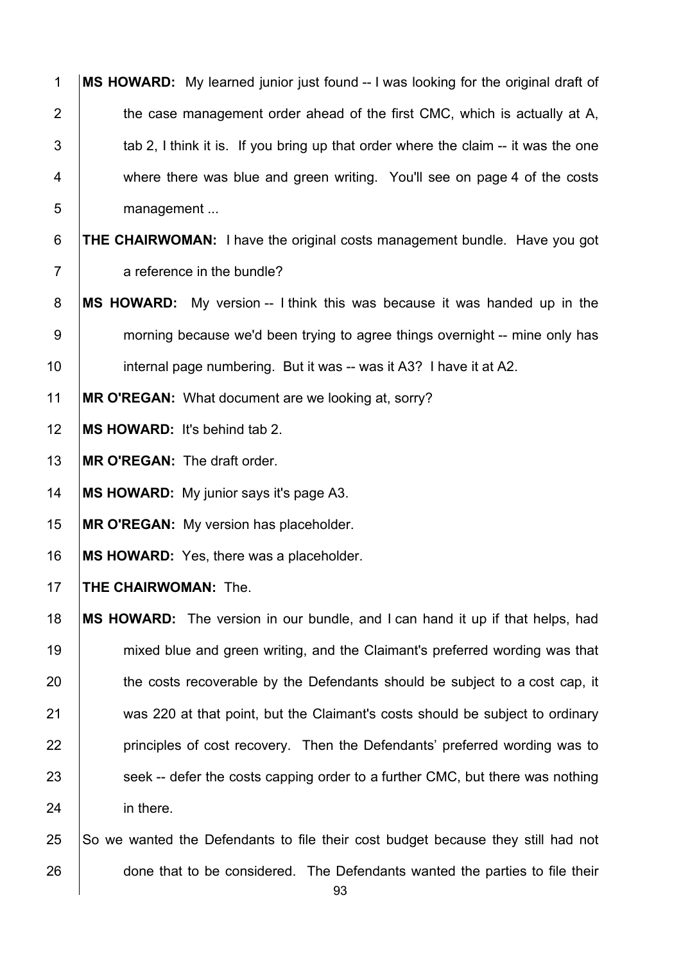| $\mathbf{1}$   | MS HOWARD: My learned junior just found -- I was looking for the original draft of |
|----------------|------------------------------------------------------------------------------------|
| $\overline{2}$ | the case management order ahead of the first CMC, which is actually at A,          |
| 3              | tab 2, I think it is. If you bring up that order where the claim -- it was the one |
| 4              | where there was blue and green writing. You'll see on page 4 of the costs          |
| 5              | management                                                                         |
| $\,6$          | <b>THE CHAIRWOMAN:</b> I have the original costs management bundle. Have you got   |
| $\overline{7}$ | a reference in the bundle?                                                         |
| 8              | MS HOWARD: My version -- I think this was because it was handed up in the          |
| $9\,$          | morning because we'd been trying to agree things overnight -- mine only has        |
| 10             | internal page numbering. But it was -- was it A3? I have it at A2.                 |
| 11             | MR O'REGAN: What document are we looking at, sorry?                                |
| 12             | MS HOWARD: It's behind tab 2.                                                      |
| 13             | MR O'REGAN: The draft order.                                                       |
| 14             | MS HOWARD: My junior says it's page A3.                                            |
| 15             | MR O'REGAN: My version has placeholder.                                            |
| 16             | MS HOWARD: Yes, there was a placeholder.                                           |
| 17             | THE CHAIRWOMAN: The.                                                               |
| 18             | MS HOWARD: The version in our bundle, and I can hand it up if that helps, had      |
| 19             | mixed blue and green writing, and the Claimant's preferred wording was that        |
| 20             | the costs recoverable by the Defendants should be subject to a cost cap, it        |
| 21             | was 220 at that point, but the Claimant's costs should be subject to ordinary      |
| 22             | principles of cost recovery. Then the Defendants' preferred wording was to         |
| 23             | seek -- defer the costs capping order to a further CMC, but there was nothing      |
| 24             | in there.                                                                          |
| 25             | So we wanted the Defendants to file their cost budget because they still had not   |
| 26             | done that to be considered. The Defendants wanted the parties to file their        |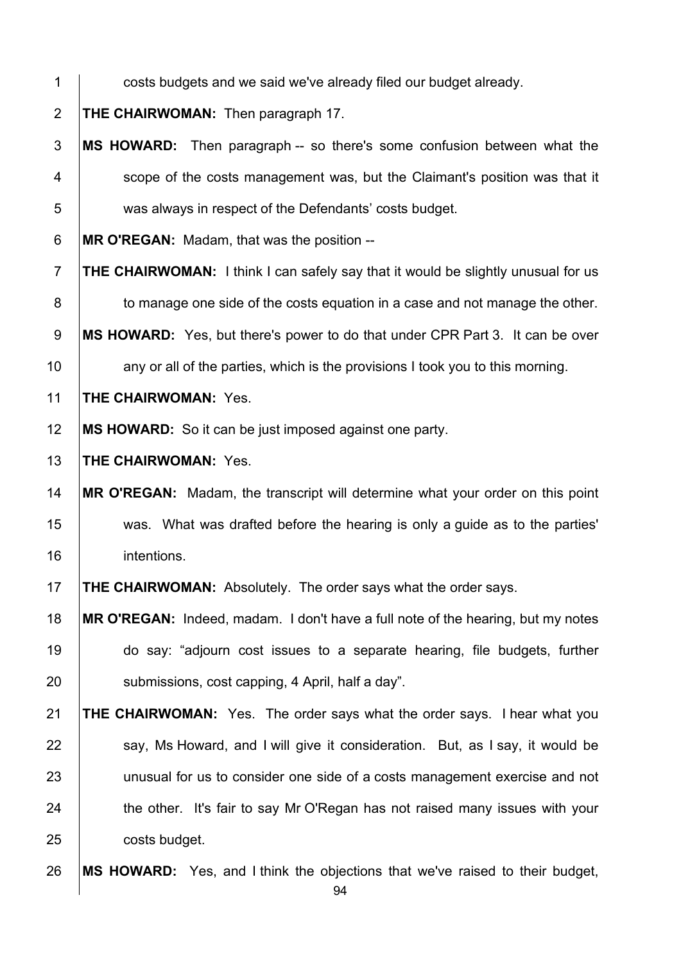- **1 costs budgets and we said we've already filed our budget already. THE CHAIRWOMAN:** Then paragraph 17. **MS HOWARD:** Then paragraph -- so there's some confusion between what the 4 Scope of the costs management was, but the Claimant's position was that it 5 was always in respect of the Defendants' costs budget. **MR O'REGAN:** Madam, that was the position -- **THE CHAIRWOMAN:** I think I can safely say that it would be slightly unusual for us **to manage one side of the costs equation in a case and not manage the other. MS HOWARD:** Yes, but there's power to do that under CPR Part 3. It can be over any or all of the parties, which is the provisions I took you to this morning. **THE CHAIRWOMAN:** Yes. **MS HOWARD:** So it can be just imposed against one party. **THE CHAIRWOMAN:** Yes. **MR O'REGAN:** Madam, the transcript will determine what your order on this point was. What was drafted before the hearing is only a guide as to the parties' intentions. **THE CHAIRWOMAN:** Absolutely. The order says what the order says. **MR O'REGAN:** Indeed, madam. I don't have a full note of the hearing, but my notes do say: "adjourn cost issues to a separate hearing, file budgets, further **Submissions, cost capping, 4 April, half a day**". **THE CHAIRWOMAN:** Yes. The order says what the order says. I hear what you say, Ms Howard, and I will give it consideration. But, as I say, it would be 23 | unusual for us to consider one side of a costs management exercise and not 24 the other. It's fair to say Mr O'Regan has not raised many issues with your **costs budget. MS HOWARD:** Yes, and I think the objections that we've raised to their budget,
	-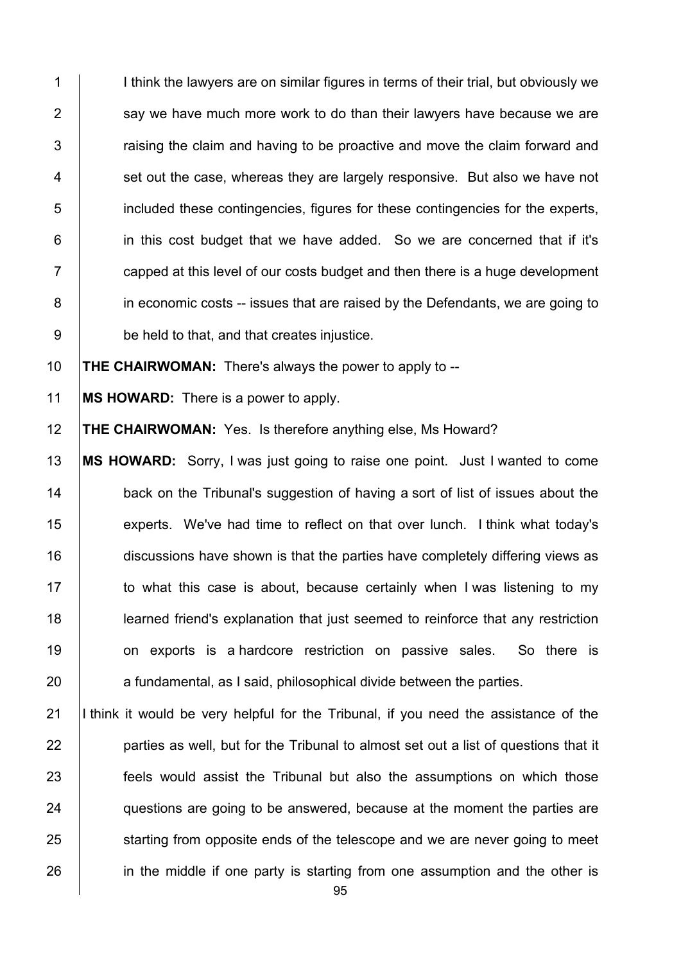1 I imink the lawyers are on similar figures in terms of their trial, but obviously we 2  $\parallel$  say we have much more work to do than their lawyers have because we are  $3$   $\vert$  raising the claim and having to be proactive and move the claim forward and  $4 \mid$  set out the case, whereas they are largely responsive. But also we have not 5 included these contingencies, figures for these contingencies for the experts, 6 **i** in this cost budget that we have added. So we are concerned that if it's  $7 \mid$  capped at this level of our costs budget and then there is a huge development 8 in economic costs -- issues that are raised by the Defendants, we are going to 9 **be held to that, and that creates injustice.** 

10 **THE CHAIRWOMAN:** There's always the power to apply to --

11 **MS HOWARD:** There is a power to apply.

12 **THE CHAIRWOMAN:** Yes. Is therefore anything else, Ms Howard?

 **MS HOWARD:** Sorry, I was just going to raise one point. Just I wanted to come **back on the Tribunal's suggestion of having a sort of list of issues about the experts.** We've had time to reflect on that over lunch. I think what today's 16 discussions have shown is that the parties have completely differing views as 17 to what this case is about, because certainly when I was listening to my **learned friend's explanation that just seemed to reinforce that any restriction** 19 on exports is a hardcore restriction on passive sales. So there is a fundamental, as I said, philosophical divide between the parties.

21 I think it would be very helpful for the Tribunal, if you need the assistance of the 22 **parties as well, but for the Tribunal to almost set out a list of questions that it** 23 **feels would assist the Tribunal but also the assumptions on which those** 24 questions are going to be answered, because at the moment the parties are 25 starting from opposite ends of the telescope and we are never going to meet 26 in the middle if one party is starting from one assumption and the other is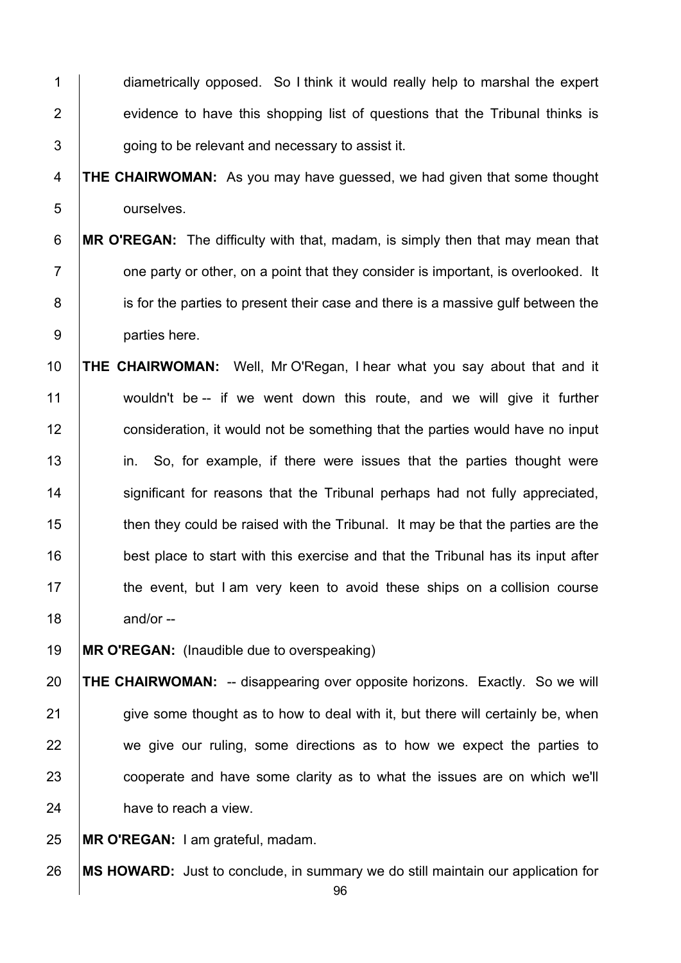1 diametrically opposed. So I think it would really help to marshal the expert 2 evidence to have this shopping list of questions that the Tribunal thinks is  $3 \mid$  going to be relevant and necessary to assist it.

## 4 **THE CHAIRWOMAN:** As you may have guessed, we had given that some thought 5 ourselves.

# 6 **MR O'REGAN:** The difficulty with that, madam, is simply then that may mean that  $7 \mid$  one party or other, on a point that they consider is important, is overlooked. It 8 is for the parties to present their case and there is a massive gulf between the 9 parties here.

10 **THE CHAIRWOMAN:** Well, Mr O'Regan, I hear what you say about that and it 11 wouldn't be -- if we went down this route, and we will give it further 12 **consideration, it would not be something that the parties would have no input** 13 in. So, for example, if there were issues that the parties thought were 14 | significant for reasons that the Tribunal perhaps had not fully appreciated, 15 then they could be raised with the Tribunal. It may be that the parties are the 16 **best place to start with this exercise and that the Tribunal has its input after** 17 the event, but I am very keen to avoid these ships on a collision course  $18$  and/or --

19 **MR O'REGAN:** (Inaudible due to overspeaking)

20 **THE CHAIRWOMAN:** -- disappearing over opposite horizons. Exactly. So we will  $21$  give some thought as to how to deal with it, but there will certainly be, when 22 we give our ruling, some directions as to how we expect the parties to 23 cooperate and have some clarity as to what the issues are on which we'll 24 **have to reach a view.** 

25 **MR O'REGAN:** I am grateful, madam.

26 **MS HOWARD:** Just to conclude, in summary we do still maintain our application for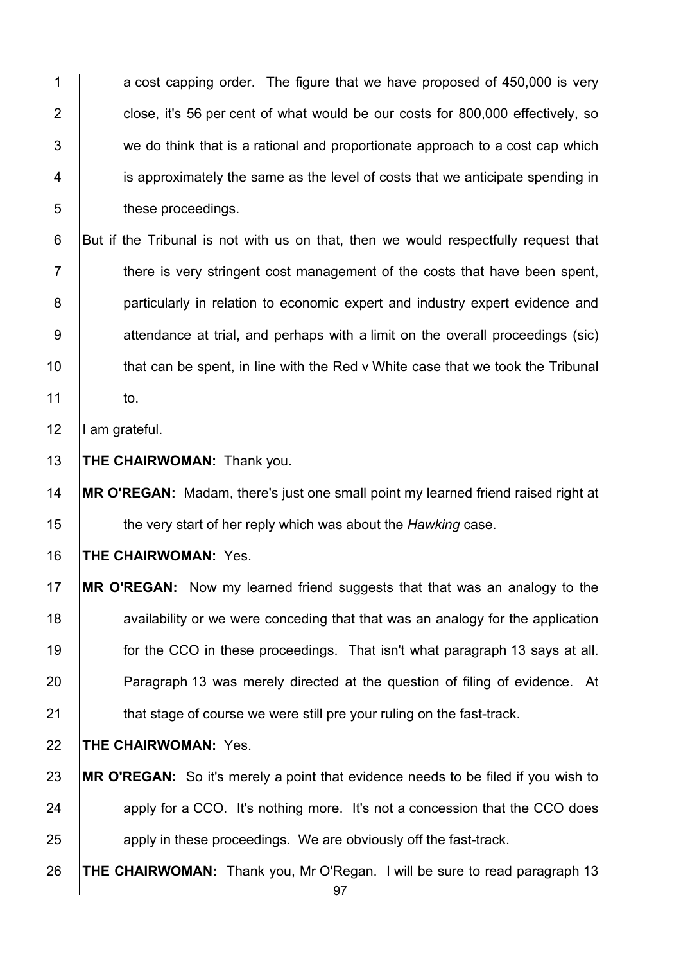1 a cost capping order. The figure that we have proposed of 450,000 is very **close, it's 56 per cent of what would be our costs for 800,000 effectively, so**   $\vert$  we do think that is a rational and proportionate approach to a cost cap which **i** is approximately the same as the level of costs that we anticipate spending in **b** these proceedings.

6 But if the Tribunal is not with us on that, then we would respectfully request that **there is very stringent cost management of the costs that have been spent, particularly in relation to economic expert and industry expert evidence and** 9 attendance at trial, and perhaps with a limit on the overall proceedings (sic) **that can be spent, in line with the Red v White case that we took the Tribunal** to.

12 | I am grateful.

**THE CHAIRWOMAN:** Thank you.

 **MR O'REGAN:** Madam, there's just one small point my learned friend raised right at the very start of her reply which was about the *Hawking* case.

**THE CHAIRWOMAN:** Yes.

- **MR O'REGAN:** Now my learned friend suggests that that was an analogy to the **18** availability or we were conceding that that was an analogy for the application **for the CCO** in these proceedings. That isn't what paragraph 13 says at all. **Paragraph 13 was merely directed at the question of filing of evidence.** At **that stage of course we were still pre your ruling on the fast-track.**
- **THE CHAIRWOMAN:** Yes.
- **MR O'REGAN:** So it's merely a point that evidence needs to be filed if you wish to apply for a CCO. It's nothing more. It's not a concession that the CCO does **a** apply in these proceedings. We are obviously off the fast-track.
- **THE CHAIRWOMAN:** Thank you, Mr O'Regan. I will be sure to read paragraph 13